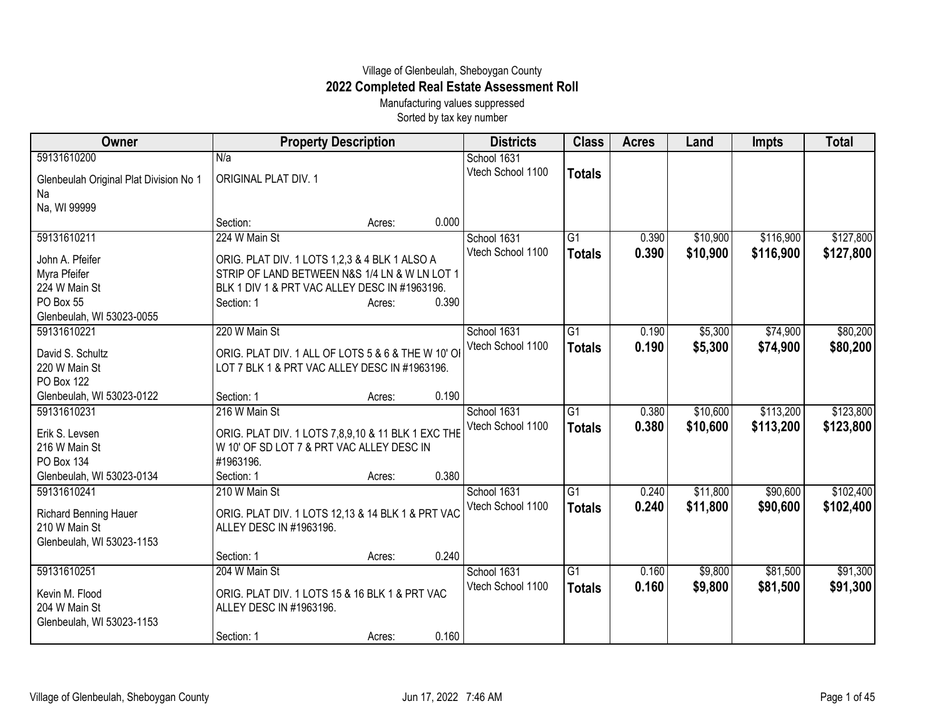## Village of Glenbeulah, Sheboygan County **2022 Completed Real Estate Assessment Roll**

Manufacturing values suppressed Sorted by tax key number

| Owner                                  | <b>Property Description</b>                        |                 | <b>Districts</b>  | <b>Class</b>    | <b>Acres</b> | Land     | <b>Impts</b> | <b>Total</b> |
|----------------------------------------|----------------------------------------------------|-----------------|-------------------|-----------------|--------------|----------|--------------|--------------|
| 59131610200                            | N/a                                                |                 | School 1631       |                 |              |          |              |              |
| Glenbeulah Original Plat Division No 1 | <b>ORIGINAL PLAT DIV. 1</b>                        |                 | Vtech School 1100 | <b>Totals</b>   |              |          |              |              |
| Na                                     |                                                    |                 |                   |                 |              |          |              |              |
| Na, WI 99999                           |                                                    |                 |                   |                 |              |          |              |              |
|                                        | Section:                                           | 0.000<br>Acres: |                   |                 |              |          |              |              |
| 59131610211                            | 224 W Main St                                      |                 | School 1631       | $\overline{G1}$ | 0.390        | \$10,900 | \$116,900    | \$127,800    |
| John A. Pfeifer                        | ORIG. PLAT DIV. 1 LOTS 1,2,3 & 4 BLK 1 ALSO A      |                 | Vtech School 1100 | <b>Totals</b>   | 0.390        | \$10,900 | \$116,900    | \$127,800    |
| Myra Pfeifer                           | STRIP OF LAND BETWEEN N&S 1/4 LN & W LN LOT 1      |                 |                   |                 |              |          |              |              |
| 224 W Main St                          | BLK 1 DIV 1 & PRT VAC ALLEY DESC IN #1963196.      |                 |                   |                 |              |          |              |              |
| PO Box 55                              | Section: 1                                         | 0.390<br>Acres: |                   |                 |              |          |              |              |
| Glenbeulah, WI 53023-0055              |                                                    |                 |                   |                 |              |          |              |              |
| 59131610221                            | 220 W Main St                                      |                 | School 1631       | G1              | 0.190        | \$5,300  | \$74,900     | \$80,200     |
| David S. Schultz                       | ORIG. PLAT DIV. 1 ALL OF LOTS 5 & 6 & THE W 10' OI |                 | Vtech School 1100 | <b>Totals</b>   | 0.190        | \$5,300  | \$74,900     | \$80,200     |
| 220 W Main St                          | LOT 7 BLK 1 & PRT VAC ALLEY DESC IN #1963196.      |                 |                   |                 |              |          |              |              |
| PO Box 122                             |                                                    |                 |                   |                 |              |          |              |              |
| Glenbeulah, WI 53023-0122              | Section: 1                                         | 0.190<br>Acres: |                   |                 |              |          |              |              |
| 59131610231                            | 216 W Main St                                      |                 | School 1631       | $\overline{G1}$ | 0.380        | \$10,600 | \$113,200    | \$123,800    |
| Erik S. Levsen                         | ORIG. PLAT DIV. 1 LOTS 7,8,9,10 & 11 BLK 1 EXC THE |                 | Vtech School 1100 | <b>Totals</b>   | 0.380        | \$10,600 | \$113,200    | \$123,800    |
| 216 W Main St                          | W 10' OF SD LOT 7 & PRT VAC ALLEY DESC IN          |                 |                   |                 |              |          |              |              |
| PO Box 134                             | #1963196.                                          |                 |                   |                 |              |          |              |              |
| Glenbeulah, WI 53023-0134              | Section: 1                                         | 0.380<br>Acres: |                   |                 |              |          |              |              |
| 59131610241                            | 210 W Main St                                      |                 | School 1631       | $\overline{G1}$ | 0.240        | \$11,800 | \$90,600     | \$102,400    |
| <b>Richard Benning Hauer</b>           | ORIG. PLAT DIV. 1 LOTS 12,13 & 14 BLK 1 & PRT VAC  |                 | Vtech School 1100 | <b>Totals</b>   | 0.240        | \$11,800 | \$90,600     | \$102,400    |
| 210 W Main St                          | ALLEY DESC IN #1963196.                            |                 |                   |                 |              |          |              |              |
| Glenbeulah, WI 53023-1153              |                                                    |                 |                   |                 |              |          |              |              |
|                                        | Section: 1                                         | 0.240<br>Acres: |                   |                 |              |          |              |              |
| 59131610251                            | 204 W Main St                                      |                 | School 1631       | G1              | 0.160        | \$9,800  | \$81,500     | \$91,300     |
| Kevin M. Flood                         | ORIG. PLAT DIV. 1 LOTS 15 & 16 BLK 1 & PRT VAC     |                 | Vtech School 1100 | <b>Totals</b>   | 0.160        | \$9,800  | \$81,500     | \$91,300     |
| 204 W Main St                          | ALLEY DESC IN #1963196.                            |                 |                   |                 |              |          |              |              |
| Glenbeulah, WI 53023-1153              |                                                    |                 |                   |                 |              |          |              |              |
|                                        | Section: 1                                         | 0.160<br>Acres: |                   |                 |              |          |              |              |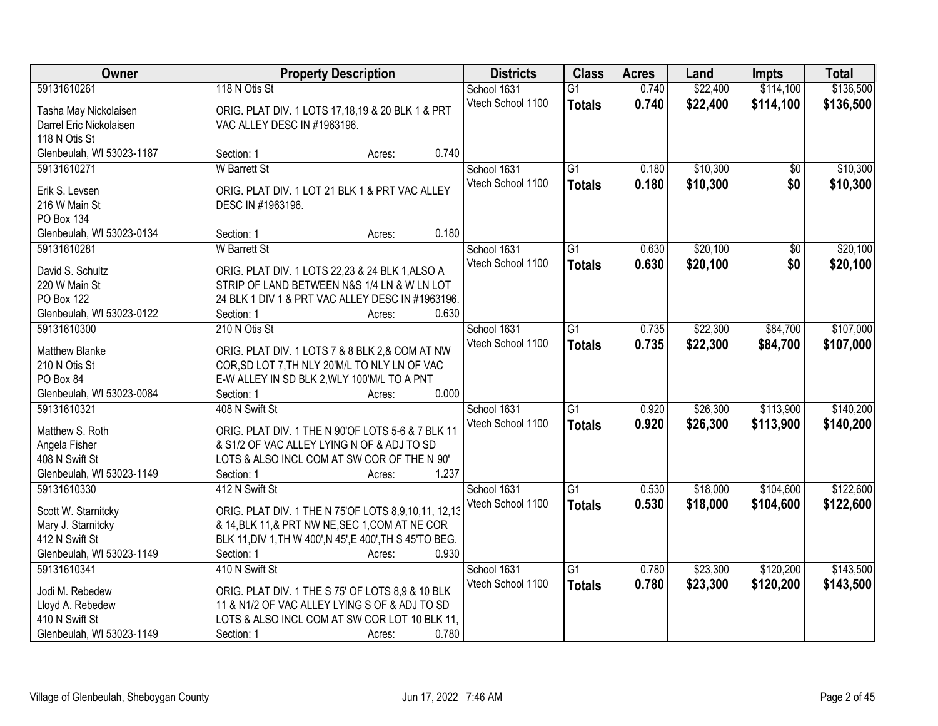| Owner                     | <b>Property Description</b>                              |        |       | <b>Districts</b>  | <b>Class</b>    | <b>Acres</b> | Land     | <b>Impts</b>    | <b>Total</b> |
|---------------------------|----------------------------------------------------------|--------|-------|-------------------|-----------------|--------------|----------|-----------------|--------------|
| 59131610261               | 118 N Otis St                                            |        |       | School 1631       | $\overline{G1}$ | 0.740        | \$22,400 | \$114,100       | \$136,500    |
| Tasha May Nickolaisen     | ORIG. PLAT DIV. 1 LOTS 17,18,19 & 20 BLK 1 & PRT         |        |       | Vtech School 1100 | <b>Totals</b>   | 0.740        | \$22,400 | \$114,100       | \$136,500    |
| Darrel Eric Nickolaisen   | VAC ALLEY DESC IN #1963196.                              |        |       |                   |                 |              |          |                 |              |
| 118 N Otis St             |                                                          |        |       |                   |                 |              |          |                 |              |
| Glenbeulah, WI 53023-1187 | Section: 1                                               | Acres: | 0.740 |                   |                 |              |          |                 |              |
| 59131610271               | <b>W</b> Barrett St                                      |        |       | School 1631       | $\overline{G1}$ | 0.180        | \$10,300 | \$0             | \$10,300     |
|                           |                                                          |        |       | Vtech School 1100 | <b>Totals</b>   | 0.180        | \$10,300 | \$0             | \$10,300     |
| Erik S. Levsen            | ORIG. PLAT DIV. 1 LOT 21 BLK 1 & PRT VAC ALLEY           |        |       |                   |                 |              |          |                 |              |
| 216 W Main St             | DESC IN #1963196.                                        |        |       |                   |                 |              |          |                 |              |
| PO Box 134                |                                                          |        |       |                   |                 |              |          |                 |              |
| Glenbeulah, WI 53023-0134 | Section: 1                                               | Acres: | 0.180 |                   |                 |              |          |                 |              |
| 59131610281               | <b>W</b> Barrett St                                      |        |       | School 1631       | $\overline{G1}$ | 0.630        | \$20,100 | $\overline{50}$ | \$20,100     |
| David S. Schultz          | ORIG. PLAT DIV. 1 LOTS 22,23 & 24 BLK 1,ALSO A           |        |       | Vtech School 1100 | <b>Totals</b>   | 0.630        | \$20,100 | \$0             | \$20,100     |
| 220 W Main St             | STRIP OF LAND BETWEEN N&S 1/4 LN & W LN LOT              |        |       |                   |                 |              |          |                 |              |
| <b>PO Box 122</b>         | 24 BLK 1 DIV 1 & PRT VAC ALLEY DESC IN #1963196.         |        |       |                   |                 |              |          |                 |              |
| Glenbeulah, WI 53023-0122 | Section: 1                                               | Acres: | 0.630 |                   |                 |              |          |                 |              |
| 59131610300               | 210 N Otis St                                            |        |       | School 1631       | G1              | 0.735        | \$22,300 | \$84,700        | \$107,000    |
|                           |                                                          |        |       | Vtech School 1100 | <b>Totals</b>   | 0.735        | \$22,300 | \$84,700        | \$107,000    |
| <b>Matthew Blanke</b>     | ORIG. PLAT DIV. 1 LOTS 7 & 8 BLK 2,& COM AT NW           |        |       |                   |                 |              |          |                 |              |
| 210 N Otis St             | COR, SD LOT 7, TH NLY 20'M/L TO NLY LN OF VAC            |        |       |                   |                 |              |          |                 |              |
| PO Box 84                 | E-W ALLEY IN SD BLK 2, WLY 100'M/L TO A PNT              |        |       |                   |                 |              |          |                 |              |
| Glenbeulah, WI 53023-0084 | Section: 1                                               | Acres: | 0.000 |                   |                 |              |          |                 |              |
| 59131610321               | 408 N Swift St                                           |        |       | School 1631       | $\overline{G1}$ | 0.920        | \$26,300 | \$113,900       | \$140,200    |
| Matthew S. Roth           | ORIG. PLAT DIV. 1 THE N 90'OF LOTS 5-6 & 7 BLK 11        |        |       | Vtech School 1100 | <b>Totals</b>   | 0.920        | \$26,300 | \$113,900       | \$140,200    |
| Angela Fisher             | & S1/2 OF VAC ALLEY LYING N OF & ADJ TO SD               |        |       |                   |                 |              |          |                 |              |
| 408 N Swift St            | LOTS & ALSO INCL COM AT SW COR OF THE N 90'              |        |       |                   |                 |              |          |                 |              |
| Glenbeulah, WI 53023-1149 | Section: 1                                               | Acres: | 1.237 |                   |                 |              |          |                 |              |
| 59131610330               | 412 N Swift St                                           |        |       | School 1631       | $\overline{G1}$ | 0.530        | \$18,000 | \$104,600       | \$122,600    |
|                           |                                                          |        |       | Vtech School 1100 | <b>Totals</b>   | 0.530        | \$18,000 | \$104,600       | \$122,600    |
| Scott W. Starnitcky       | ORIG. PLAT DIV. 1 THE N 75'OF LOTS 8,9,10,11, 12,13      |        |       |                   |                 |              |          |                 |              |
| Mary J. Starnitcky        | & 14, BLK 11, & PRT NW NE, SEC 1, COM AT NE COR          |        |       |                   |                 |              |          |                 |              |
| 412 N Swift St            | BLK 11, DIV 1, TH W 400', N 45', E 400', TH S 45'TO BEG. |        |       |                   |                 |              |          |                 |              |
| Glenbeulah, WI 53023-1149 | Section: 1                                               | Acres: | 0.930 |                   |                 |              |          |                 |              |
| 59131610341               | 410 N Swift St                                           |        |       | School 1631       | $\overline{G1}$ | 0.780        | \$23,300 | \$120,200       | \$143,500    |
| Jodi M. Rebedew           | ORIG. PLAT DIV. 1 THE S 75' OF LOTS 8,9 & 10 BLK         |        |       | Vtech School 1100 | <b>Totals</b>   | 0.780        | \$23,300 | \$120,200       | \$143,500    |
| Lloyd A. Rebedew          | 11 & N1/2 OF VAC ALLEY LYING S OF & ADJ TO SD            |        |       |                   |                 |              |          |                 |              |
| 410 N Swift St            | LOTS & ALSO INCL COM AT SW COR LOT 10 BLK 11,            |        |       |                   |                 |              |          |                 |              |
| Glenbeulah, WI 53023-1149 | Section: 1                                               | Acres: | 0.780 |                   |                 |              |          |                 |              |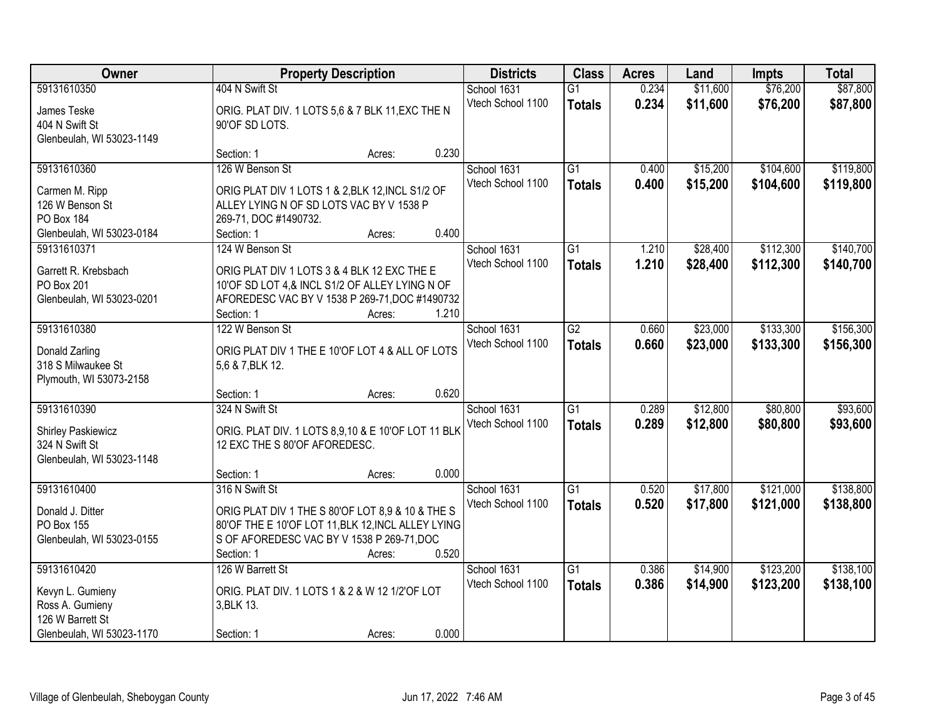| Owner                                                                                   | <b>Property Description</b>                                                                                                                                        |        |                                  | <b>Districts</b>                 | <b>Class</b>                     | <b>Acres</b>         | Land                 | <b>Impts</b>           | <b>Total</b>           |
|-----------------------------------------------------------------------------------------|--------------------------------------------------------------------------------------------------------------------------------------------------------------------|--------|----------------------------------|----------------------------------|----------------------------------|----------------------|----------------------|------------------------|------------------------|
| 59131610350<br>James Teske<br>404 N Swift St<br>Glenbeulah, WI 53023-1149               | 404 N Swift St<br>ORIG. PLAT DIV. 1 LOTS 5,6 & 7 BLK 11, EXC THE N<br>90'OF SD LOTS.                                                                               |        | School 1631<br>Vtech School 1100 | $\overline{G1}$<br><b>Totals</b> | 0.234<br>0.234                   | \$11,600<br>\$11,600 | \$76,200<br>\$76,200 | \$87,800<br>\$87,800   |                        |
|                                                                                         | Section: 1                                                                                                                                                         | Acres: | 0.230                            |                                  |                                  |                      |                      |                        |                        |
| 59131610360<br>Carmen M. Ripp<br>126 W Benson St<br>PO Box 184                          | 126 W Benson St<br>ORIG PLAT DIV 1 LOTS 1 & 2, BLK 12, INCL S1/2 OF<br>ALLEY LYING N OF SD LOTS VAC BY V 1538 P<br>269-71, DOC #1490732.                           |        |                                  | School 1631<br>Vtech School 1100 | $\overline{G1}$<br><b>Totals</b> | 0.400<br>0.400       | \$15,200<br>\$15,200 | \$104,600<br>\$104,600 | \$119,800<br>\$119,800 |
| Glenbeulah, WI 53023-0184<br>59131610371                                                | Section: 1<br>124 W Benson St                                                                                                                                      | Acres: | 0.400                            | School 1631                      | G1                               | 1.210                | \$28,400             | \$112,300              | \$140,700              |
| Garrett R. Krebsbach<br>PO Box 201<br>Glenbeulah, WI 53023-0201                         | ORIG PLAT DIV 1 LOTS 3 & 4 BLK 12 EXC THE E<br>10'OF SD LOT 4,& INCL S1/2 OF ALLEY LYING N OF<br>AFOREDESC VAC BY V 1538 P 269-71, DOC #1490732<br>Section: 1      | Acres: | 1.210                            | Vtech School 1100                | <b>Totals</b>                    | 1.210                | \$28,400             | \$112,300              | \$140,700              |
| 59131610380                                                                             | 122 W Benson St                                                                                                                                                    |        |                                  | School 1631                      | $\overline{G2}$                  | 0.660                | \$23,000             | \$133,300              | \$156,300              |
| Donald Zarling<br>318 S Milwaukee St<br>Plymouth, WI 53073-2158                         | ORIG PLAT DIV 1 THE E 10'OF LOT 4 & ALL OF LOTS<br>5,6 & 7, BLK 12.                                                                                                |        |                                  | Vtech School 1100                | <b>Totals</b>                    | 0.660                | \$23,000             | \$133,300              | \$156,300              |
|                                                                                         | Section: 1                                                                                                                                                         | Acres: | 0.620                            |                                  |                                  |                      |                      |                        |                        |
| 59131610390<br><b>Shirley Paskiewicz</b><br>324 N Swift St<br>Glenbeulah, WI 53023-1148 | 324 N Swift St<br>ORIG. PLAT DIV. 1 LOTS 8,9,10 & E 10'OF LOT 11 BLK<br>12 EXC THE S 80'OF AFOREDESC.                                                              |        |                                  | School 1631<br>Vtech School 1100 | $\overline{G1}$<br><b>Totals</b> | 0.289<br>0.289       | \$12,800<br>\$12,800 | \$80,800<br>\$80,800   | \$93,600<br>\$93,600   |
| 59131610400                                                                             | Section: 1<br>316 N Swift St                                                                                                                                       | Acres: | 0.000                            | School 1631                      | $\overline{G1}$                  | 0.520                | \$17,800             | \$121,000              | \$138,800              |
| Donald J. Ditter<br>PO Box 155<br>Glenbeulah, WI 53023-0155                             | ORIG PLAT DIV 1 THE S 80'OF LOT 8,9 & 10 & THE S<br>80'OF THE E 10'OF LOT 11, BLK 12, INCL ALLEY LYING<br>S OF AFOREDESC VAC BY V 1538 P 269-71, DOC<br>Section: 1 | Acres: | 0.520                            | Vtech School 1100                | <b>Totals</b>                    | 0.520                | \$17,800             | \$121,000              | \$138,800              |
| 59131610420                                                                             | 126 W Barrett St                                                                                                                                                   |        |                                  | School 1631                      | $\overline{G1}$                  | 0.386                | \$14,900             | \$123,200              | \$138,100              |
| Kevyn L. Gumieny<br>Ross A. Gumieny<br>126 W Barrett St<br>Glenbeulah, WI 53023-1170    | ORIG. PLAT DIV. 1 LOTS 1 & 2 & W 12 1/2'OF LOT<br>3, BLK 13.<br>Section: 1                                                                                         | Acres: | 0.000                            | Vtech School 1100                | <b>Totals</b>                    | 0.386                | \$14,900             | \$123,200              | \$138,100              |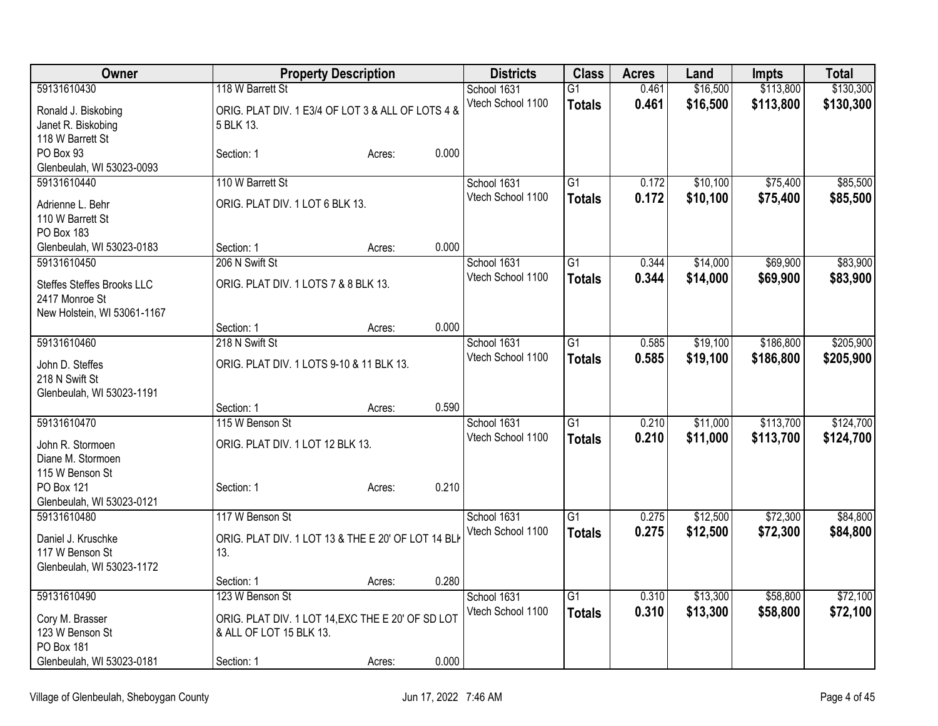| Owner                                |                                                    | <b>Property Description</b> |       |                   | <b>Class</b>    | <b>Acres</b> | Land     | <b>Impts</b> | <b>Total</b> |
|--------------------------------------|----------------------------------------------------|-----------------------------|-------|-------------------|-----------------|--------------|----------|--------------|--------------|
| 59131610430                          | 118 W Barrett St                                   |                             |       | School 1631       | $\overline{G1}$ | 0.461        | \$16,500 | \$113,800    | \$130,300    |
| Ronald J. Biskobing                  | ORIG. PLAT DIV. 1 E3/4 OF LOT 3 & ALL OF LOTS 4 &  |                             |       | Vtech School 1100 | <b>Totals</b>   | 0.461        | \$16,500 | \$113,800    | \$130,300    |
| Janet R. Biskobing                   | 5 BLK 13.                                          |                             |       |                   |                 |              |          |              |              |
| 118 W Barrett St                     |                                                    |                             |       |                   |                 |              |          |              |              |
| PO Box 93                            | Section: 1                                         | Acres:                      | 0.000 |                   |                 |              |          |              |              |
| Glenbeulah, WI 53023-0093            |                                                    |                             |       |                   |                 |              |          |              |              |
| 59131610440                          | 110 W Barrett St                                   |                             |       | School 1631       | $\overline{G1}$ | 0.172        | \$10,100 | \$75,400     | \$85,500     |
| Adrienne L. Behr                     | ORIG. PLAT DIV. 1 LOT 6 BLK 13.                    |                             |       | Vtech School 1100 | <b>Totals</b>   | 0.172        | \$10,100 | \$75,400     | \$85,500     |
| 110 W Barrett St                     |                                                    |                             |       |                   |                 |              |          |              |              |
| PO Box 183                           |                                                    |                             |       |                   |                 |              |          |              |              |
| Glenbeulah, WI 53023-0183            | Section: 1                                         | Acres:                      | 0.000 |                   |                 |              |          |              |              |
| 59131610450                          | 206 N Swift St                                     |                             |       | School 1631       | $\overline{G1}$ | 0.344        | \$14,000 | \$69,900     | \$83,900     |
| <b>Steffes Steffes Brooks LLC</b>    | ORIG. PLAT DIV. 1 LOTS 7 & 8 BLK 13.               |                             |       | Vtech School 1100 | <b>Totals</b>   | 0.344        | \$14,000 | \$69,900     | \$83,900     |
| 2417 Monroe St                       |                                                    |                             |       |                   |                 |              |          |              |              |
| New Holstein, WI 53061-1167          |                                                    |                             |       |                   |                 |              |          |              |              |
|                                      | Section: 1                                         | Acres:                      | 0.000 |                   |                 |              |          |              |              |
| 59131610460                          | 218 N Swift St                                     |                             |       | School 1631       | $\overline{G1}$ | 0.585        | \$19,100 | \$186,800    | \$205,900    |
|                                      |                                                    |                             |       | Vtech School 1100 | <b>Totals</b>   | 0.585        | \$19,100 | \$186,800    | \$205,900    |
| John D. Steffes<br>218 N Swift St    | ORIG. PLAT DIV. 1 LOTS 9-10 & 11 BLK 13.           |                             |       |                   |                 |              |          |              |              |
| Glenbeulah, WI 53023-1191            |                                                    |                             |       |                   |                 |              |          |              |              |
|                                      | Section: 1                                         | Acres:                      | 0.590 |                   |                 |              |          |              |              |
| 59131610470                          | 115 W Benson St                                    |                             |       | School 1631       | $\overline{G1}$ | 0.210        | \$11,000 | \$113,700    | \$124,700    |
|                                      |                                                    |                             |       | Vtech School 1100 | <b>Totals</b>   | 0.210        | \$11,000 | \$113,700    | \$124,700    |
| John R. Stormoen                     | ORIG. PLAT DIV. 1 LOT 12 BLK 13.                   |                             |       |                   |                 |              |          |              |              |
| Diane M. Stormoen<br>115 W Benson St |                                                    |                             |       |                   |                 |              |          |              |              |
| PO Box 121                           | Section: 1                                         | Acres:                      | 0.210 |                   |                 |              |          |              |              |
| Glenbeulah, WI 53023-0121            |                                                    |                             |       |                   |                 |              |          |              |              |
| 59131610480                          | 117 W Benson St                                    |                             |       | School 1631       | $\overline{G1}$ | 0.275        | \$12,500 | \$72,300     | \$84,800     |
|                                      |                                                    |                             |       | Vtech School 1100 | <b>Totals</b>   | 0.275        | \$12,500 | \$72,300     | \$84,800     |
| Daniel J. Kruschke                   | ORIG. PLAT DIV. 1 LOT 13 & THE E 20' OF LOT 14 BLI |                             |       |                   |                 |              |          |              |              |
| 117 W Benson St                      | 13.                                                |                             |       |                   |                 |              |          |              |              |
| Glenbeulah, WI 53023-1172            | Section: 1                                         | Acres:                      | 0.280 |                   |                 |              |          |              |              |
| 59131610490                          | 123 W Benson St                                    |                             |       | School 1631       | $\overline{G1}$ | 0.310        | \$13,300 | \$58,800     | \$72,100     |
|                                      |                                                    |                             |       | Vtech School 1100 | <b>Totals</b>   | 0.310        | \$13,300 | \$58,800     | \$72,100     |
| Cory M. Brasser                      | ORIG. PLAT DIV. 1 LOT 14, EXC THE E 20' OF SD LOT  |                             |       |                   |                 |              |          |              |              |
| 123 W Benson St                      | & ALL OF LOT 15 BLK 13.                            |                             |       |                   |                 |              |          |              |              |
| PO Box 181                           |                                                    |                             |       |                   |                 |              |          |              |              |
| Glenbeulah, WI 53023-0181            | Section: 1                                         | Acres:                      | 0.000 |                   |                 |              |          |              |              |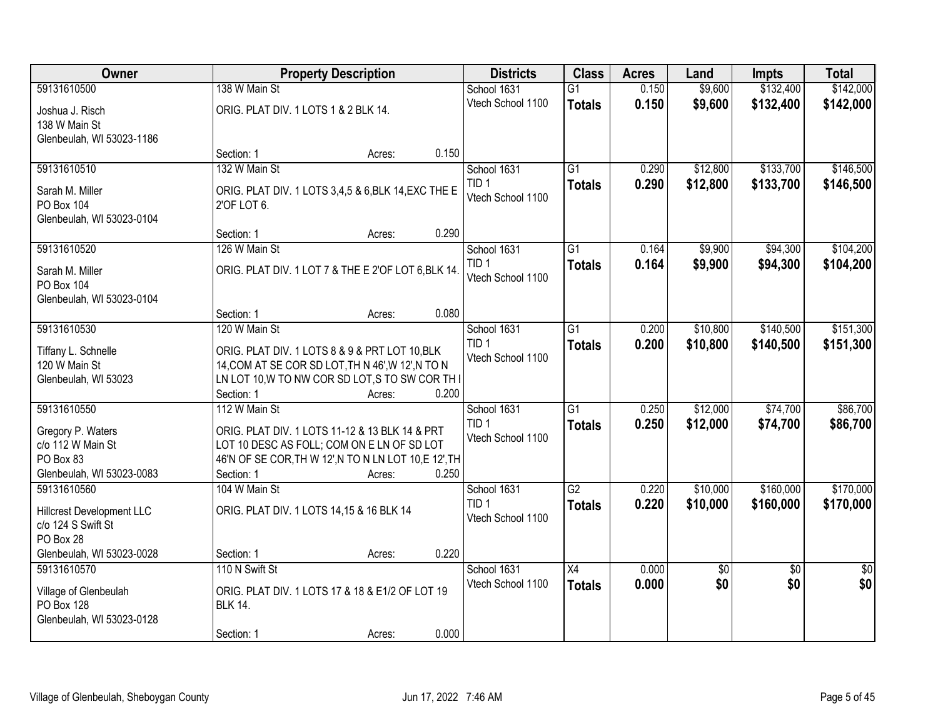| Owner                               |                                                       | <b>Property Description</b> |       | <b>Districts</b>  | <b>Class</b>    | <b>Acres</b> | Land     | <b>Impts</b>    | <b>Total</b>    |
|-------------------------------------|-------------------------------------------------------|-----------------------------|-------|-------------------|-----------------|--------------|----------|-----------------|-----------------|
| 59131610500                         | 138 W Main St                                         |                             |       | School 1631       | $\overline{G1}$ | 0.150        | \$9,600  | \$132,400       | \$142,000       |
| Joshua J. Risch                     | ORIG. PLAT DIV. 1 LOTS 1 & 2 BLK 14.                  |                             |       | Vtech School 1100 | <b>Totals</b>   | 0.150        | \$9,600  | \$132,400       | \$142,000       |
| 138 W Main St                       |                                                       |                             |       |                   |                 |              |          |                 |                 |
| Glenbeulah, WI 53023-1186           |                                                       |                             |       |                   |                 |              |          |                 |                 |
|                                     | Section: 1                                            | Acres:                      | 0.150 |                   |                 |              |          |                 |                 |
| 59131610510                         | 132 W Main St                                         |                             |       | School 1631       | $\overline{G1}$ | 0.290        | \$12,800 | \$133,700       | \$146,500       |
| Sarah M. Miller                     | ORIG. PLAT DIV. 1 LOTS 3,4,5 & 6, BLK 14, EXC THE E   |                             |       | TID 1             | <b>Totals</b>   | 0.290        | \$12,800 | \$133,700       | \$146,500       |
| PO Box 104                          | 2'OF LOT 6.                                           |                             |       | Vtech School 1100 |                 |              |          |                 |                 |
| Glenbeulah, WI 53023-0104           |                                                       |                             |       |                   |                 |              |          |                 |                 |
|                                     | Section: 1                                            | Acres:                      | 0.290 |                   |                 |              |          |                 |                 |
| 59131610520                         | 126 W Main St                                         |                             |       | School 1631       | G1              | 0.164        | \$9,900  | \$94,300        | \$104,200       |
| Sarah M. Miller                     | ORIG. PLAT DIV. 1 LOT 7 & THE E 2'OF LOT 6, BLK 14.   |                             |       | TID <sub>1</sub>  | <b>Totals</b>   | 0.164        | \$9,900  | \$94,300        | \$104,200       |
| PO Box 104                          |                                                       |                             |       | Vtech School 1100 |                 |              |          |                 |                 |
| Glenbeulah, WI 53023-0104           |                                                       |                             |       |                   |                 |              |          |                 |                 |
|                                     | Section: 1                                            | Acres:                      | 0.080 |                   |                 |              |          |                 |                 |
| 59131610530                         | 120 W Main St                                         |                             |       | School 1631       | $\overline{G1}$ | 0.200        | \$10,800 | \$140,500       | \$151,300       |
| Tiffany L. Schnelle                 | ORIG. PLAT DIV. 1 LOTS 8 & 9 & PRT LOT 10, BLK        |                             |       | TID <sub>1</sub>  | <b>Totals</b>   | 0.200        | \$10,800 | \$140,500       | \$151,300       |
| 120 W Main St                       | 14, COM AT SE COR SD LOT, TH N 46', W 12', N TO N     |                             |       | Vtech School 1100 |                 |              |          |                 |                 |
| Glenbeulah, WI 53023                | LN LOT 10, W TO NW COR SD LOT, S TO SW COR TH I       |                             |       |                   |                 |              |          |                 |                 |
|                                     | Section: 1                                            | Acres:                      | 0.200 |                   |                 |              |          |                 |                 |
| 59131610550                         | 112 W Main St                                         |                             |       | School 1631       | $\overline{G1}$ | 0.250        | \$12,000 | \$74,700        | \$86,700        |
| Gregory P. Waters                   | ORIG. PLAT DIV. 1 LOTS 11-12 & 13 BLK 14 & PRT        |                             |       | TID <sub>1</sub>  | <b>Totals</b>   | 0.250        | \$12,000 | \$74,700        | \$86,700        |
| c/o 112 W Main St                   | LOT 10 DESC AS FOLL; COM ON E LN OF SD LOT            |                             |       | Vtech School 1100 |                 |              |          |                 |                 |
| PO Box 83                           | 46'N OF SE COR, TH W 12', N TO N LN LOT 10, E 12', TH |                             |       |                   |                 |              |          |                 |                 |
| Glenbeulah, WI 53023-0083           | Section: 1                                            | Acres:                      | 0.250 |                   |                 |              |          |                 |                 |
| 59131610560                         | 104 W Main St                                         |                             |       | School 1631       | $\overline{G2}$ | 0.220        | \$10,000 | \$160,000       | \$170,000       |
| <b>Hillcrest Development LLC</b>    | ORIG. PLAT DIV. 1 LOTS 14,15 & 16 BLK 14              |                             |       | TID <sub>1</sub>  | <b>Totals</b>   | 0.220        | \$10,000 | \$160,000       | \$170,000       |
| c/o 124 S Swift St                  |                                                       |                             |       | Vtech School 1100 |                 |              |          |                 |                 |
| PO Box 28                           |                                                       |                             |       |                   |                 |              |          |                 |                 |
| Glenbeulah, WI 53023-0028           | Section: 1                                            | Acres:                      | 0.220 |                   |                 |              |          |                 |                 |
| 59131610570                         | 110 N Swift St                                        |                             |       | School 1631       | $\overline{X4}$ | 0.000        | \$0      | $\overline{30}$ | $\overline{50}$ |
|                                     | ORIG. PLAT DIV. 1 LOTS 17 & 18 & E1/2 OF LOT 19       |                             |       | Vtech School 1100 | <b>Totals</b>   | 0.000        | \$0      | \$0             | \$0             |
| Village of Glenbeulah<br>PO Box 128 | <b>BLK 14.</b>                                        |                             |       |                   |                 |              |          |                 |                 |
| Glenbeulah, WI 53023-0128           |                                                       |                             |       |                   |                 |              |          |                 |                 |
|                                     | Section: 1                                            | Acres:                      | 0.000 |                   |                 |              |          |                 |                 |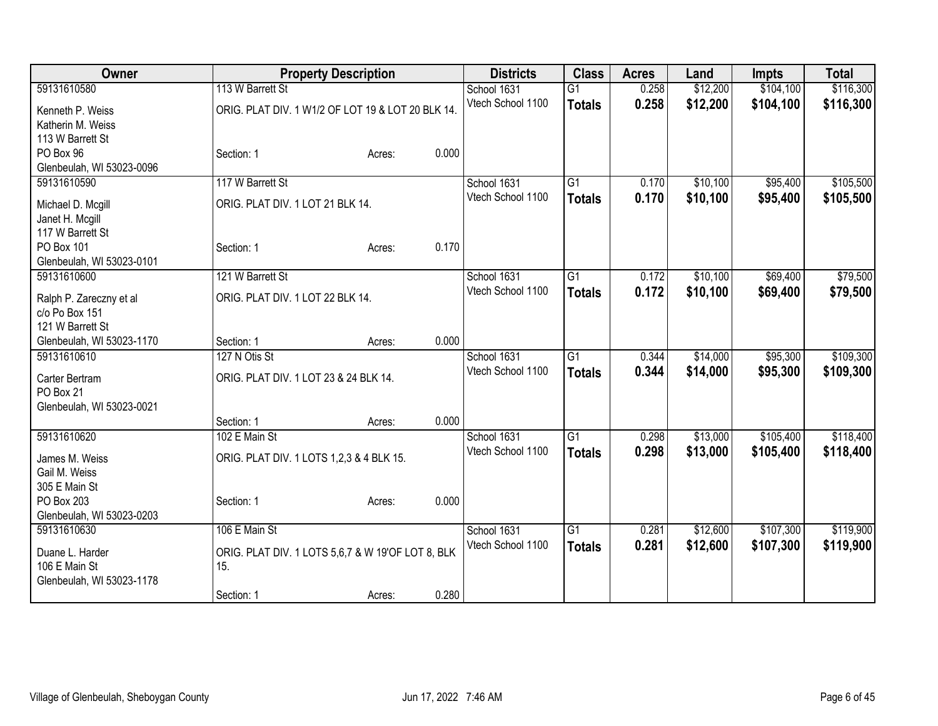| 113 W Barrett St<br>\$104,100<br>59131610580<br>$\overline{G1}$<br>\$12,200<br>School 1631<br>0.258<br>0.258<br>\$12,200<br>Vtech School 1100<br>\$104,100<br><b>Totals</b><br>ORIG. PLAT DIV. 1 W1/2 OF LOT 19 & LOT 20 BLK 14.<br>Kenneth P. Weiss<br>Katherin M. Weiss | \$116,300<br>\$116,300 |
|---------------------------------------------------------------------------------------------------------------------------------------------------------------------------------------------------------------------------------------------------------------------------|------------------------|
|                                                                                                                                                                                                                                                                           |                        |
|                                                                                                                                                                                                                                                                           |                        |
|                                                                                                                                                                                                                                                                           |                        |
| 113 W Barrett St                                                                                                                                                                                                                                                          |                        |
| PO Box 96<br>0.000<br>Section: 1<br>Acres:                                                                                                                                                                                                                                |                        |
| Glenbeulah, WI 53023-0096                                                                                                                                                                                                                                                 |                        |
| 117 W Barrett St<br>$\overline{G1}$<br>\$10,100<br>59131610590<br>School 1631<br>0.170<br>\$95,400                                                                                                                                                                        | \$105,500              |
| Vtech School 1100<br>0.170<br>\$10,100<br>\$95,400<br><b>Totals</b><br>ORIG. PLAT DIV. 1 LOT 21 BLK 14.<br>Michael D. Mcgill                                                                                                                                              | \$105,500              |
| Janet H. Mcgill                                                                                                                                                                                                                                                           |                        |
| 117 W Barrett St                                                                                                                                                                                                                                                          |                        |
| PO Box 101<br>0.170<br>Section: 1<br>Acres:                                                                                                                                                                                                                               |                        |
| Glenbeulah, WI 53023-0101<br>\$10,100<br>\$69,400<br>59131610600<br>121 W Barrett St<br>$\overline{G1}$<br>0.172<br>School 1631                                                                                                                                           | \$79,500               |
| 0.172<br>\$10,100<br>\$69,400<br>Vtech School 1100<br><b>Totals</b>                                                                                                                                                                                                       | \$79,500               |
| ORIG. PLAT DIV. 1 LOT 22 BLK 14.<br>Ralph P. Zareczny et al                                                                                                                                                                                                               |                        |
| c/o Po Box 151                                                                                                                                                                                                                                                            |                        |
| 121 W Barrett St<br>0.000                                                                                                                                                                                                                                                 |                        |
| Section: 1<br>Glenbeulah, WI 53023-1170<br>Acres:<br>$\overline{G1}$<br>\$14,000<br>\$95,300<br>59131610610<br>127 N Otis St<br>School 1631<br>0.344                                                                                                                      | \$109,300              |
| Vtech School 1100<br>\$14,000<br>0.344<br>\$95,300                                                                                                                                                                                                                        | \$109,300              |
| <b>Totals</b><br>ORIG. PLAT DIV. 1 LOT 23 & 24 BLK 14.<br>Carter Bertram                                                                                                                                                                                                  |                        |
| PO Box 21                                                                                                                                                                                                                                                                 |                        |
| Glenbeulah, WI 53023-0021<br>0.000                                                                                                                                                                                                                                        |                        |
| Section: 1<br>Acres:<br>102 E Main St<br>59131610620<br>$\overline{G1}$<br>\$13,000<br>\$105,400<br>School 1631<br>0.298                                                                                                                                                  | \$118,400              |
| Vtech School 1100<br>\$13,000<br>0.298<br>\$105,400<br><b>Totals</b>                                                                                                                                                                                                      | \$118,400              |
| ORIG. PLAT DIV. 1 LOTS 1,2,3 & 4 BLK 15.<br>James M. Weiss                                                                                                                                                                                                                |                        |
| Gail M. Weiss                                                                                                                                                                                                                                                             |                        |
| 305 E Main St                                                                                                                                                                                                                                                             |                        |
| 0.000<br>PO Box 203<br>Section: 1<br>Acres:<br>Glenbeulah, WI 53023-0203                                                                                                                                                                                                  |                        |
| 106 E Main St<br>$\overline{G1}$<br>\$107,300<br>59131610630<br>School 1631<br>\$12,600<br>0.281                                                                                                                                                                          | \$119,900              |
| Vtech School 1100<br>0.281<br>\$12,600<br>\$107,300<br><b>Totals</b>                                                                                                                                                                                                      | \$119,900              |
| Duane L. Harder<br>ORIG. PLAT DIV. 1 LOTS 5,6,7 & W 19'OF LOT 8, BLK                                                                                                                                                                                                      |                        |
| 15.<br>106 E Main St                                                                                                                                                                                                                                                      |                        |
| Glenbeulah, WI 53023-1178<br>0.280<br>Section: 1<br>Acres:                                                                                                                                                                                                                |                        |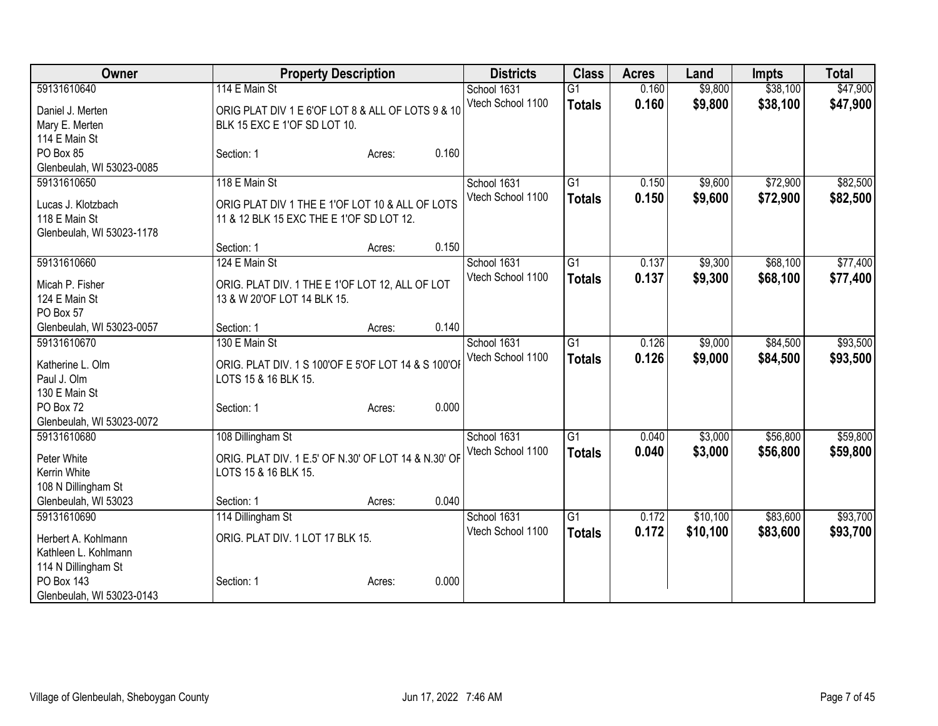| \$9,800<br>\$38,100<br>\$47,900<br>59131610640<br>114 E Main St<br>$\overline{G1}$<br>School 1631<br>0.160<br>0.160<br>\$9,800<br>\$38,100<br>Vtech School 1100<br>\$47,900<br><b>Totals</b><br>ORIG PLAT DIV 1 E 6'OF LOT 8 & ALL OF LOTS 9 & 10<br>Daniel J. Merten<br>BLK 15 EXC E 1'OF SD LOT 10.<br>Mary E. Merten<br>114 E Main St<br>PO Box 85<br>0.160<br>Section: 1<br>Acres:<br>Glenbeulah, WI 53023-0085<br>118 E Main St<br>$\overline{G1}$<br>\$9,600<br>\$72,900<br>59131610650<br>School 1631<br>0.150<br>0.150<br>\$9,600<br>\$72,900<br>Vtech School 1100<br><b>Totals</b><br>ORIG PLAT DIV 1 THE E 1'OF LOT 10 & ALL OF LOTS<br>Lucas J. Klotzbach<br>11 & 12 BLK 15 EXC THE E 1'OF SD LOT 12.<br>118 E Main St<br>Glenbeulah, WI 53023-1178<br>0.150<br>Section: 1<br>Acres:<br>124 E Main St<br>$\overline{G1}$<br>\$68,100<br>59131610660<br>School 1631<br>\$9,300<br>0.137<br>Vtech School 1100<br>0.137<br>\$9,300<br>\$68,100<br><b>Totals</b><br>ORIG. PLAT DIV. 1 THE E 1'OF LOT 12, ALL OF LOT<br>Micah P. Fisher<br>13 & W 20'OF LOT 14 BLK 15.<br>124 E Main St<br>PO Box 57<br>0.140<br>Glenbeulah, WI 53023-0057<br>Section: 1<br>Acres:<br>130 E Main St<br>$\overline{G1}$<br>\$9,000<br>\$84,500<br>59131610670<br>School 1631<br>0.126<br>Vtech School 1100<br>0.126<br>\$9,000<br>\$84,500<br><b>Totals</b><br>ORIG. PLAT DIV. 1 S 100'OF E 5'OF LOT 14 & S 100'OF<br>Katherine L. Olm<br>Paul J. Olm<br>LOTS 15 & 16 BLK 15.<br>130 E Main St<br>0.000<br>PO Box 72<br>Section: 1<br>Acres:<br>Glenbeulah, WI 53023-0072<br>\$56,800<br>59131610680<br>108 Dillingham St<br>School 1631<br>$\overline{G1}$<br>\$3,000<br>0.040<br>Vtech School 1100<br>0.040<br>\$3,000<br>\$56,800<br><b>Totals</b><br>ORIG. PLAT DIV. 1 E.5' OF N.30' OF LOT 14 & N.30' OF<br>Peter White<br>LOTS 15 & 16 BLK 15.<br>Kerrin White | Owner | <b>Property Description</b> | <b>Districts</b> | <b>Class</b> | <b>Acres</b> | Land | <b>Impts</b> | <b>Total</b> |  |
|-----------------------------------------------------------------------------------------------------------------------------------------------------------------------------------------------------------------------------------------------------------------------------------------------------------------------------------------------------------------------------------------------------------------------------------------------------------------------------------------------------------------------------------------------------------------------------------------------------------------------------------------------------------------------------------------------------------------------------------------------------------------------------------------------------------------------------------------------------------------------------------------------------------------------------------------------------------------------------------------------------------------------------------------------------------------------------------------------------------------------------------------------------------------------------------------------------------------------------------------------------------------------------------------------------------------------------------------------------------------------------------------------------------------------------------------------------------------------------------------------------------------------------------------------------------------------------------------------------------------------------------------------------------------------------------------------------------------------------------------------------------------------------------------------------------------------------------------------------------|-------|-----------------------------|------------------|--------------|--------------|------|--------------|--------------|--|
|                                                                                                                                                                                                                                                                                                                                                                                                                                                                                                                                                                                                                                                                                                                                                                                                                                                                                                                                                                                                                                                                                                                                                                                                                                                                                                                                                                                                                                                                                                                                                                                                                                                                                                                                                                                                                                                           |       |                             |                  |              |              |      |              |              |  |
| \$82,500<br>\$77,400<br>\$93,500<br>\$59,800<br>\$59,800                                                                                                                                                                                                                                                                                                                                                                                                                                                                                                                                                                                                                                                                                                                                                                                                                                                                                                                                                                                                                                                                                                                                                                                                                                                                                                                                                                                                                                                                                                                                                                                                                                                                                                                                                                                                  |       |                             |                  |              |              |      |              |              |  |
|                                                                                                                                                                                                                                                                                                                                                                                                                                                                                                                                                                                                                                                                                                                                                                                                                                                                                                                                                                                                                                                                                                                                                                                                                                                                                                                                                                                                                                                                                                                                                                                                                                                                                                                                                                                                                                                           |       |                             |                  |              |              |      |              |              |  |
|                                                                                                                                                                                                                                                                                                                                                                                                                                                                                                                                                                                                                                                                                                                                                                                                                                                                                                                                                                                                                                                                                                                                                                                                                                                                                                                                                                                                                                                                                                                                                                                                                                                                                                                                                                                                                                                           |       |                             |                  |              |              |      |              |              |  |
| \$82,500<br>\$77,400<br>\$93,500                                                                                                                                                                                                                                                                                                                                                                                                                                                                                                                                                                                                                                                                                                                                                                                                                                                                                                                                                                                                                                                                                                                                                                                                                                                                                                                                                                                                                                                                                                                                                                                                                                                                                                                                                                                                                          |       |                             |                  |              |              |      |              |              |  |
|                                                                                                                                                                                                                                                                                                                                                                                                                                                                                                                                                                                                                                                                                                                                                                                                                                                                                                                                                                                                                                                                                                                                                                                                                                                                                                                                                                                                                                                                                                                                                                                                                                                                                                                                                                                                                                                           |       |                             |                  |              |              |      |              |              |  |
|                                                                                                                                                                                                                                                                                                                                                                                                                                                                                                                                                                                                                                                                                                                                                                                                                                                                                                                                                                                                                                                                                                                                                                                                                                                                                                                                                                                                                                                                                                                                                                                                                                                                                                                                                                                                                                                           |       |                             |                  |              |              |      |              |              |  |
|                                                                                                                                                                                                                                                                                                                                                                                                                                                                                                                                                                                                                                                                                                                                                                                                                                                                                                                                                                                                                                                                                                                                                                                                                                                                                                                                                                                                                                                                                                                                                                                                                                                                                                                                                                                                                                                           |       |                             |                  |              |              |      |              |              |  |
|                                                                                                                                                                                                                                                                                                                                                                                                                                                                                                                                                                                                                                                                                                                                                                                                                                                                                                                                                                                                                                                                                                                                                                                                                                                                                                                                                                                                                                                                                                                                                                                                                                                                                                                                                                                                                                                           |       |                             |                  |              |              |      |              |              |  |
|                                                                                                                                                                                                                                                                                                                                                                                                                                                                                                                                                                                                                                                                                                                                                                                                                                                                                                                                                                                                                                                                                                                                                                                                                                                                                                                                                                                                                                                                                                                                                                                                                                                                                                                                                                                                                                                           |       |                             |                  |              |              |      |              |              |  |
|                                                                                                                                                                                                                                                                                                                                                                                                                                                                                                                                                                                                                                                                                                                                                                                                                                                                                                                                                                                                                                                                                                                                                                                                                                                                                                                                                                                                                                                                                                                                                                                                                                                                                                                                                                                                                                                           |       |                             |                  |              |              |      |              |              |  |
|                                                                                                                                                                                                                                                                                                                                                                                                                                                                                                                                                                                                                                                                                                                                                                                                                                                                                                                                                                                                                                                                                                                                                                                                                                                                                                                                                                                                                                                                                                                                                                                                                                                                                                                                                                                                                                                           |       |                             |                  |              |              |      |              |              |  |
|                                                                                                                                                                                                                                                                                                                                                                                                                                                                                                                                                                                                                                                                                                                                                                                                                                                                                                                                                                                                                                                                                                                                                                                                                                                                                                                                                                                                                                                                                                                                                                                                                                                                                                                                                                                                                                                           |       |                             |                  |              |              |      |              |              |  |
|                                                                                                                                                                                                                                                                                                                                                                                                                                                                                                                                                                                                                                                                                                                                                                                                                                                                                                                                                                                                                                                                                                                                                                                                                                                                                                                                                                                                                                                                                                                                                                                                                                                                                                                                                                                                                                                           |       |                             |                  |              |              |      |              |              |  |
|                                                                                                                                                                                                                                                                                                                                                                                                                                                                                                                                                                                                                                                                                                                                                                                                                                                                                                                                                                                                                                                                                                                                                                                                                                                                                                                                                                                                                                                                                                                                                                                                                                                                                                                                                                                                                                                           |       |                             |                  |              |              |      |              |              |  |
|                                                                                                                                                                                                                                                                                                                                                                                                                                                                                                                                                                                                                                                                                                                                                                                                                                                                                                                                                                                                                                                                                                                                                                                                                                                                                                                                                                                                                                                                                                                                                                                                                                                                                                                                                                                                                                                           |       |                             |                  |              |              |      |              |              |  |
|                                                                                                                                                                                                                                                                                                                                                                                                                                                                                                                                                                                                                                                                                                                                                                                                                                                                                                                                                                                                                                                                                                                                                                                                                                                                                                                                                                                                                                                                                                                                                                                                                                                                                                                                                                                                                                                           |       |                             |                  |              |              |      |              |              |  |
|                                                                                                                                                                                                                                                                                                                                                                                                                                                                                                                                                                                                                                                                                                                                                                                                                                                                                                                                                                                                                                                                                                                                                                                                                                                                                                                                                                                                                                                                                                                                                                                                                                                                                                                                                                                                                                                           |       |                             |                  |              |              |      |              |              |  |
|                                                                                                                                                                                                                                                                                                                                                                                                                                                                                                                                                                                                                                                                                                                                                                                                                                                                                                                                                                                                                                                                                                                                                                                                                                                                                                                                                                                                                                                                                                                                                                                                                                                                                                                                                                                                                                                           |       |                             |                  |              |              |      |              |              |  |
|                                                                                                                                                                                                                                                                                                                                                                                                                                                                                                                                                                                                                                                                                                                                                                                                                                                                                                                                                                                                                                                                                                                                                                                                                                                                                                                                                                                                                                                                                                                                                                                                                                                                                                                                                                                                                                                           |       |                             |                  |              |              |      |              |              |  |
|                                                                                                                                                                                                                                                                                                                                                                                                                                                                                                                                                                                                                                                                                                                                                                                                                                                                                                                                                                                                                                                                                                                                                                                                                                                                                                                                                                                                                                                                                                                                                                                                                                                                                                                                                                                                                                                           |       |                             |                  |              |              |      |              |              |  |
|                                                                                                                                                                                                                                                                                                                                                                                                                                                                                                                                                                                                                                                                                                                                                                                                                                                                                                                                                                                                                                                                                                                                                                                                                                                                                                                                                                                                                                                                                                                                                                                                                                                                                                                                                                                                                                                           |       |                             |                  |              |              |      |              |              |  |
|                                                                                                                                                                                                                                                                                                                                                                                                                                                                                                                                                                                                                                                                                                                                                                                                                                                                                                                                                                                                                                                                                                                                                                                                                                                                                                                                                                                                                                                                                                                                                                                                                                                                                                                                                                                                                                                           |       |                             |                  |              |              |      |              |              |  |
|                                                                                                                                                                                                                                                                                                                                                                                                                                                                                                                                                                                                                                                                                                                                                                                                                                                                                                                                                                                                                                                                                                                                                                                                                                                                                                                                                                                                                                                                                                                                                                                                                                                                                                                                                                                                                                                           |       |                             |                  |              |              |      |              |              |  |
|                                                                                                                                                                                                                                                                                                                                                                                                                                                                                                                                                                                                                                                                                                                                                                                                                                                                                                                                                                                                                                                                                                                                                                                                                                                                                                                                                                                                                                                                                                                                                                                                                                                                                                                                                                                                                                                           |       |                             |                  |              |              |      |              |              |  |
| 108 N Dillingham St                                                                                                                                                                                                                                                                                                                                                                                                                                                                                                                                                                                                                                                                                                                                                                                                                                                                                                                                                                                                                                                                                                                                                                                                                                                                                                                                                                                                                                                                                                                                                                                                                                                                                                                                                                                                                                       |       |                             |                  |              |              |      |              |              |  |
| 0.040<br>Glenbeulah, WI 53023<br>Section: 1<br>Acres:                                                                                                                                                                                                                                                                                                                                                                                                                                                                                                                                                                                                                                                                                                                                                                                                                                                                                                                                                                                                                                                                                                                                                                                                                                                                                                                                                                                                                                                                                                                                                                                                                                                                                                                                                                                                     |       |                             |                  |              |              |      |              |              |  |
| $\overline{G1}$<br>\$83,600<br>\$93,700<br>59131610690<br>0.172<br>\$10,100<br>114 Dillingham St<br>School 1631                                                                                                                                                                                                                                                                                                                                                                                                                                                                                                                                                                                                                                                                                                                                                                                                                                                                                                                                                                                                                                                                                                                                                                                                                                                                                                                                                                                                                                                                                                                                                                                                                                                                                                                                           |       |                             |                  |              |              |      |              |              |  |
| Vtech School 1100<br>0.172<br>\$10,100<br>\$83,600<br>\$93,700<br><b>Totals</b>                                                                                                                                                                                                                                                                                                                                                                                                                                                                                                                                                                                                                                                                                                                                                                                                                                                                                                                                                                                                                                                                                                                                                                                                                                                                                                                                                                                                                                                                                                                                                                                                                                                                                                                                                                           |       |                             |                  |              |              |      |              |              |  |
| ORIG. PLAT DIV. 1 LOT 17 BLK 15.<br>Herbert A. Kohlmann                                                                                                                                                                                                                                                                                                                                                                                                                                                                                                                                                                                                                                                                                                                                                                                                                                                                                                                                                                                                                                                                                                                                                                                                                                                                                                                                                                                                                                                                                                                                                                                                                                                                                                                                                                                                   |       |                             |                  |              |              |      |              |              |  |
| Kathleen L. Kohlmann                                                                                                                                                                                                                                                                                                                                                                                                                                                                                                                                                                                                                                                                                                                                                                                                                                                                                                                                                                                                                                                                                                                                                                                                                                                                                                                                                                                                                                                                                                                                                                                                                                                                                                                                                                                                                                      |       |                             |                  |              |              |      |              |              |  |
| 114 N Dillingham St                                                                                                                                                                                                                                                                                                                                                                                                                                                                                                                                                                                                                                                                                                                                                                                                                                                                                                                                                                                                                                                                                                                                                                                                                                                                                                                                                                                                                                                                                                                                                                                                                                                                                                                                                                                                                                       |       |                             |                  |              |              |      |              |              |  |
| 0.000<br>PO Box 143<br>Section: 1<br>Acres:<br>Glenbeulah, WI 53023-0143                                                                                                                                                                                                                                                                                                                                                                                                                                                                                                                                                                                                                                                                                                                                                                                                                                                                                                                                                                                                                                                                                                                                                                                                                                                                                                                                                                                                                                                                                                                                                                                                                                                                                                                                                                                  |       |                             |                  |              |              |      |              |              |  |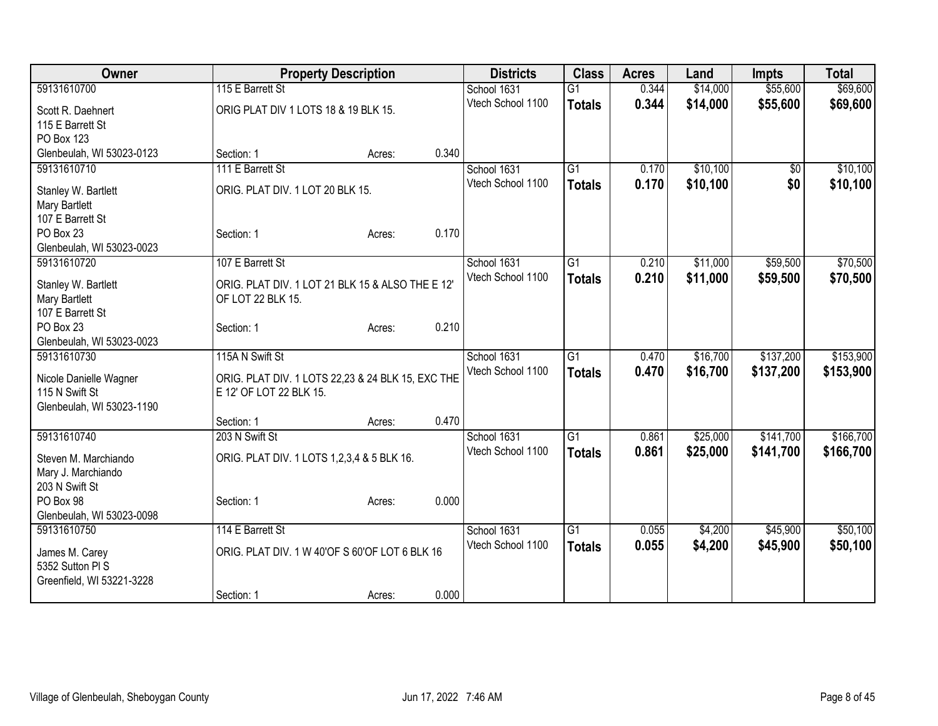| Owner                     |                                                   | <b>Property Description</b> |       | <b>Districts</b>  | <b>Class</b>    | <b>Acres</b> | Land     | <b>Impts</b> | <b>Total</b> |
|---------------------------|---------------------------------------------------|-----------------------------|-------|-------------------|-----------------|--------------|----------|--------------|--------------|
| 59131610700               | 115 E Barrett St                                  |                             |       | School 1631       | $\overline{G1}$ | 0.344        | \$14,000 | \$55,600     | \$69,600     |
| Scott R. Daehnert         | ORIG PLAT DIV 1 LOTS 18 & 19 BLK 15.              |                             |       | Vtech School 1100 | <b>Totals</b>   | 0.344        | \$14,000 | \$55,600     | \$69,600     |
| 115 E Barrett St          |                                                   |                             |       |                   |                 |              |          |              |              |
| PO Box 123                |                                                   |                             |       |                   |                 |              |          |              |              |
| Glenbeulah, WI 53023-0123 | Section: 1                                        | Acres:                      | 0.340 |                   |                 |              |          |              |              |
| 59131610710               | 111 E Barrett St                                  |                             |       | School 1631       | $\overline{G1}$ | 0.170        | \$10,100 | \$0          | \$10,100     |
|                           |                                                   |                             |       | Vtech School 1100 | <b>Totals</b>   | 0.170        | \$10,100 | \$0          | \$10,100     |
| Stanley W. Bartlett       | ORIG. PLAT DIV. 1 LOT 20 BLK 15.                  |                             |       |                   |                 |              |          |              |              |
| Mary Bartlett             |                                                   |                             |       |                   |                 |              |          |              |              |
| 107 E Barrett St          |                                                   |                             |       |                   |                 |              |          |              |              |
| PO Box 23                 | Section: 1                                        | Acres:                      | 0.170 |                   |                 |              |          |              |              |
| Glenbeulah, WI 53023-0023 |                                                   |                             |       |                   |                 |              |          |              |              |
| 59131610720               | 107 E Barrett St                                  |                             |       | School 1631       | $\overline{G1}$ | 0.210        | \$11,000 | \$59,500     | \$70,500     |
| Stanley W. Bartlett       | ORIG. PLAT DIV. 1 LOT 21 BLK 15 & ALSO THE E 12'  |                             |       | Vtech School 1100 | <b>Totals</b>   | 0.210        | \$11,000 | \$59,500     | \$70,500     |
| Mary Bartlett             | OF LOT 22 BLK 15.                                 |                             |       |                   |                 |              |          |              |              |
| 107 E Barrett St          |                                                   |                             |       |                   |                 |              |          |              |              |
| PO Box 23                 | Section: 1                                        | Acres:                      | 0.210 |                   |                 |              |          |              |              |
| Glenbeulah, WI 53023-0023 |                                                   |                             |       |                   |                 |              |          |              |              |
| 59131610730               | 115A N Swift St                                   |                             |       | School 1631       | $\overline{G1}$ | 0.470        | \$16,700 | \$137,200    | \$153,900    |
|                           |                                                   |                             |       | Vtech School 1100 | <b>Totals</b>   | 0.470        | \$16,700 | \$137,200    | \$153,900    |
| Nicole Danielle Wagner    | ORIG. PLAT DIV. 1 LOTS 22,23 & 24 BLK 15, EXC THE |                             |       |                   |                 |              |          |              |              |
| 115 N Swift St            | E 12' OF LOT 22 BLK 15.                           |                             |       |                   |                 |              |          |              |              |
| Glenbeulah, WI 53023-1190 |                                                   |                             |       |                   |                 |              |          |              |              |
|                           | Section: 1                                        | Acres:                      | 0.470 |                   |                 |              |          |              |              |
| 59131610740               | 203 N Swift St                                    |                             |       | School 1631       | $\overline{G1}$ | 0.861        | \$25,000 | \$141,700    | \$166,700    |
| Steven M. Marchiando      | ORIG. PLAT DIV. 1 LOTS 1,2,3,4 & 5 BLK 16.        |                             |       | Vtech School 1100 | <b>Totals</b>   | 0.861        | \$25,000 | \$141,700    | \$166,700    |
| Mary J. Marchiando        |                                                   |                             |       |                   |                 |              |          |              |              |
| 203 N Swift St            |                                                   |                             |       |                   |                 |              |          |              |              |
| PO Box 98                 | Section: 1                                        | Acres:                      | 0.000 |                   |                 |              |          |              |              |
| Glenbeulah, WI 53023-0098 |                                                   |                             |       |                   |                 |              |          |              |              |
| 59131610750               | 114 E Barrett St                                  |                             |       | School 1631       | $\overline{G1}$ | 0.055        | \$4,200  | \$45,900     | \$50,100     |
|                           |                                                   |                             |       | Vtech School 1100 | <b>Totals</b>   | 0.055        | \$4,200  | \$45,900     | \$50,100     |
| James M. Carey            | ORIG. PLAT DIV. 1 W 40'OF S 60'OF LOT 6 BLK 16    |                             |       |                   |                 |              |          |              |              |
| 5352 Sutton PI S          |                                                   |                             |       |                   |                 |              |          |              |              |
| Greenfield, WI 53221-3228 |                                                   |                             |       |                   |                 |              |          |              |              |
|                           | Section: 1                                        | Acres:                      | 0.000 |                   |                 |              |          |              |              |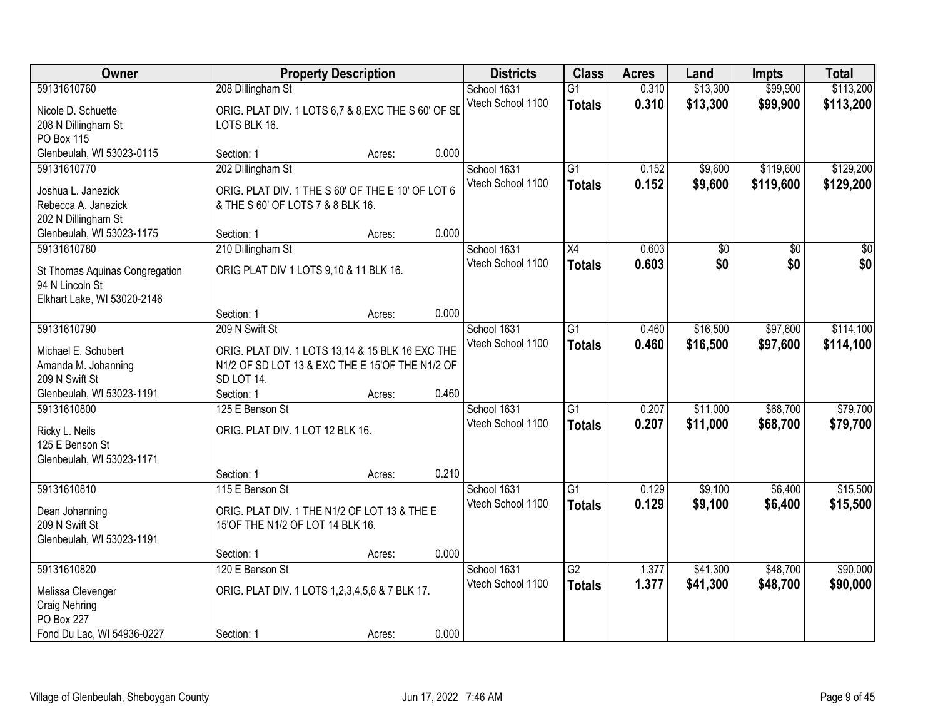| Owner                                                                           |                                                                                                                                     | <b>Property Description</b> |       |                                  | <b>Class</b>                     | <b>Acres</b>   | Land                   | <b>Impts</b>           | <b>Total</b>           |
|---------------------------------------------------------------------------------|-------------------------------------------------------------------------------------------------------------------------------------|-----------------------------|-------|----------------------------------|----------------------------------|----------------|------------------------|------------------------|------------------------|
| 59131610760                                                                     | 208 Dillingham St                                                                                                                   |                             |       | School 1631                      | $\overline{G1}$                  | 0.310          | \$13,300               | \$99,900               | \$113,200              |
| Nicole D. Schuette<br>208 N Dillingham St<br>PO Box 115                         | ORIG. PLAT DIV. 1 LOTS 6,7 & 8, EXC THE S 60' OF SI<br>LOTS BLK 16.                                                                 |                             |       | Vtech School 1100                | <b>Totals</b>                    | 0.310          | \$13,300               | \$99,900               | \$113,200              |
| Glenbeulah, WI 53023-0115                                                       | Section: 1                                                                                                                          | Acres:                      | 0.000 |                                  |                                  |                |                        |                        |                        |
| 59131610770<br>Joshua L. Janezick<br>Rebecca A. Janezick<br>202 N Dillingham St | 202 Dillingham St<br>ORIG. PLAT DIV. 1 THE S 60' OF THE E 10' OF LOT 6<br>& THE S 60' OF LOTS 7 & 8 BLK 16.                         |                             |       | School 1631<br>Vtech School 1100 | $\overline{G1}$<br><b>Totals</b> | 0.152<br>0.152 | \$9,600<br>\$9,600     | \$119,600<br>\$119,600 | \$129,200<br>\$129,200 |
| Glenbeulah, WI 53023-1175                                                       | Section: 1                                                                                                                          | Acres:                      | 0.000 |                                  |                                  |                |                        |                        |                        |
| 59131610780<br>St Thomas Aquinas Congregation<br>94 N Lincoln St                | 210 Dillingham St<br>ORIG PLAT DIV 1 LOTS 9,10 & 11 BLK 16.                                                                         |                             |       | School 1631<br>Vtech School 1100 | X4<br><b>Totals</b>              | 0.603<br>0.603 | $\overline{60}$<br>\$0 | $\overline{50}$<br>\$0 | $\overline{50}$<br>\$0 |
| Elkhart Lake, WI 53020-2146                                                     |                                                                                                                                     |                             |       |                                  |                                  |                |                        |                        |                        |
|                                                                                 | Section: 1                                                                                                                          | Acres:                      | 0.000 |                                  |                                  |                |                        |                        |                        |
| 59131610790<br>Michael E. Schubert<br>Amanda M. Johanning<br>209 N Swift St     | 209 N Swift St<br>ORIG. PLAT DIV. 1 LOTS 13,14 & 15 BLK 16 EXC THE<br>N1/2 OF SD LOT 13 & EXC THE E 15'OF THE N1/2 OF<br>SD LOT 14. |                             |       | School 1631<br>Vtech School 1100 | $\overline{G1}$<br><b>Totals</b> | 0.460<br>0.460 | \$16,500<br>\$16,500   | \$97,600<br>\$97,600   | \$114,100<br>\$114,100 |
| Glenbeulah, WI 53023-1191                                                       | Section: 1                                                                                                                          | Acres:                      | 0.460 |                                  |                                  |                |                        |                        |                        |
| 59131610800<br>Ricky L. Neils<br>125 E Benson St<br>Glenbeulah, WI 53023-1171   | 125 E Benson St<br>ORIG. PLAT DIV. 1 LOT 12 BLK 16.<br>Section: 1                                                                   |                             | 0.210 | School 1631<br>Vtech School 1100 | $\overline{G1}$<br><b>Totals</b> | 0.207<br>0.207 | \$11,000<br>\$11,000   | \$68,700<br>\$68,700   | \$79,700<br>\$79,700   |
| 59131610810                                                                     | 115 E Benson St                                                                                                                     | Acres:                      |       | School 1631                      | $\overline{G1}$                  | 0.129          | \$9,100                | \$6,400                | \$15,500               |
| Dean Johanning<br>209 N Swift St<br>Glenbeulah, WI 53023-1191                   | ORIG. PLAT DIV. 1 THE N1/2 OF LOT 13 & THE E<br>15'OF THE N1/2 OF LOT 14 BLK 16.                                                    |                             |       | Vtech School 1100                | <b>Totals</b>                    | 0.129          | \$9,100                | \$6,400                | \$15,500               |
|                                                                                 | Section: 1                                                                                                                          | Acres:                      | 0.000 |                                  |                                  |                |                        |                        |                        |
| 59131610820<br>Melissa Clevenger<br>Craig Nehring<br>PO Box 227                 | 120 E Benson St<br>ORIG. PLAT DIV. 1 LOTS 1,2,3,4,5,6 & 7 BLK 17.                                                                   |                             |       | School 1631<br>Vtech School 1100 | $\overline{G2}$<br><b>Totals</b> | 1.377<br>1.377 | \$41,300<br>\$41,300   | \$48,700<br>\$48,700   | \$90,000<br>\$90,000   |
| Fond Du Lac, WI 54936-0227                                                      | Section: 1                                                                                                                          | Acres:                      | 0.000 |                                  |                                  |                |                        |                        |                        |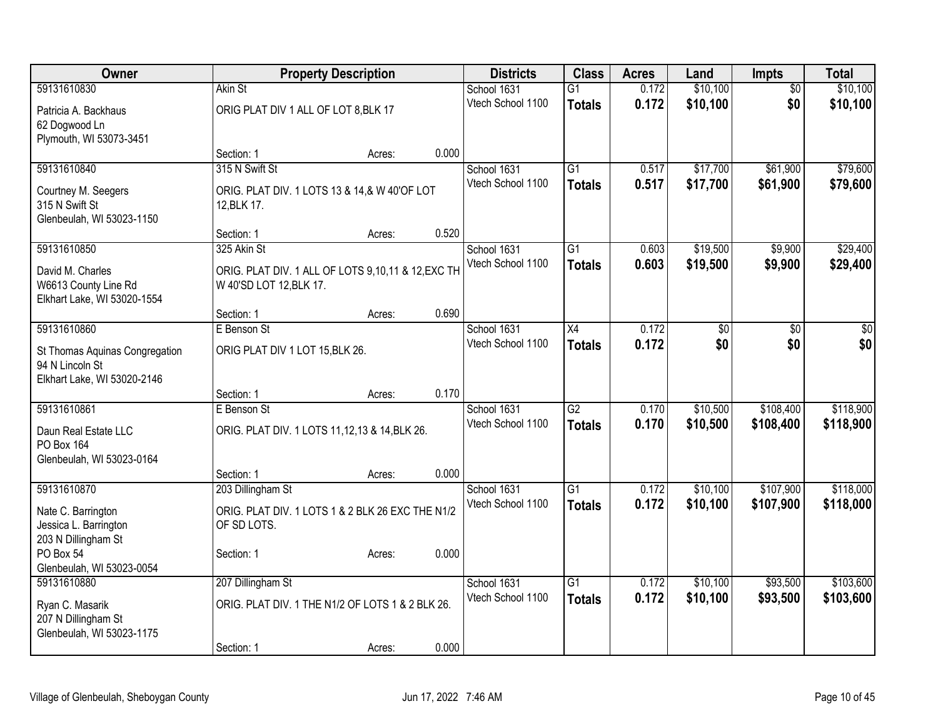| Owner                                            | <b>Property Description</b>                        |        |       | <b>Districts</b>                 | <b>Class</b>    | <b>Acres</b> | Land     | <b>Impts</b>    | <b>Total</b>    |
|--------------------------------------------------|----------------------------------------------------|--------|-------|----------------------------------|-----------------|--------------|----------|-----------------|-----------------|
| 59131610830                                      | Akin St                                            |        |       | School 1631                      | $\overline{G1}$ | 0.172        | \$10,100 | $\overline{50}$ | \$10,100        |
| Patricia A. Backhaus                             | ORIG PLAT DIV 1 ALL OF LOT 8, BLK 17               |        |       | Vtech School 1100                | <b>Totals</b>   | 0.172        | \$10,100 | \$0             | \$10,100        |
| 62 Dogwood Ln                                    |                                                    |        |       |                                  |                 |              |          |                 |                 |
| Plymouth, WI 53073-3451                          |                                                    |        |       |                                  |                 |              |          |                 |                 |
|                                                  | Section: 1                                         | Acres: | 0.000 |                                  |                 |              |          |                 |                 |
| 59131610840                                      | 315 N Swift St                                     |        |       | School 1631                      | $\overline{G1}$ | 0.517        | \$17,700 | \$61,900        | \$79,600        |
| Courtney M. Seegers                              | ORIG. PLAT DIV. 1 LOTS 13 & 14,& W 40'OF LOT       |        |       | Vtech School 1100                | <b>Totals</b>   | 0.517        | \$17,700 | \$61,900        | \$79,600        |
| 315 N Swift St                                   | 12, BLK 17.                                        |        |       |                                  |                 |              |          |                 |                 |
| Glenbeulah, WI 53023-1150                        |                                                    |        |       |                                  |                 |              |          |                 |                 |
|                                                  | Section: 1                                         | Acres: | 0.520 |                                  |                 |              |          |                 |                 |
| 59131610850                                      | 325 Akin St                                        |        |       | School 1631                      | $\overline{G1}$ | 0.603        | \$19,500 | \$9,900         | \$29,400        |
| David M. Charles                                 | ORIG. PLAT DIV. 1 ALL OF LOTS 9,10,11 & 12, EXC TH |        |       | Vtech School 1100                | <b>Totals</b>   | 0.603        | \$19,500 | \$9,900         | \$29,400        |
| W6613 County Line Rd                             | W 40'SD LOT 12, BLK 17.                            |        |       |                                  |                 |              |          |                 |                 |
| Elkhart Lake, WI 53020-1554                      |                                                    |        |       |                                  |                 |              |          |                 |                 |
|                                                  | Section: 1                                         | Acres: | 0.690 |                                  |                 |              |          |                 |                 |
| 59131610860                                      | E Benson St                                        |        |       | School 1631                      | $\overline{X4}$ | 0.172        | \$0      | $\overline{30}$ | $\overline{50}$ |
| St Thomas Aquinas Congregation                   | ORIG PLAT DIV 1 LOT 15, BLK 26.                    |        |       | Vtech School 1100                | <b>Totals</b>   | 0.172        | \$0      | \$0             | \$0             |
| 94 N Lincoln St                                  |                                                    |        |       |                                  |                 |              |          |                 |                 |
| Elkhart Lake, WI 53020-2146                      |                                                    |        |       |                                  |                 |              |          |                 |                 |
|                                                  | Section: 1                                         | Acres: | 0.170 |                                  |                 |              |          |                 |                 |
| 59131610861                                      | E Benson St                                        |        |       | School 1631<br>Vtech School 1100 | $\overline{G2}$ | 0.170        | \$10,500 | \$108,400       | \$118,900       |
| Daun Real Estate LLC                             | ORIG. PLAT DIV. 1 LOTS 11,12,13 & 14, BLK 26.      |        |       |                                  | <b>Totals</b>   | 0.170        | \$10,500 | \$108,400       | \$118,900       |
| PO Box 164                                       |                                                    |        |       |                                  |                 |              |          |                 |                 |
| Glenbeulah, WI 53023-0164                        |                                                    |        |       |                                  |                 |              |          |                 |                 |
| 59131610870                                      | Section: 1                                         | Acres: | 0.000 | School 1631                      | $\overline{G1}$ | 0.172        | \$10,100 | \$107,900       | \$118,000       |
|                                                  | 203 Dillingham St                                  |        |       | Vtech School 1100                |                 | 0.172        | \$10,100 | \$107,900       | \$118,000       |
| Nate C. Barrington                               | ORIG. PLAT DIV. 1 LOTS 1 & 2 BLK 26 EXC THE N1/2   |        |       |                                  | <b>Totals</b>   |              |          |                 |                 |
| Jessica L. Barrington                            | OF SD LOTS.                                        |        |       |                                  |                 |              |          |                 |                 |
| 203 N Dillingham St                              |                                                    |        |       |                                  |                 |              |          |                 |                 |
| PO Box 54<br>Glenbeulah, WI 53023-0054           | Section: 1                                         | Acres: | 0.000 |                                  |                 |              |          |                 |                 |
| 59131610880                                      | 207 Dillingham St                                  |        |       | School 1631                      | $\overline{G1}$ | 0.172        | \$10,100 | \$93,500        | \$103,600       |
|                                                  |                                                    |        |       | Vtech School 1100                | <b>Totals</b>   | 0.172        | \$10,100 | \$93,500        | \$103,600       |
| Ryan C. Masarik                                  | ORIG. PLAT DIV. 1 THE N1/2 OF LOTS 1 & 2 BLK 26.   |        |       |                                  |                 |              |          |                 |                 |
| 207 N Dillingham St<br>Glenbeulah, WI 53023-1175 |                                                    |        |       |                                  |                 |              |          |                 |                 |
|                                                  | Section: 1                                         | Acres: | 0.000 |                                  |                 |              |          |                 |                 |
|                                                  |                                                    |        |       |                                  |                 |              |          |                 |                 |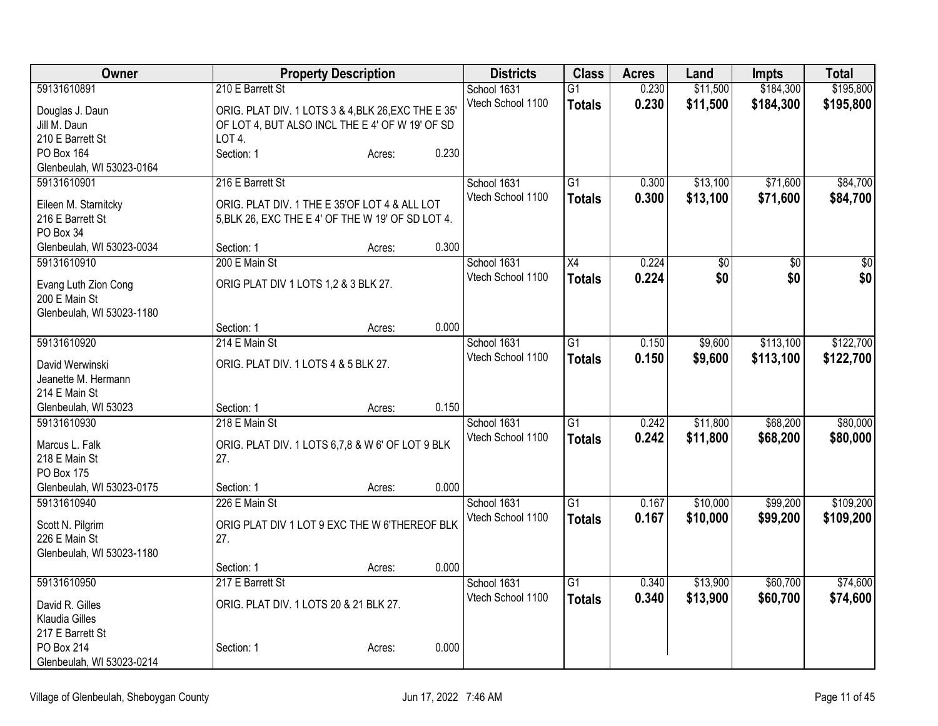| Owner                                   |                                                     | <b>Property Description</b> |       |                   | <b>Class</b>    | <b>Acres</b> | Land            | Impts           | <b>Total</b>    |
|-----------------------------------------|-----------------------------------------------------|-----------------------------|-------|-------------------|-----------------|--------------|-----------------|-----------------|-----------------|
| 59131610891                             | 210 E Barrett St                                    |                             |       | School 1631       | $\overline{G1}$ | 0.230        | \$11,500        | \$184,300       | \$195,800       |
| Douglas J. Daun                         | ORIG. PLAT DIV. 1 LOTS 3 & 4, BLK 26, EXC THE E 35' |                             |       | Vtech School 1100 | <b>Totals</b>   | 0.230        | \$11,500        | \$184,300       | \$195,800       |
| Jill M. Daun                            | OF LOT 4, BUT ALSO INCL THE E 4' OF W 19' OF SD     |                             |       |                   |                 |              |                 |                 |                 |
| 210 E Barrett St                        | LOT 4.                                              |                             |       |                   |                 |              |                 |                 |                 |
| PO Box 164                              | Section: 1                                          | Acres:                      | 0.230 |                   |                 |              |                 |                 |                 |
| Glenbeulah, WI 53023-0164               |                                                     |                             |       |                   |                 |              |                 |                 |                 |
| 59131610901                             | 216 E Barrett St                                    |                             |       | School 1631       | $\overline{G1}$ | 0.300        | \$13,100        | \$71,600        | \$84,700        |
| Eileen M. Starnitcky                    | ORIG. PLAT DIV. 1 THE E 35'OF LOT 4 & ALL LOT       |                             |       | Vtech School 1100 | <b>Totals</b>   | 0.300        | \$13,100        | \$71,600        | \$84,700        |
| 216 E Barrett St                        | 5, BLK 26, EXC THE E 4' OF THE W 19' OF SD LOT 4.   |                             |       |                   |                 |              |                 |                 |                 |
| PO Box 34                               |                                                     |                             |       |                   |                 |              |                 |                 |                 |
| Glenbeulah, WI 53023-0034               | Section: 1                                          | Acres:                      | 0.300 |                   |                 |              |                 |                 |                 |
| 59131610910                             | 200 E Main St                                       |                             |       | School 1631       | X4              | 0.224        | $\overline{50}$ | $\overline{30}$ | $\overline{50}$ |
| Evang Luth Zion Cong                    | ORIG PLAT DIV 1 LOTS 1,2 & 3 BLK 27.                |                             |       | Vtech School 1100 | <b>Totals</b>   | 0.224        | \$0             | \$0             | \$0             |
| 200 E Main St                           |                                                     |                             |       |                   |                 |              |                 |                 |                 |
| Glenbeulah, WI 53023-1180               |                                                     |                             |       |                   |                 |              |                 |                 |                 |
|                                         | Section: 1                                          | Acres:                      | 0.000 |                   |                 |              |                 |                 |                 |
| 59131610920                             | 214 E Main St                                       |                             |       | School 1631       | $\overline{G1}$ | 0.150        | \$9,600         | \$113,100       | \$122,700       |
|                                         |                                                     |                             |       | Vtech School 1100 | <b>Totals</b>   | 0.150        | \$9,600         | \$113,100       | \$122,700       |
| David Werwinski<br>Jeanette M. Hermann  | ORIG. PLAT DIV. 1 LOTS 4 & 5 BLK 27.                |                             |       |                   |                 |              |                 |                 |                 |
| 214 E Main St                           |                                                     |                             |       |                   |                 |              |                 |                 |                 |
| Glenbeulah, WI 53023                    | Section: 1                                          | Acres:                      | 0.150 |                   |                 |              |                 |                 |                 |
| 59131610930                             | 218 E Main St                                       |                             |       | School 1631       | $\overline{G1}$ | 0.242        | \$11,800        | \$68,200        | \$80,000        |
|                                         |                                                     |                             |       | Vtech School 1100 | <b>Totals</b>   | 0.242        | \$11,800        | \$68,200        | \$80,000        |
| Marcus L. Falk                          | ORIG. PLAT DIV. 1 LOTS 6,7,8 & W 6' OF LOT 9 BLK    |                             |       |                   |                 |              |                 |                 |                 |
| 218 E Main St                           | 27.                                                 |                             |       |                   |                 |              |                 |                 |                 |
| PO Box 175<br>Glenbeulah, WI 53023-0175 | Section: 1                                          |                             | 0.000 |                   |                 |              |                 |                 |                 |
| 59131610940                             | 226 E Main St                                       | Acres:                      |       | School 1631       | $\overline{G1}$ | 0.167        | \$10,000        | \$99,200        | \$109,200       |
|                                         |                                                     |                             |       | Vtech School 1100 | <b>Totals</b>   | 0.167        | \$10,000        | \$99,200        | \$109,200       |
| Scott N. Pilgrim                        | ORIG PLAT DIV 1 LOT 9 EXC THE W 6'THEREOF BLK       |                             |       |                   |                 |              |                 |                 |                 |
| 226 E Main St                           | 27.                                                 |                             |       |                   |                 |              |                 |                 |                 |
| Glenbeulah, WI 53023-1180               |                                                     |                             |       |                   |                 |              |                 |                 |                 |
|                                         | Section: 1                                          | Acres:                      | 0.000 |                   |                 |              |                 |                 |                 |
| 59131610950                             | 217 E Barrett St                                    |                             |       | School 1631       | G1              | 0.340        | \$13,900        | \$60,700        | \$74,600        |
| David R. Gilles                         | ORIG. PLAT DIV. 1 LOTS 20 & 21 BLK 27.              |                             |       | Vtech School 1100 | <b>Totals</b>   | 0.340        | \$13,900        | \$60,700        | \$74,600        |
| Klaudia Gilles                          |                                                     |                             |       |                   |                 |              |                 |                 |                 |
| 217 E Barrett St                        |                                                     |                             |       |                   |                 |              |                 |                 |                 |
| PO Box 214                              | Section: 1                                          | Acres:                      | 0.000 |                   |                 |              |                 |                 |                 |
| Glenbeulah, WI 53023-0214               |                                                     |                             |       |                   |                 |              |                 |                 |                 |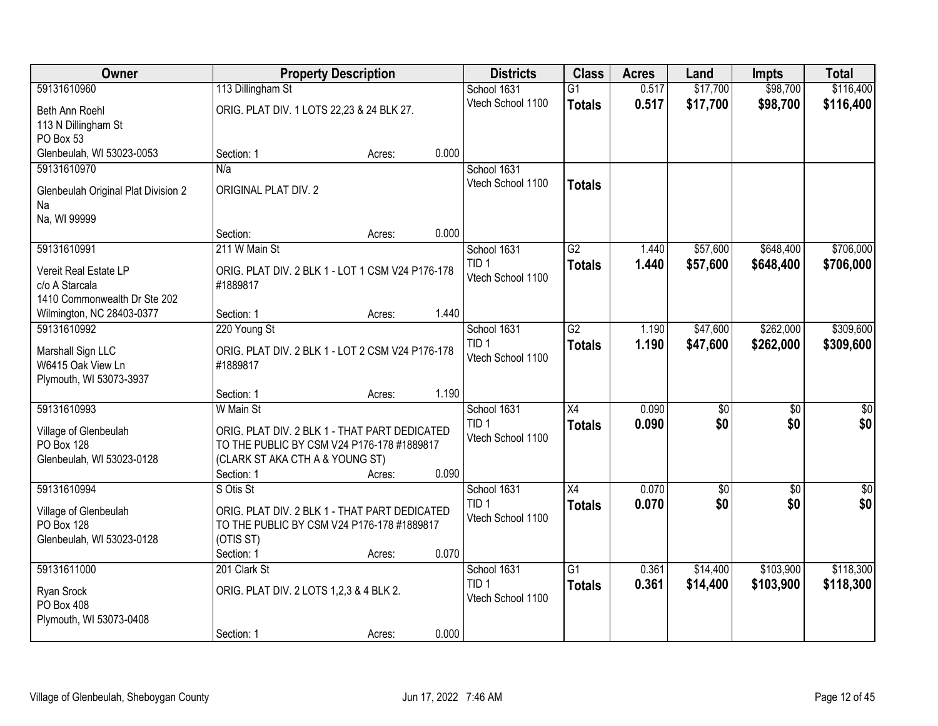| Owner                                      |                                                                                             | <b>Property Description</b> |       | <b>Districts</b>                | <b>Class</b>    | <b>Acres</b> | Land            | <b>Impts</b>    | <b>Total</b>     |
|--------------------------------------------|---------------------------------------------------------------------------------------------|-----------------------------|-------|---------------------------------|-----------------|--------------|-----------------|-----------------|------------------|
| 59131610960                                | 113 Dillingham St                                                                           |                             |       | School 1631                     | $\overline{G1}$ | 0.517        | \$17,700        | \$98,700        | \$116,400        |
| Beth Ann Roehl                             | ORIG. PLAT DIV. 1 LOTS 22,23 & 24 BLK 27.                                                   |                             |       | Vtech School 1100               | <b>Totals</b>   | 0.517        | \$17,700        | \$98,700        | \$116,400        |
| 113 N Dillingham St                        |                                                                                             |                             |       |                                 |                 |              |                 |                 |                  |
| PO Box 53                                  |                                                                                             |                             |       |                                 |                 |              |                 |                 |                  |
| Glenbeulah, WI 53023-0053                  | Section: 1                                                                                  | Acres:                      | 0.000 |                                 |                 |              |                 |                 |                  |
| 59131610970                                | N/a                                                                                         |                             |       | School 1631                     |                 |              |                 |                 |                  |
| Glenbeulah Original Plat Division 2        | ORIGINAL PLAT DIV. 2                                                                        |                             |       | Vtech School 1100               | <b>Totals</b>   |              |                 |                 |                  |
| Na                                         |                                                                                             |                             |       |                                 |                 |              |                 |                 |                  |
| Na, WI 99999                               |                                                                                             |                             |       |                                 |                 |              |                 |                 |                  |
|                                            | Section:                                                                                    | Acres:                      | 0.000 |                                 |                 |              |                 |                 |                  |
| 59131610991                                | 211 W Main St                                                                               |                             |       | School 1631<br>TID <sub>1</sub> | $\overline{G2}$ | 1.440        | \$57,600        | \$648,400       | \$706,000        |
| Vereit Real Estate LP                      | ORIG. PLAT DIV. 2 BLK 1 - LOT 1 CSM V24 P176-178                                            |                             |       | Vtech School 1100               | <b>Totals</b>   | 1.440        | \$57,600        | \$648,400       | \$706,000        |
| c/o A Starcala                             | #1889817                                                                                    |                             |       |                                 |                 |              |                 |                 |                  |
| 1410 Commonwealth Dr Ste 202               |                                                                                             |                             |       |                                 |                 |              |                 |                 |                  |
| Wilmington, NC 28403-0377<br>59131610992   | Section: 1<br>220 Young St                                                                  | Acres:                      | 1.440 | School 1631                     | $\overline{G2}$ | 1.190        | \$47,600        | \$262,000       | \$309,600        |
|                                            |                                                                                             |                             |       | TID <sub>1</sub>                | <b>Totals</b>   | 1.190        | \$47,600        | \$262,000       | \$309,600        |
| Marshall Sign LLC                          | ORIG. PLAT DIV. 2 BLK 1 - LOT 2 CSM V24 P176-178                                            |                             |       | Vtech School 1100               |                 |              |                 |                 |                  |
| W6415 Oak View Ln                          | #1889817                                                                                    |                             |       |                                 |                 |              |                 |                 |                  |
| Plymouth, WI 53073-3937                    | Section: 1                                                                                  | Acres:                      | 1.190 |                                 |                 |              |                 |                 |                  |
| 59131610993                                | W Main St                                                                                   |                             |       | School 1631                     | $\overline{X4}$ | 0.090        | $\overline{50}$ | $\overline{50}$ | $\overline{\$0}$ |
|                                            |                                                                                             |                             |       | TID <sub>1</sub>                | <b>Totals</b>   | 0.090        | \$0             | \$0             | \$0              |
| Village of Glenbeulah<br><b>PO Box 128</b> | ORIG. PLAT DIV. 2 BLK 1 - THAT PART DEDICATED<br>TO THE PUBLIC BY CSM V24 P176-178 #1889817 |                             |       | Vtech School 1100               |                 |              |                 |                 |                  |
| Glenbeulah, WI 53023-0128                  | (CLARK ST AKA CTH A & YOUNG ST)                                                             |                             |       |                                 |                 |              |                 |                 |                  |
|                                            | Section: 1                                                                                  | Acres:                      | 0.090 |                                 |                 |              |                 |                 |                  |
| 59131610994                                | S Otis St                                                                                   |                             |       | School 1631                     | $\overline{X4}$ | 0.070        | \$0             | $\overline{50}$ | $\frac{1}{6}$    |
| Village of Glenbeulah                      | ORIG. PLAT DIV. 2 BLK 1 - THAT PART DEDICATED                                               |                             |       | TID <sub>1</sub>                | <b>Totals</b>   | 0.070        | \$0             | \$0             | \$0              |
| PO Box 128                                 | TO THE PUBLIC BY CSM V24 P176-178 #1889817                                                  |                             |       | Vtech School 1100               |                 |              |                 |                 |                  |
| Glenbeulah, WI 53023-0128                  | (OTIS ST)                                                                                   |                             |       |                                 |                 |              |                 |                 |                  |
|                                            | Section: 1                                                                                  | Acres:                      | 0.070 |                                 |                 |              |                 |                 |                  |
| 59131611000                                | 201 Clark St                                                                                |                             |       | School 1631                     | $\overline{G1}$ | 0.361        | \$14,400        | \$103,900       | \$118,300        |
| Ryan Srock                                 | ORIG. PLAT DIV. 2 LOTS 1,2,3 & 4 BLK 2.                                                     |                             |       | TID <sub>1</sub>                | <b>Totals</b>   | 0.361        | \$14,400        | \$103,900       | \$118,300        |
| PO Box 408                                 |                                                                                             |                             |       | Vtech School 1100               |                 |              |                 |                 |                  |
| Plymouth, WI 53073-0408                    |                                                                                             |                             |       |                                 |                 |              |                 |                 |                  |
|                                            | Section: 1                                                                                  | Acres:                      | 0.000 |                                 |                 |              |                 |                 |                  |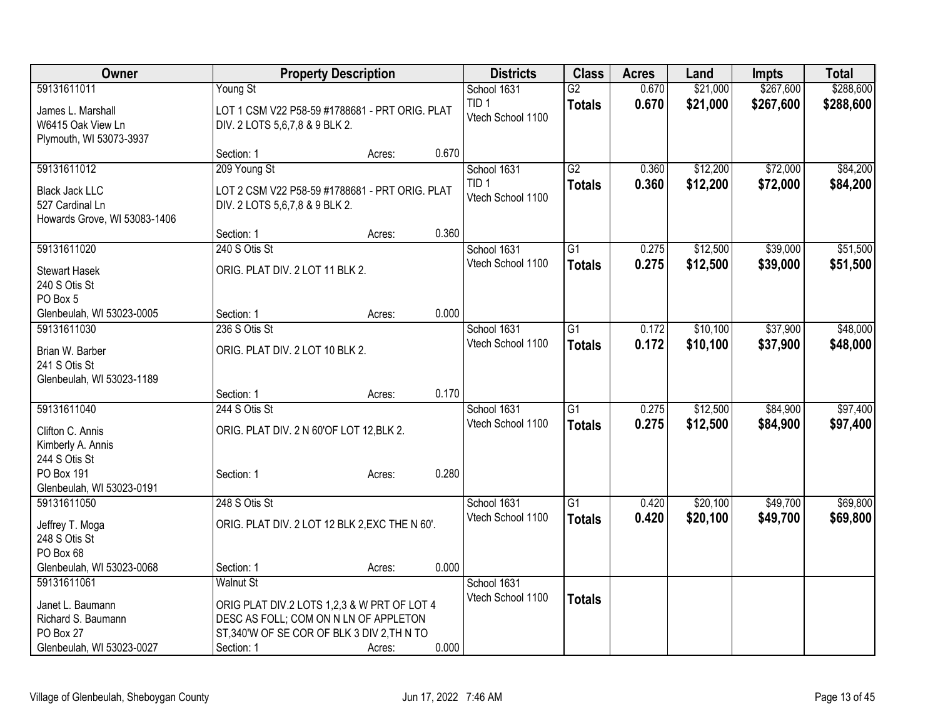| Owner                              |                                          | <b>Property Description</b>                    |       | <b>Districts</b>                      | <b>Class</b>    | <b>Acres</b>   | Land                 | Impts     | <b>Total</b>         |
|------------------------------------|------------------------------------------|------------------------------------------------|-------|---------------------------------------|-----------------|----------------|----------------------|-----------|----------------------|
| 59131611011                        | Young St                                 |                                                |       | School 1631                           | $\overline{G2}$ | 0.670          | \$21,000             | \$267,600 | \$288,600            |
| James L. Marshall                  |                                          | LOT 1 CSM V22 P58-59 #1788681 - PRT ORIG. PLAT |       | TID <sub>1</sub>                      | <b>Totals</b>   | 0.670          | \$21,000             | \$267,600 | \$288,600            |
| W6415 Oak View Ln                  | DIV. 2 LOTS 5,6,7,8 & 9 BLK 2.           |                                                |       | Vtech School 1100                     |                 |                |                      |           |                      |
| Plymouth, WI 53073-3937            |                                          |                                                |       |                                       |                 |                |                      |           |                      |
|                                    | Section: 1                               | Acres:                                         | 0.670 |                                       |                 |                |                      |           |                      |
| 59131611012                        | 209 Young St                             |                                                |       | School 1631                           | $\overline{G2}$ | 0.360          | \$12,200             | \$72,000  | \$84,200             |
| <b>Black Jack LLC</b>              |                                          | LOT 2 CSM V22 P58-59 #1788681 - PRT ORIG. PLAT |       | TID <sub>1</sub><br>Vtech School 1100 | <b>Totals</b>   | 0.360          | \$12,200             | \$72,000  | \$84,200             |
| 527 Cardinal Ln                    | DIV. 2 LOTS 5,6,7,8 & 9 BLK 2.           |                                                |       |                                       |                 |                |                      |           |                      |
| Howards Grove, WI 53083-1406       |                                          |                                                |       |                                       |                 |                |                      |           |                      |
|                                    | Section: 1                               | Acres:                                         | 0.360 |                                       |                 |                |                      |           |                      |
| 59131611020                        | 240 S Otis St                            |                                                |       | School 1631                           | $\overline{G1}$ | 0.275          | \$12,500             | \$39,000  | \$51,500             |
| <b>Stewart Hasek</b>               | ORIG. PLAT DIV. 2 LOT 11 BLK 2.          |                                                |       | Vtech School 1100                     | <b>Totals</b>   | 0.275          | \$12,500             | \$39,000  | \$51,500             |
| 240 S Otis St                      |                                          |                                                |       |                                       |                 |                |                      |           |                      |
| PO Box 5                           |                                          |                                                |       |                                       |                 |                |                      |           |                      |
| Glenbeulah, WI 53023-0005          | Section: 1<br>236 S Otis St              | Acres:                                         | 0.000 |                                       | $\overline{G1}$ |                |                      | \$37,900  |                      |
| 59131611030                        |                                          |                                                |       | School 1631<br>Vtech School 1100      |                 | 0.172<br>0.172 | \$10,100<br>\$10,100 | \$37,900  | \$48,000<br>\$48,000 |
| Brian W. Barber                    | ORIG. PLAT DIV. 2 LOT 10 BLK 2.          |                                                |       |                                       | <b>Totals</b>   |                |                      |           |                      |
| 241 S Otis St                      |                                          |                                                |       |                                       |                 |                |                      |           |                      |
| Glenbeulah, WI 53023-1189          |                                          |                                                | 0.170 |                                       |                 |                |                      |           |                      |
| 59131611040                        | Section: 1<br>244 S Otis St              | Acres:                                         |       | School 1631                           | $\overline{G1}$ | 0.275          | \$12,500             | \$84,900  | \$97,400             |
|                                    |                                          |                                                |       | Vtech School 1100                     | <b>Totals</b>   | 0.275          | \$12,500             | \$84,900  | \$97,400             |
| Clifton C. Annis                   | ORIG. PLAT DIV. 2 N 60'OF LOT 12, BLK 2. |                                                |       |                                       |                 |                |                      |           |                      |
| Kimberly A. Annis<br>244 S Otis St |                                          |                                                |       |                                       |                 |                |                      |           |                      |
| PO Box 191                         | Section: 1                               | Acres:                                         | 0.280 |                                       |                 |                |                      |           |                      |
| Glenbeulah, WI 53023-0191          |                                          |                                                |       |                                       |                 |                |                      |           |                      |
| 59131611050                        | 248 S Otis St                            |                                                |       | School 1631                           | $\overline{G1}$ | 0.420          | \$20,100             | \$49,700  | \$69,800             |
| Jeffrey T. Moga                    |                                          | ORIG. PLAT DIV. 2 LOT 12 BLK 2, EXC THE N 60'. |       | Vtech School 1100                     | <b>Totals</b>   | 0.420          | \$20,100             | \$49,700  | \$69,800             |
| 248 S Otis St                      |                                          |                                                |       |                                       |                 |                |                      |           |                      |
| PO Box 68                          |                                          |                                                |       |                                       |                 |                |                      |           |                      |
| Glenbeulah, WI 53023-0068          | Section: 1                               | Acres:                                         | 0.000 |                                       |                 |                |                      |           |                      |
| 59131611061                        | <b>Walnut St</b>                         |                                                |       | School 1631                           |                 |                |                      |           |                      |
| Janet L. Baumann                   |                                          | ORIG PLAT DIV.2 LOTS 1,2,3 & W PRT OF LOT 4    |       | Vtech School 1100                     | <b>Totals</b>   |                |                      |           |                      |
| Richard S. Baumann                 |                                          | DESC AS FOLL; COM ON N LN OF APPLETON          |       |                                       |                 |                |                      |           |                      |
| PO Box 27                          |                                          | ST,340'W OF SE COR OF BLK 3 DIV 2, TH N TO     |       |                                       |                 |                |                      |           |                      |
| Glenbeulah, WI 53023-0027          | Section: 1                               | Acres:                                         | 0.000 |                                       |                 |                |                      |           |                      |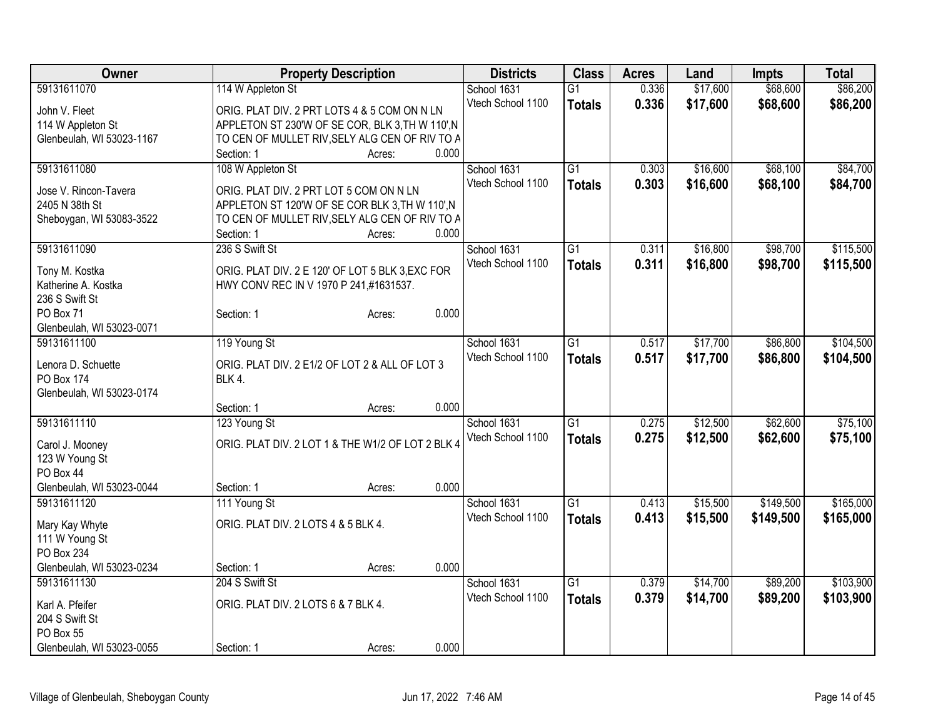| Owner                                   |                                                   | <b>Property Description</b> |       | <b>Districts</b>  | <b>Class</b>    | <b>Acres</b> | Land     | <b>Impts</b> | <b>Total</b> |
|-----------------------------------------|---------------------------------------------------|-----------------------------|-------|-------------------|-----------------|--------------|----------|--------------|--------------|
| 59131611070                             | 114 W Appleton St                                 |                             |       | School 1631       | $\overline{G1}$ | 0.336        | \$17,600 | \$68,600     | \$86,200     |
| John V. Fleet                           | ORIG. PLAT DIV. 2 PRT LOTS 4 & 5 COM ON N LN      |                             |       | Vtech School 1100 | <b>Totals</b>   | 0.336        | \$17,600 | \$68,600     | \$86,200     |
| 114 W Appleton St                       | APPLETON ST 230'W OF SE COR, BLK 3, TH W 110', N  |                             |       |                   |                 |              |          |              |              |
| Glenbeulah, WI 53023-1167               | TO CEN OF MULLET RIV, SELY ALG CEN OF RIV TO A    |                             |       |                   |                 |              |          |              |              |
|                                         | Section: 1                                        | Acres:                      | 0.000 |                   |                 |              |          |              |              |
| 59131611080                             | 108 W Appleton St                                 |                             |       | School 1631       | $\overline{G1}$ | 0.303        | \$16,600 | \$68,100     | \$84,700     |
|                                         |                                                   |                             |       | Vtech School 1100 | <b>Totals</b>   | 0.303        | \$16,600 | \$68,100     | \$84,700     |
| Jose V. Rincon-Tavera                   | ORIG. PLAT DIV. 2 PRT LOT 5 COM ON N LN           |                             |       |                   |                 |              |          |              |              |
| 2405 N 38th St                          | APPLETON ST 120'W OF SE COR BLK 3, TH W 110', N   |                             |       |                   |                 |              |          |              |              |
| Sheboygan, WI 53083-3522                | TO CEN OF MULLET RIV, SELY ALG CEN OF RIV TO A    |                             |       |                   |                 |              |          |              |              |
|                                         | Section: 1                                        | Acres:                      | 0.000 |                   |                 |              |          |              |              |
| 59131611090                             | 236 S Swift St                                    |                             |       | School 1631       | $\overline{G1}$ | 0.311        | \$16,800 | \$98,700     | \$115,500    |
| Tony M. Kostka                          | ORIG. PLAT DIV. 2 E 120' OF LOT 5 BLK 3, EXC FOR  |                             |       | Vtech School 1100 | <b>Totals</b>   | 0.311        | \$16,800 | \$98,700     | \$115,500    |
| Katherine A. Kostka                     | HWY CONV REC IN V 1970 P 241,#1631537.            |                             |       |                   |                 |              |          |              |              |
| 236 S Swift St                          |                                                   |                             |       |                   |                 |              |          |              |              |
| PO Box 71                               | Section: 1                                        | Acres:                      | 0.000 |                   |                 |              |          |              |              |
| Glenbeulah, WI 53023-0071               |                                                   |                             |       |                   |                 |              |          |              |              |
| 59131611100                             | 119 Young St                                      |                             |       | School 1631       | $\overline{G1}$ | 0.517        | \$17,700 | \$86,800     | \$104,500    |
|                                         |                                                   |                             |       | Vtech School 1100 | <b>Totals</b>   | 0.517        | \$17,700 | \$86,800     | \$104,500    |
| Lenora D. Schuette                      | ORIG. PLAT DIV. 2 E1/2 OF LOT 2 & ALL OF LOT 3    |                             |       |                   |                 |              |          |              |              |
| <b>PO Box 174</b>                       | BLK 4.                                            |                             |       |                   |                 |              |          |              |              |
| Glenbeulah, WI 53023-0174               |                                                   |                             |       |                   |                 |              |          |              |              |
|                                         | Section: 1                                        | Acres:                      | 0.000 |                   |                 |              |          |              |              |
| 59131611110                             | 123 Young St                                      |                             |       | School 1631       | G1              | 0.275        | \$12,500 | \$62,600     | \$75,100     |
| Carol J. Mooney                         | ORIG. PLAT DIV. 2 LOT 1 & THE W1/2 OF LOT 2 BLK 4 |                             |       | Vtech School 1100 | <b>Totals</b>   | 0.275        | \$12,500 | \$62,600     | \$75,100     |
| 123 W Young St                          |                                                   |                             |       |                   |                 |              |          |              |              |
| PO Box 44                               |                                                   |                             |       |                   |                 |              |          |              |              |
| Glenbeulah, WI 53023-0044               | Section: 1                                        | Acres:                      | 0.000 |                   |                 |              |          |              |              |
| 59131611120                             | 111 Young St                                      |                             |       | School 1631       | $\overline{G1}$ | 0.413        | \$15,500 | \$149,500    | \$165,000    |
|                                         | ORIG. PLAT DIV. 2 LOTS 4 & 5 BLK 4.               |                             |       | Vtech School 1100 | <b>Totals</b>   | 0.413        | \$15,500 | \$149,500    | \$165,000    |
| Mary Kay Whyte                          |                                                   |                             |       |                   |                 |              |          |              |              |
| 111 W Young St                          |                                                   |                             |       |                   |                 |              |          |              |              |
| PO Box 234<br>Glenbeulah, WI 53023-0234 | Section: 1                                        |                             | 0.000 |                   |                 |              |          |              |              |
|                                         | 204 S Swift St                                    | Acres:                      |       |                   | $\overline{G1}$ | 0.379        | \$14,700 | \$89,200     | \$103,900    |
| 59131611130                             |                                                   |                             |       | School 1631       |                 |              |          |              |              |
| Karl A. Pfeifer                         | ORIG. PLAT DIV. 2 LOTS 6 & 7 BLK 4.               |                             |       | Vtech School 1100 | <b>Totals</b>   | 0.379        | \$14,700 | \$89,200     | \$103,900    |
| 204 S Swift St                          |                                                   |                             |       |                   |                 |              |          |              |              |
| PO Box 55                               |                                                   |                             |       |                   |                 |              |          |              |              |
| Glenbeulah, WI 53023-0055               | Section: 1                                        | Acres:                      | 0.000 |                   |                 |              |          |              |              |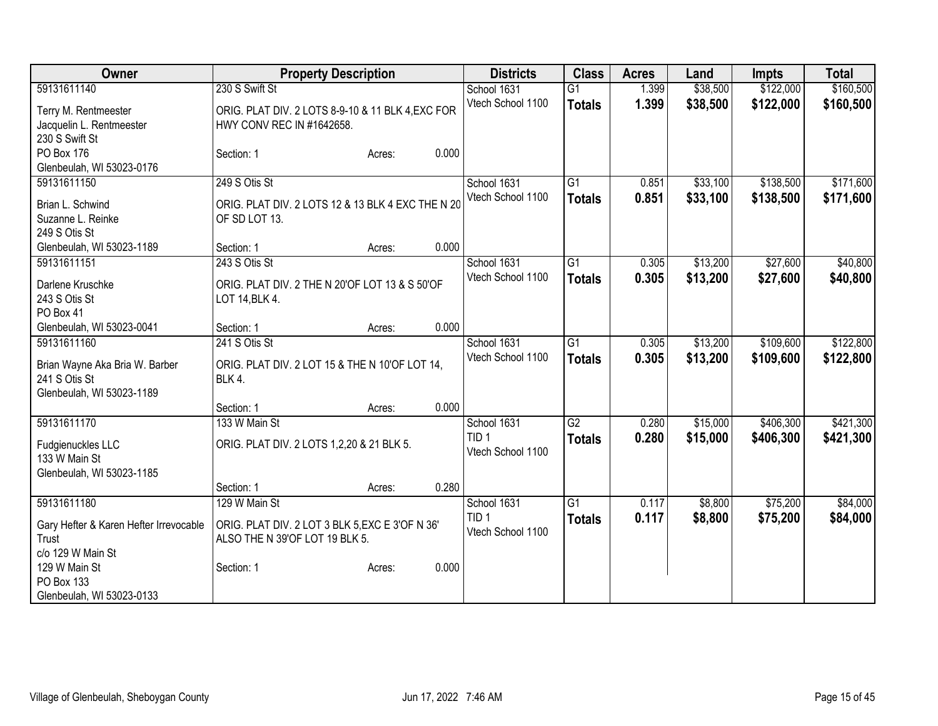| 59131611140<br>230 S Swift St<br>\$38,500<br>\$122,000<br>$\overline{G1}$<br>School 1631<br>1.399<br>1.399<br>\$38,500<br>\$122,000<br>Vtech School 1100<br><b>Totals</b><br>ORIG. PLAT DIV. 2 LOTS 8-9-10 & 11 BLK 4, EXC FOR<br>Terry M. Rentmeester<br>HWY CONV REC IN #1642658.<br>Jacquelin L. Rentmeester<br>230 S Swift St | \$160,500 |
|-----------------------------------------------------------------------------------------------------------------------------------------------------------------------------------------------------------------------------------------------------------------------------------------------------------------------------------|-----------|
|                                                                                                                                                                                                                                                                                                                                   | \$160,500 |
|                                                                                                                                                                                                                                                                                                                                   |           |
|                                                                                                                                                                                                                                                                                                                                   |           |
|                                                                                                                                                                                                                                                                                                                                   |           |
| 0.000<br>PO Box 176<br>Section: 1<br>Acres:                                                                                                                                                                                                                                                                                       |           |
| Glenbeulah, WI 53023-0176                                                                                                                                                                                                                                                                                                         |           |
| \$33,100<br>\$138,500<br>59131611150<br>249 S Otis St<br>G1<br>School 1631<br>0.851                                                                                                                                                                                                                                               | \$171,600 |
| 0.851<br>\$33,100<br>\$138,500<br>Vtech School 1100<br><b>Totals</b><br>ORIG. PLAT DIV. 2 LOTS 12 & 13 BLK 4 EXC THE N 20<br>Brian L. Schwind                                                                                                                                                                                     | \$171,600 |
| OF SD LOT 13.<br>Suzanne L. Reinke                                                                                                                                                                                                                                                                                                |           |
| 249 S Otis St                                                                                                                                                                                                                                                                                                                     |           |
| 0.000<br>Glenbeulah, WI 53023-1189<br>Section: 1<br>Acres:                                                                                                                                                                                                                                                                        |           |
| $\overline{G1}$<br>\$13,200<br>\$27,600<br>59131611151<br>243 S Otis St<br>School 1631<br>0.305                                                                                                                                                                                                                                   | \$40,800  |
| Vtech School 1100<br>\$13,200<br>0.305<br>\$27,600<br><b>Totals</b>                                                                                                                                                                                                                                                               | \$40,800  |
| Darlene Kruschke<br>ORIG. PLAT DIV. 2 THE N 20'OF LOT 13 & S 50'OF                                                                                                                                                                                                                                                                |           |
| 243 S Otis St<br>LOT 14, BLK 4.                                                                                                                                                                                                                                                                                                   |           |
| PO Box 41                                                                                                                                                                                                                                                                                                                         |           |
| 0.000<br>Glenbeulah, WI 53023-0041<br>Section: 1<br>Acres:                                                                                                                                                                                                                                                                        |           |
| \$109,600<br>241 S Otis St<br>$\overline{G1}$<br>0.305<br>\$13,200<br>59131611160<br>School 1631                                                                                                                                                                                                                                  | \$122,800 |
| Vtech School 1100<br>0.305<br>\$13,200<br>\$109,600<br><b>Totals</b><br>ORIG. PLAT DIV. 2 LOT 15 & THE N 10'OF LOT 14,<br>Brian Wayne Aka Bria W. Barber                                                                                                                                                                          | \$122,800 |
| BLK 4.<br>241 S Otis St                                                                                                                                                                                                                                                                                                           |           |
| Glenbeulah, WI 53023-1189                                                                                                                                                                                                                                                                                                         |           |
| 0.000<br>Section: 1<br>Acres:                                                                                                                                                                                                                                                                                                     |           |
| 133 W Main St<br>59131611170<br>$\overline{G2}$<br>\$15,000<br>\$406,300<br>School 1631<br>0.280                                                                                                                                                                                                                                  | \$421,300 |
| TID <sub>1</sub><br>0.280<br>\$15,000<br>\$406,300<br><b>Totals</b><br>ORIG. PLAT DIV. 2 LOTS 1,2,20 & 21 BLK 5.<br>Fudgienuckles LLC                                                                                                                                                                                             | \$421,300 |
| Vtech School 1100<br>133 W Main St                                                                                                                                                                                                                                                                                                |           |
| Glenbeulah, WI 53023-1185                                                                                                                                                                                                                                                                                                         |           |
| 0.280<br>Section: 1<br>Acres:                                                                                                                                                                                                                                                                                                     |           |
| 59131611180<br>$\overline{G1}$<br>\$75,200<br>School 1631<br>\$8,800<br>129 W Main St<br>0.117                                                                                                                                                                                                                                    | \$84,000  |
| TID <sub>1</sub><br>0.117<br>\$75,200<br>\$8,800<br><b>Totals</b>                                                                                                                                                                                                                                                                 | \$84,000  |
| Gary Hefter & Karen Hefter Irrevocable<br>ORIG. PLAT DIV. 2 LOT 3 BLK 5, EXC E 3'OF N 36'<br>Vtech School 1100                                                                                                                                                                                                                    |           |
| Trust<br>ALSO THE N 39'OF LOT 19 BLK 5.<br>c/o 129 W Main St                                                                                                                                                                                                                                                                      |           |
| 129 W Main St<br>0.000<br>Section: 1<br>Acres:                                                                                                                                                                                                                                                                                    |           |
| PO Box 133                                                                                                                                                                                                                                                                                                                        |           |
| Glenbeulah, WI 53023-0133                                                                                                                                                                                                                                                                                                         |           |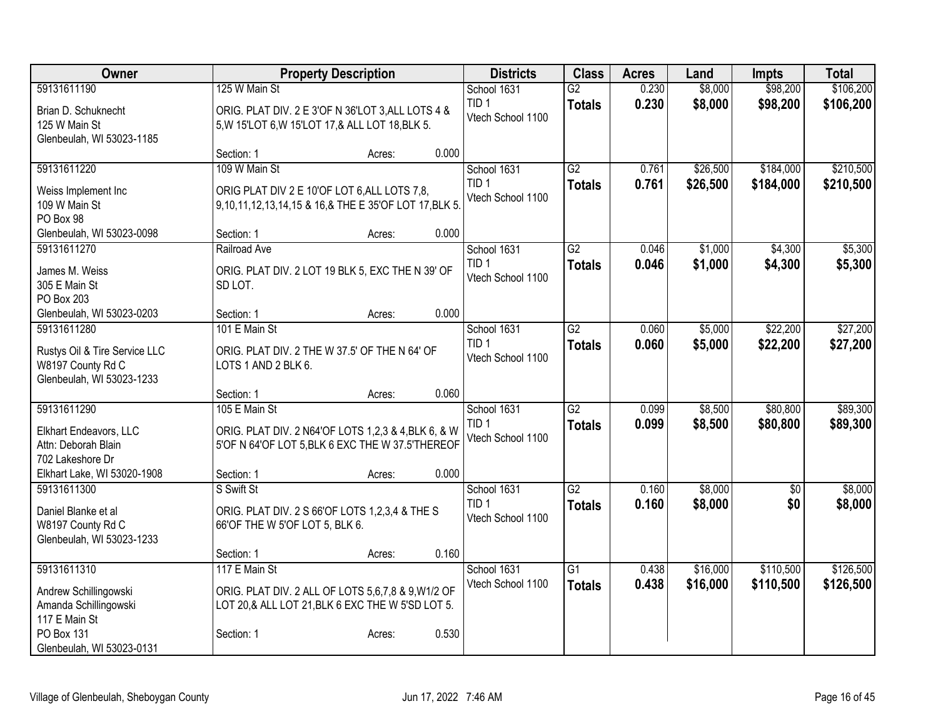| Owner                                                                                                                     | <b>Property Description</b>                                                                                                           |                 | <b>Districts</b>                                     | <b>Class</b>                     | <b>Acres</b>   | Land                 | <b>Impts</b>           | <b>Total</b>           |
|---------------------------------------------------------------------------------------------------------------------------|---------------------------------------------------------------------------------------------------------------------------------------|-----------------|------------------------------------------------------|----------------------------------|----------------|----------------------|------------------------|------------------------|
| 59131611190<br>Brian D. Schuknecht<br>125 W Main St                                                                       | 125 W Main St<br>ORIG. PLAT DIV. 2 E 3'OF N 36'LOT 3, ALL LOTS 4 &<br>5, W 15'LOT 6, W 15'LOT 17, & ALL LOT 18, BLK 5.                |                 | School 1631<br>TID <sub>1</sub><br>Vtech School 1100 | $\overline{G2}$<br><b>Totals</b> | 0.230<br>0.230 | \$8,000<br>\$8,000   | \$98,200<br>\$98,200   | \$106,200<br>\$106,200 |
| Glenbeulah, WI 53023-1185                                                                                                 | Section: 1                                                                                                                            | 0.000<br>Acres: |                                                      |                                  |                |                      |                        |                        |
| 59131611220<br>Weiss Implement Inc<br>109 W Main St<br>PO Box 98                                                          | 109 W Main St<br>ORIG PLAT DIV 2 E 10'OF LOT 6, ALL LOTS 7,8,<br>9,10,11,12,13,14,15 & 16,& THE E 35'OF LOT 17, BLK 5.                |                 | School 1631<br>TID <sub>1</sub><br>Vtech School 1100 | $\overline{G2}$<br><b>Totals</b> | 0.761<br>0.761 | \$26,500<br>\$26,500 | \$184,000<br>\$184,000 | \$210,500<br>\$210,500 |
| Glenbeulah, WI 53023-0098                                                                                                 | Section: 1                                                                                                                            | 0.000<br>Acres: |                                                      |                                  |                |                      |                        |                        |
| 59131611270<br>James M. Weiss<br>305 E Main St<br>PO Box 203                                                              | Railroad Ave<br>ORIG. PLAT DIV. 2 LOT 19 BLK 5, EXC THE N 39' OF<br>SD LOT.                                                           |                 | School 1631<br>TID <sub>1</sub><br>Vtech School 1100 | G2<br><b>Totals</b>              | 0.046<br>0.046 | \$1,000<br>\$1,000   | \$4,300<br>\$4,300     | \$5,300<br>\$5,300     |
| Glenbeulah, WI 53023-0203                                                                                                 | Section: 1                                                                                                                            | 0.000<br>Acres: |                                                      |                                  |                |                      |                        |                        |
| 59131611280<br>Rustys Oil & Tire Service LLC<br>W8197 County Rd C<br>Glenbeulah, WI 53023-1233                            | 101 E Main St<br>ORIG. PLAT DIV. 2 THE W 37.5' OF THE N 64' OF<br>LOTS 1 AND 2 BLK 6.                                                 |                 | School 1631<br>TID <sub>1</sub><br>Vtech School 1100 | $\overline{G2}$<br><b>Totals</b> | 0.060<br>0.060 | \$5,000<br>\$5,000   | \$22,200<br>\$22,200   | \$27,200<br>\$27,200   |
|                                                                                                                           | Section: 1                                                                                                                            | 0.060<br>Acres: |                                                      |                                  |                |                      |                        |                        |
| 59131611290<br>Elkhart Endeavors, LLC<br>Attn: Deborah Blain<br>702 Lakeshore Dr                                          | 105 E Main St<br>ORIG. PLAT DIV. 2 N64'OF LOTS 1,2,3 & 4, BLK 6, & W<br>5'OF N 64'OF LOT 5, BLK 6 EXC THE W 37.5'THEREOF              |                 | School 1631<br>TID <sub>1</sub><br>Vtech School 1100 | $\overline{G2}$<br><b>Totals</b> | 0.099<br>0.099 | \$8,500<br>\$8,500   | \$80,800<br>\$80,800   | \$89,300<br>\$89,300   |
| Elkhart Lake, WI 53020-1908                                                                                               | Section: 1                                                                                                                            | 0.000<br>Acres: |                                                      |                                  |                |                      |                        |                        |
| 59131611300<br>Daniel Blanke et al<br>W8197 County Rd C<br>Glenbeulah, WI 53023-1233                                      | S Swift St<br>ORIG. PLAT DIV. 2 S 66'OF LOTS 1,2,3,4 & THE S<br>66'OF THE W 5'OF LOT 5, BLK 6.                                        |                 | School 1631<br>TID <sub>1</sub><br>Vtech School 1100 | G2<br><b>Totals</b>              | 0.160<br>0.160 | \$8,000<br>\$8,000   | $\overline{50}$<br>\$0 | \$8,000<br>\$8,000     |
|                                                                                                                           | Section: 1                                                                                                                            | 0.160<br>Acres: |                                                      |                                  |                |                      |                        |                        |
| 59131611310<br>Andrew Schillingowski<br>Amanda Schillingowski<br>117 E Main St<br>PO Box 131<br>Glenbeulah, WI 53023-0131 | 117 E Main St<br>ORIG. PLAT DIV. 2 ALL OF LOTS 5,6,7,8 & 9, W1/2 OF<br>LOT 20,& ALL LOT 21, BLK 6 EXC THE W 5'SD LOT 5.<br>Section: 1 | 0.530<br>Acres: | School 1631<br>Vtech School 1100                     | G1<br><b>Totals</b>              | 0.438<br>0.438 | \$16,000<br>\$16,000 | \$110,500<br>\$110,500 | \$126,500<br>\$126,500 |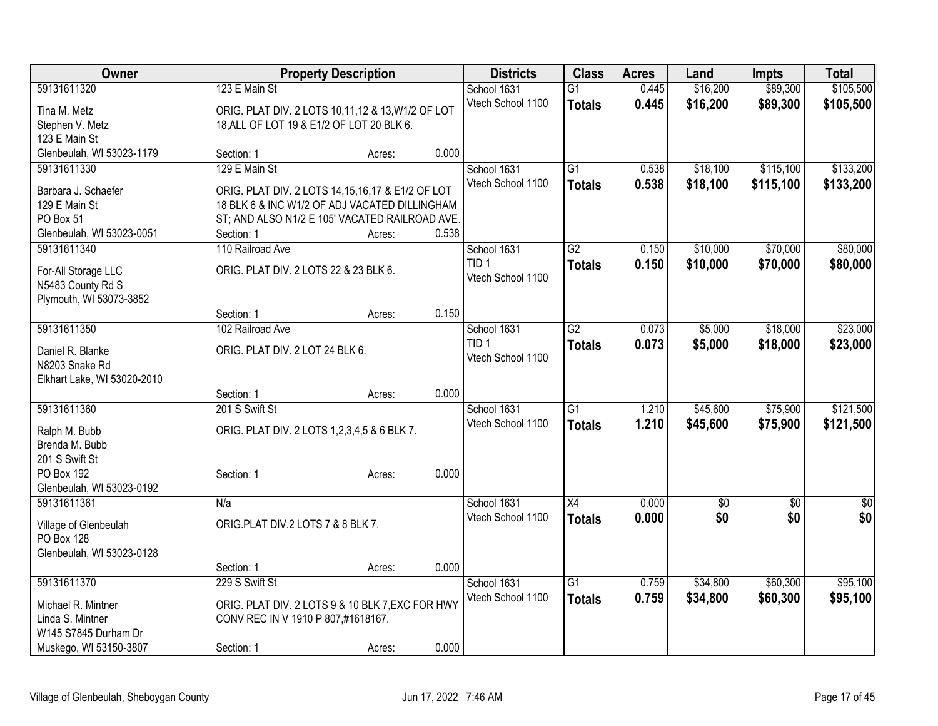| Owner                            |                                                   | <b>Property Description</b> |       |                   | <b>Class</b>    | <b>Acres</b> | Land            | <b>Impts</b>    | <b>Total</b>    |
|----------------------------------|---------------------------------------------------|-----------------------------|-------|-------------------|-----------------|--------------|-----------------|-----------------|-----------------|
| 59131611320                      | 123 E Main St                                     |                             |       | School 1631       | G1              | 0.445        | \$16,200        | \$89,300        | \$105,500       |
| Tina M. Metz                     | ORIG. PLAT DIV. 2 LOTS 10,11,12 & 13, W1/2 OF LOT |                             |       | Vtech School 1100 | <b>Totals</b>   | 0.445        | \$16,200        | \$89,300        | \$105,500       |
| Stephen V. Metz                  | 18, ALL OF LOT 19 & E1/2 OF LOT 20 BLK 6.         |                             |       |                   |                 |              |                 |                 |                 |
| 123 E Main St                    |                                                   |                             |       |                   |                 |              |                 |                 |                 |
| Glenbeulah, WI 53023-1179        | Section: 1                                        | Acres:                      | 0.000 |                   |                 |              |                 |                 |                 |
| 59131611330                      | 129 E Main St                                     |                             |       | School 1631       | $\overline{G1}$ | 0.538        | \$18,100        | \$115,100       | \$133,200       |
| Barbara J. Schaefer              | ORIG. PLAT DIV. 2 LOTS 14,15,16,17 & E1/2 OF LOT  |                             |       | Vtech School 1100 | <b>Totals</b>   | 0.538        | \$18,100        | \$115,100       | \$133,200       |
| 129 E Main St                    | 18 BLK 6 & INC W1/2 OF ADJ VACATED DILLINGHAM     |                             |       |                   |                 |              |                 |                 |                 |
| PO Box 51                        | ST; AND ALSO N1/2 E 105' VACATED RAILROAD AVE.    |                             |       |                   |                 |              |                 |                 |                 |
| Glenbeulah, WI 53023-0051        | Section: 1                                        | Acres:                      | 0.538 |                   |                 |              |                 |                 |                 |
| 59131611340                      | 110 Railroad Ave                                  |                             |       | School 1631       | $\overline{G2}$ | 0.150        | \$10,000        | \$70,000        | \$80,000        |
|                                  |                                                   |                             |       | TID <sub>1</sub>  | <b>Totals</b>   | 0.150        | \$10,000        | \$70,000        | \$80,000        |
| For-All Storage LLC              | ORIG. PLAT DIV. 2 LOTS 22 & 23 BLK 6.             |                             |       | Vtech School 1100 |                 |              |                 |                 |                 |
| N5483 County Rd S                |                                                   |                             |       |                   |                 |              |                 |                 |                 |
| Plymouth, WI 53073-3852          |                                                   |                             |       |                   |                 |              |                 |                 |                 |
|                                  | Section: 1                                        | Acres:                      | 0.150 |                   |                 |              |                 |                 |                 |
| 59131611350                      | 102 Railroad Ave                                  |                             |       | School 1631       | $\overline{G2}$ | 0.073        | \$5,000         | \$18,000        | \$23,000        |
| Daniel R. Blanke                 | ORIG. PLAT DIV. 2 LOT 24 BLK 6.                   |                             |       | TID <sub>1</sub>  | <b>Totals</b>   | 0.073        | \$5,000         | \$18,000        | \$23,000        |
| N8203 Snake Rd                   |                                                   |                             |       | Vtech School 1100 |                 |              |                 |                 |                 |
| Elkhart Lake, WI 53020-2010      |                                                   |                             |       |                   |                 |              |                 |                 |                 |
|                                  | Section: 1                                        | Acres:                      | 0.000 |                   |                 |              |                 |                 |                 |
| 59131611360                      | 201 S Swift St                                    |                             |       | School 1631       | $\overline{G1}$ | 1.210        | \$45,600        | \$75,900        | \$121,500       |
|                                  |                                                   |                             |       | Vtech School 1100 | <b>Totals</b>   | 1.210        | \$45,600        | \$75,900        | \$121,500       |
| Ralph M. Bubb                    | ORIG. PLAT DIV. 2 LOTS 1,2,3,4,5 & 6 BLK 7.       |                             |       |                   |                 |              |                 |                 |                 |
| Brenda M. Bubb<br>201 S Swift St |                                                   |                             |       |                   |                 |              |                 |                 |                 |
| PO Box 192                       | Section: 1                                        |                             | 0.000 |                   |                 |              |                 |                 |                 |
| Glenbeulah, WI 53023-0192        |                                                   | Acres:                      |       |                   |                 |              |                 |                 |                 |
| 59131611361                      | N/a                                               |                             |       | School 1631       | $\overline{X4}$ | 0.000        | $\overline{50}$ | $\overline{50}$ | $\overline{30}$ |
|                                  |                                                   |                             |       | Vtech School 1100 | <b>Totals</b>   | 0.000        | \$0             | \$0             | \$0             |
| Village of Glenbeulah            | ORIG.PLAT DIV.2 LOTS 7 & 8 BLK 7.                 |                             |       |                   |                 |              |                 |                 |                 |
| PO Box 128                       |                                                   |                             |       |                   |                 |              |                 |                 |                 |
| Glenbeulah, WI 53023-0128        |                                                   |                             |       |                   |                 |              |                 |                 |                 |
|                                  | Section: 1                                        | Acres:                      | 0.000 |                   |                 |              |                 |                 |                 |
| 59131611370                      | 229 S Swift St                                    |                             |       | School 1631       | $\overline{G1}$ | 0.759        | \$34,800        | \$60,300        | \$95,100        |
| Michael R. Mintner               | ORIG. PLAT DIV. 2 LOTS 9 & 10 BLK 7, EXC FOR HWY  |                             |       | Vtech School 1100 | <b>Totals</b>   | 0.759        | \$34,800        | \$60,300        | \$95,100        |
| Linda S. Mintner                 | CONV REC IN V 1910 P 807,#1618167.                |                             |       |                   |                 |              |                 |                 |                 |
| W145 S7845 Durham Dr             |                                                   |                             |       |                   |                 |              |                 |                 |                 |
| Muskego, WI 53150-3807           | Section: 1                                        | Acres:                      | 0.000 |                   |                 |              |                 |                 |                 |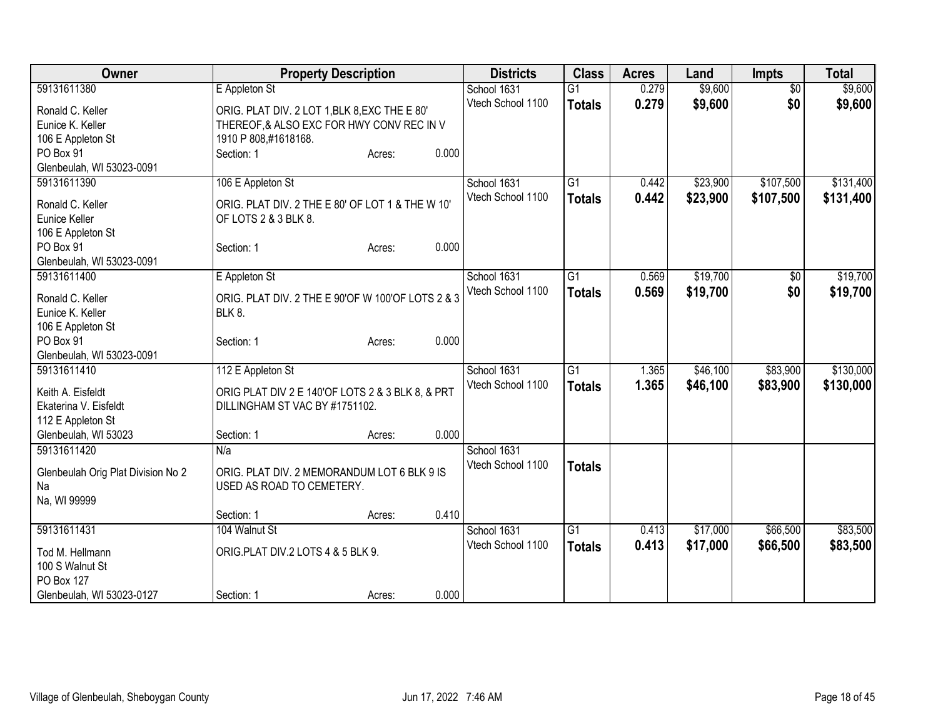| Owner                              | <b>Property Description</b>                       |        |       | <b>Districts</b>  | <b>Class</b>    | <b>Acres</b> | Land     | <b>Impts</b>    | <b>Total</b> |
|------------------------------------|---------------------------------------------------|--------|-------|-------------------|-----------------|--------------|----------|-----------------|--------------|
| 59131611380                        | E Appleton St                                     |        |       | School 1631       | $\overline{G1}$ | 0.279        | \$9,600  | $\overline{50}$ | \$9,600      |
| Ronald C. Keller                   | ORIG. PLAT DIV. 2 LOT 1, BLK 8, EXC THE E 80'     |        |       | Vtech School 1100 | <b>Totals</b>   | 0.279        | \$9,600  | \$0             | \$9,600      |
| Eunice K. Keller                   | THEREOF, & ALSO EXC FOR HWY CONV REC IN V         |        |       |                   |                 |              |          |                 |              |
| 106 E Appleton St                  | 1910 P 808,#1618168.                              |        |       |                   |                 |              |          |                 |              |
| PO Box 91                          | Section: 1                                        | Acres: | 0.000 |                   |                 |              |          |                 |              |
| Glenbeulah, WI 53023-0091          |                                                   |        |       |                   |                 |              |          |                 |              |
| 59131611390                        | 106 E Appleton St                                 |        |       | School 1631       | $\overline{G1}$ | 0.442        | \$23,900 | \$107,500       | \$131,400    |
|                                    |                                                   |        |       | Vtech School 1100 | <b>Totals</b>   | 0.442        | \$23,900 | \$107,500       | \$131,400    |
| Ronald C. Keller                   | ORIG. PLAT DIV. 2 THE E 80' OF LOT 1 & THE W 10'  |        |       |                   |                 |              |          |                 |              |
| Eunice Keller                      | OF LOTS 2 & 3 BLK 8.                              |        |       |                   |                 |              |          |                 |              |
| 106 E Appleton St<br>PO Box 91     |                                                   |        | 0.000 |                   |                 |              |          |                 |              |
| Glenbeulah, WI 53023-0091          | Section: 1                                        | Acres: |       |                   |                 |              |          |                 |              |
| 59131611400                        |                                                   |        |       | School 1631       | $\overline{G1}$ | 0.569        | \$19,700 |                 | \$19,700     |
|                                    | E Appleton St                                     |        |       | Vtech School 1100 |                 |              |          | $\sqrt[6]{}$    |              |
| Ronald C. Keller                   | ORIG. PLAT DIV. 2 THE E 90'OF W 100'OF LOTS 2 & 3 |        |       |                   | <b>Totals</b>   | 0.569        | \$19,700 | \$0             | \$19,700     |
| Eunice K. Keller                   | <b>BLK 8.</b>                                     |        |       |                   |                 |              |          |                 |              |
| 106 E Appleton St                  |                                                   |        |       |                   |                 |              |          |                 |              |
| PO Box 91                          | Section: 1                                        | Acres: | 0.000 |                   |                 |              |          |                 |              |
| Glenbeulah, WI 53023-0091          |                                                   |        |       |                   |                 |              |          |                 |              |
| 59131611410                        | 112 E Appleton St                                 |        |       | School 1631       | $\overline{G1}$ | 1.365        | \$46,100 | \$83,900        | \$130,000    |
| Keith A. Eisfeldt                  | ORIG PLAT DIV 2 E 140'OF LOTS 2 & 3 BLK 8, & PRT  |        |       | Vtech School 1100 | <b>Totals</b>   | 1.365        | \$46,100 | \$83,900        | \$130,000    |
| Ekaterina V. Eisfeldt              | DILLINGHAM ST VAC BY #1751102.                    |        |       |                   |                 |              |          |                 |              |
| 112 E Appleton St                  |                                                   |        |       |                   |                 |              |          |                 |              |
| Glenbeulah, WI 53023               | Section: 1                                        | Acres: | 0.000 |                   |                 |              |          |                 |              |
| 59131611420                        | N/a                                               |        |       | School 1631       |                 |              |          |                 |              |
|                                    |                                                   |        |       | Vtech School 1100 | <b>Totals</b>   |              |          |                 |              |
| Glenbeulah Orig Plat Division No 2 | ORIG. PLAT DIV. 2 MEMORANDUM LOT 6 BLK 9 IS       |        |       |                   |                 |              |          |                 |              |
| Na                                 | USED AS ROAD TO CEMETERY.                         |        |       |                   |                 |              |          |                 |              |
| Na, WI 99999                       |                                                   |        |       |                   |                 |              |          |                 |              |
|                                    | Section: 1                                        | Acres: | 0.410 |                   |                 |              |          |                 |              |
| 59131611431                        | 104 Walnut St                                     |        |       | School 1631       | $\overline{G1}$ | 0.413        | \$17,000 | \$66,500        | \$83,500     |
| Tod M. Hellmann                    | ORIG.PLAT DIV.2 LOTS 4 & 5 BLK 9.                 |        |       | Vtech School 1100 | <b>Totals</b>   | 0.413        | \$17,000 | \$66,500        | \$83,500     |
| 100 S Walnut St                    |                                                   |        |       |                   |                 |              |          |                 |              |
| PO Box 127                         |                                                   |        |       |                   |                 |              |          |                 |              |
| Glenbeulah, WI 53023-0127          | Section: 1                                        | Acres: | 0.000 |                   |                 |              |          |                 |              |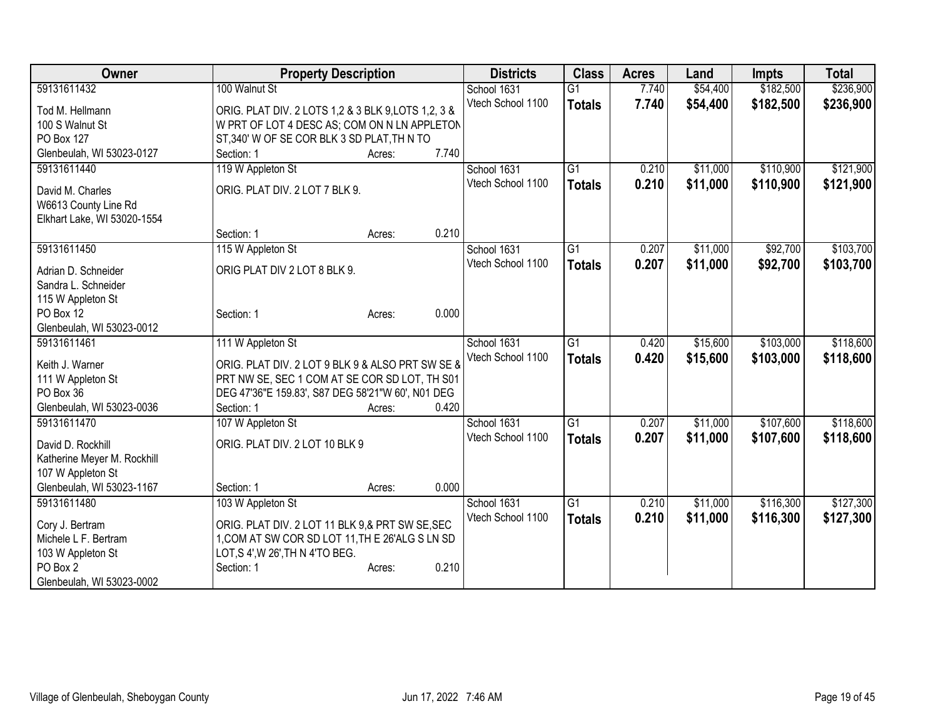| Owner                                               | <b>Property Description</b>                         |       | <b>Districts</b>  | <b>Class</b>    | <b>Acres</b> | Land     | <b>Impts</b> | <b>Total</b> |
|-----------------------------------------------------|-----------------------------------------------------|-------|-------------------|-----------------|--------------|----------|--------------|--------------|
| 59131611432                                         | 100 Walnut St                                       |       | School 1631       | $\overline{G1}$ | 7.740        | \$54,400 | \$182,500    | \$236,900    |
| Tod M. Hellmann                                     | ORIG. PLAT DIV. 2 LOTS 1,2 & 3 BLK 9, LOTS 1,2, 3 & |       | Vtech School 1100 | <b>Totals</b>   | 7.740        | \$54,400 | \$182,500    | \$236,900    |
| 100 S Walnut St                                     | W PRT OF LOT 4 DESC AS; COM ON N LN APPLETON        |       |                   |                 |              |          |              |              |
| PO Box 127                                          | ST,340' W OF SE COR BLK 3 SD PLAT, TH N TO          |       |                   |                 |              |          |              |              |
| Glenbeulah, WI 53023-0127                           | Section: 1<br>Acres:                                | 7.740 |                   |                 |              |          |              |              |
| 59131611440                                         | 119 W Appleton St                                   |       | School 1631       | G1              | 0.210        | \$11,000 | \$110,900    | \$121,900    |
|                                                     | ORIG. PLAT DIV. 2 LOT 7 BLK 9.                      |       | Vtech School 1100 | <b>Totals</b>   | 0.210        | \$11,000 | \$110,900    | \$121,900    |
| David M. Charles                                    |                                                     |       |                   |                 |              |          |              |              |
| W6613 County Line Rd<br>Elkhart Lake, WI 53020-1554 |                                                     |       |                   |                 |              |          |              |              |
|                                                     | Section: 1<br>Acres:                                | 0.210 |                   |                 |              |          |              |              |
| 59131611450                                         | 115 W Appleton St                                   |       | School 1631       | G1              | 0.207        | \$11,000 | \$92,700     | \$103,700    |
|                                                     |                                                     |       | Vtech School 1100 | <b>Totals</b>   | 0.207        | \$11,000 | \$92,700     | \$103,700    |
| Adrian D. Schneider                                 | ORIG PLAT DIV 2 LOT 8 BLK 9.                        |       |                   |                 |              |          |              |              |
| Sandra L. Schneider                                 |                                                     |       |                   |                 |              |          |              |              |
| 115 W Appleton St                                   |                                                     |       |                   |                 |              |          |              |              |
| PO Box 12<br>Glenbeulah, WI 53023-0012              | Section: 1<br>Acres:                                | 0.000 |                   |                 |              |          |              |              |
| 59131611461                                         | 111 W Appleton St                                   |       | School 1631       | $\overline{G1}$ | 0.420        | \$15,600 | \$103,000    | \$118,600    |
|                                                     |                                                     |       | Vtech School 1100 |                 | 0.420        | \$15,600 | \$103,000    | \$118,600    |
| Keith J. Warner                                     | ORIG. PLAT DIV. 2 LOT 9 BLK 9 & ALSO PRT SW SE &    |       |                   | <b>Totals</b>   |              |          |              |              |
| 111 W Appleton St                                   | PRT NW SE, SEC 1 COM AT SE COR SD LOT, TH S01       |       |                   |                 |              |          |              |              |
| PO Box 36                                           | DEG 47'36"E 159.83', S87 DEG 58'21"W 60', N01 DEG   |       |                   |                 |              |          |              |              |
| Glenbeulah, WI 53023-0036                           | Section: 1<br>Acres:                                | 0.420 |                   |                 |              |          |              |              |
| 59131611470                                         | 107 W Appleton St                                   |       | School 1631       | $\overline{G1}$ | 0.207        | \$11,000 | \$107,600    | \$118,600    |
| David D. Rockhill                                   | ORIG. PLAT DIV. 2 LOT 10 BLK 9                      |       | Vtech School 1100 | <b>Totals</b>   | 0.207        | \$11,000 | \$107,600    | \$118,600    |
| Katherine Meyer M. Rockhill                         |                                                     |       |                   |                 |              |          |              |              |
| 107 W Appleton St                                   |                                                     |       |                   |                 |              |          |              |              |
| Glenbeulah, WI 53023-1167                           | Section: 1<br>Acres:                                | 0.000 |                   |                 |              |          |              |              |
| 59131611480                                         | 103 W Appleton St                                   |       | School 1631       | $\overline{G1}$ | 0.210        | \$11,000 | \$116,300    | \$127,300    |
| Cory J. Bertram                                     | ORIG. PLAT DIV. 2 LOT 11 BLK 9,& PRT SW SE, SEC     |       | Vtech School 1100 | <b>Totals</b>   | 0.210        | \$11,000 | \$116,300    | \$127,300    |
| Michele L F. Bertram                                | 1, COM AT SW COR SD LOT 11, TH E 26'ALG S LN SD     |       |                   |                 |              |          |              |              |
| 103 W Appleton St                                   | LOT, S 4', W 26', TH N 4'TO BEG.                    |       |                   |                 |              |          |              |              |
| PO Box 2                                            | Section: 1<br>Acres:                                | 0.210 |                   |                 |              |          |              |              |
| Glenbeulah, WI 53023-0002                           |                                                     |       |                   |                 |              |          |              |              |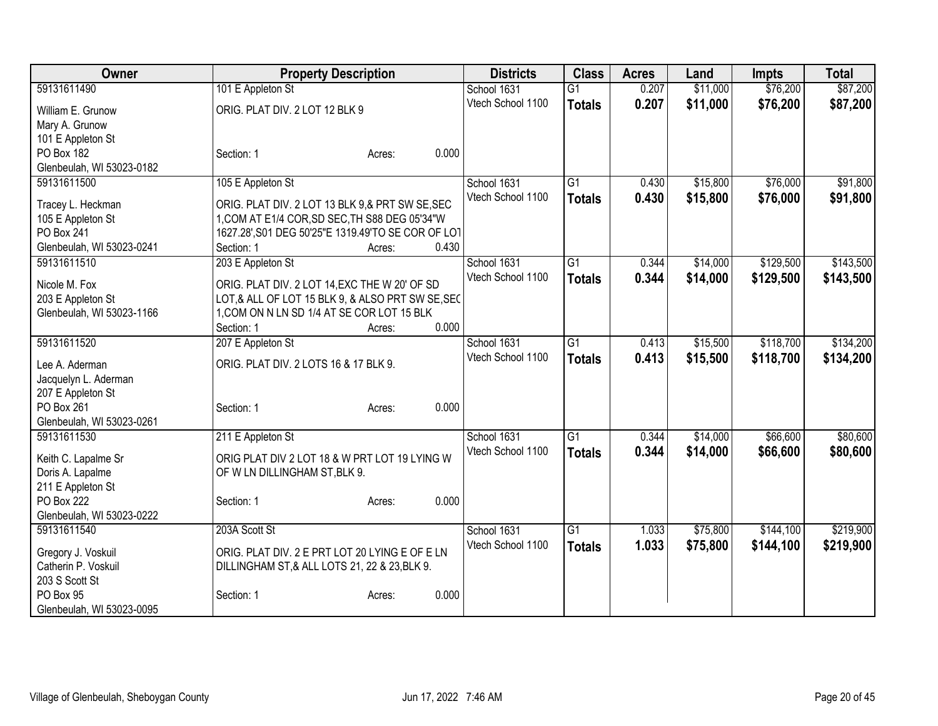| Owner                           | <b>Property Description</b>                                                                       | <b>Districts</b>  | <b>Class</b>    | <b>Acres</b> | Land     | <b>Impts</b> | <b>Total</b> |
|---------------------------------|---------------------------------------------------------------------------------------------------|-------------------|-----------------|--------------|----------|--------------|--------------|
| 59131611490                     | 101 E Appleton St                                                                                 | School 1631       | $\overline{G1}$ | 0.207        | \$11,000 | \$76,200     | \$87,200     |
| William E. Grunow               | ORIG. PLAT DIV. 2 LOT 12 BLK 9                                                                    | Vtech School 1100 | <b>Totals</b>   | 0.207        | \$11,000 | \$76,200     | \$87,200     |
| Mary A. Grunow                  |                                                                                                   |                   |                 |              |          |              |              |
| 101 E Appleton St               |                                                                                                   |                   |                 |              |          |              |              |
| PO Box 182                      | 0.000<br>Section: 1<br>Acres:                                                                     |                   |                 |              |          |              |              |
| Glenbeulah, WI 53023-0182       |                                                                                                   |                   |                 |              |          |              |              |
| 59131611500                     | 105 E Appleton St                                                                                 | School 1631       | $\overline{G1}$ | 0.430        | \$15,800 | \$76,000     | \$91,800     |
|                                 |                                                                                                   | Vtech School 1100 | <b>Totals</b>   | 0.430        | \$15,800 | \$76,000     | \$91,800     |
| Tracey L. Heckman               | ORIG. PLAT DIV. 2 LOT 13 BLK 9,& PRT SW SE, SEC<br>1, COM AT E1/4 COR, SD SEC, TH S88 DEG 05'34"W |                   |                 |              |          |              |              |
| 105 E Appleton St<br>PO Box 241 |                                                                                                   |                   |                 |              |          |              |              |
| Glenbeulah, WI 53023-0241       | 1627.28', S01 DEG 50'25"E 1319.49'TO SE COR OF LOT<br>0.430<br>Section: 1                         |                   |                 |              |          |              |              |
| 59131611510                     | Acres:                                                                                            |                   | G1              |              |          | \$129,500    | \$143,500    |
|                                 | 203 E Appleton St                                                                                 | School 1631       |                 | 0.344        | \$14,000 |              |              |
| Nicole M. Fox                   | ORIG. PLAT DIV. 2 LOT 14, EXC THE W 20' OF SD                                                     | Vtech School 1100 | <b>Totals</b>   | 0.344        | \$14,000 | \$129,500    | \$143,500    |
| 203 E Appleton St               | LOT,& ALL OF LOT 15 BLK 9, & ALSO PRT SW SE, SEC                                                  |                   |                 |              |          |              |              |
| Glenbeulah, WI 53023-1166       | 1, COM ON N LN SD 1/4 AT SE COR LOT 15 BLK                                                        |                   |                 |              |          |              |              |
|                                 | 0.000<br>Section: 1<br>Acres:                                                                     |                   |                 |              |          |              |              |
| 59131611520                     | 207 E Appleton St                                                                                 | School 1631       | $\overline{G1}$ | 0.413        | \$15,500 | \$118,700    | \$134,200    |
| Lee A. Aderman                  | ORIG. PLAT DIV. 2 LOTS 16 & 17 BLK 9.                                                             | Vtech School 1100 | <b>Totals</b>   | 0.413        | \$15,500 | \$118,700    | \$134,200    |
| Jacquelyn L. Aderman            |                                                                                                   |                   |                 |              |          |              |              |
| 207 E Appleton St               |                                                                                                   |                   |                 |              |          |              |              |
| PO Box 261                      | 0.000<br>Section: 1<br>Acres:                                                                     |                   |                 |              |          |              |              |
| Glenbeulah, WI 53023-0261       |                                                                                                   |                   |                 |              |          |              |              |
| 59131611530                     | 211 E Appleton St                                                                                 | School 1631       | $\overline{G1}$ | 0.344        | \$14,000 | \$66,600     | \$80,600     |
|                                 |                                                                                                   | Vtech School 1100 | <b>Totals</b>   | 0.344        | \$14,000 | \$66,600     | \$80,600     |
| Keith C. Lapalme Sr             | ORIG PLAT DIV 2 LOT 18 & W PRT LOT 19 LYING W                                                     |                   |                 |              |          |              |              |
| Doris A. Lapalme                | OF W LN DILLINGHAM ST, BLK 9.                                                                     |                   |                 |              |          |              |              |
| 211 E Appleton St               |                                                                                                   |                   |                 |              |          |              |              |
| PO Box 222                      | 0.000<br>Section: 1<br>Acres:                                                                     |                   |                 |              |          |              |              |
| Glenbeulah, WI 53023-0222       |                                                                                                   |                   |                 |              |          |              |              |
| 59131611540                     | 203A Scott St                                                                                     | School 1631       | $\overline{G1}$ | 1.033        | \$75,800 | \$144,100    | \$219,900    |
| Gregory J. Voskuil              | ORIG. PLAT DIV. 2 E PRT LOT 20 LYING E OF E LN                                                    | Vtech School 1100 | <b>Totals</b>   | 1.033        | \$75,800 | \$144,100    | \$219,900    |
| Catherin P. Voskuil             | DILLINGHAM ST, & ALL LOTS 21, 22 & 23, BLK 9.                                                     |                   |                 |              |          |              |              |
| 203 S Scott St                  |                                                                                                   |                   |                 |              |          |              |              |
| PO Box 95                       | 0.000<br>Section: 1<br>Acres:                                                                     |                   |                 |              |          |              |              |
| Glenbeulah, WI 53023-0095       |                                                                                                   |                   |                 |              |          |              |              |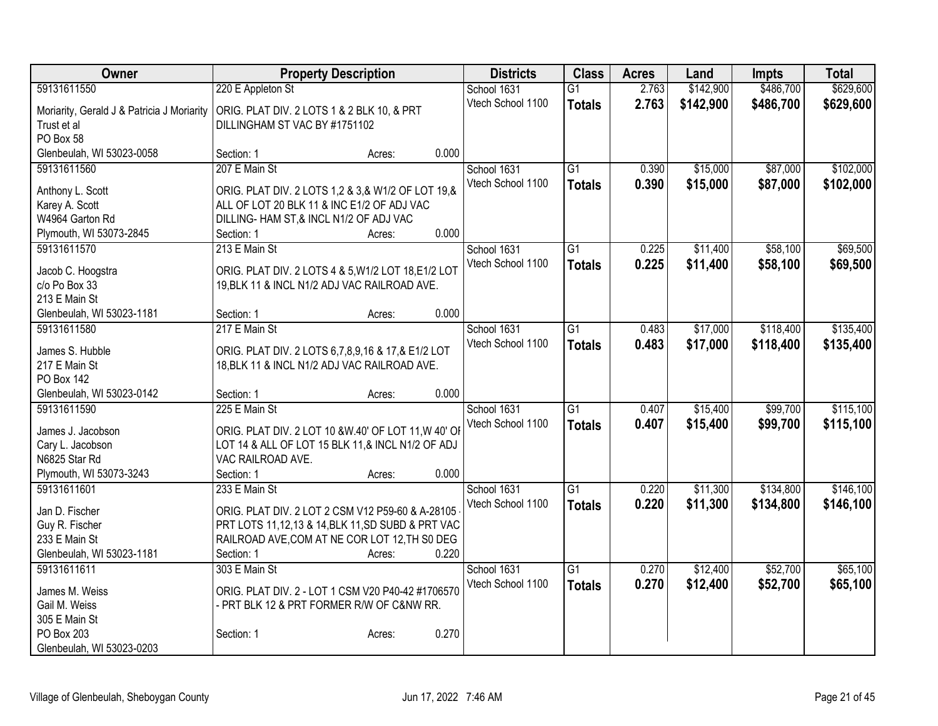| Owner                                      | <b>Property Description</b>                                                          |        | <b>Districts</b>  | <b>Class</b>    | <b>Acres</b> | Land      | <b>Impts</b> | <b>Total</b> |
|--------------------------------------------|--------------------------------------------------------------------------------------|--------|-------------------|-----------------|--------------|-----------|--------------|--------------|
| 59131611550                                | 220 E Appleton St                                                                    |        | School 1631       | $\overline{G1}$ | 2.763        | \$142,900 | \$486,700    | \$629,600    |
| Moriarity, Gerald J & Patricia J Moriarity | ORIG. PLAT DIV. 2 LOTS 1 & 2 BLK 10, & PRT                                           |        | Vtech School 1100 | <b>Totals</b>   | 2.763        | \$142,900 | \$486,700    | \$629,600    |
| Trust et al                                | DILLINGHAM ST VAC BY #1751102                                                        |        |                   |                 |              |           |              |              |
| PO Box 58                                  |                                                                                      |        |                   |                 |              |           |              |              |
| Glenbeulah, WI 53023-0058                  | Section: 1                                                                           | Acres: | 0.000             |                 |              |           |              |              |
| 59131611560                                | 207 E Main St                                                                        |        | School 1631       | $\overline{G1}$ | 0.390        | \$15,000  | \$87,000     | \$102,000    |
|                                            |                                                                                      |        | Vtech School 1100 | <b>Totals</b>   | 0.390        | \$15,000  | \$87,000     | \$102,000    |
| Anthony L. Scott                           | ORIG. PLAT DIV. 2 LOTS 1,2 & 3,& W1/2 OF LOT 19,&                                    |        |                   |                 |              |           |              |              |
| Karey A. Scott<br>W4964 Garton Rd          | ALL OF LOT 20 BLK 11 & INC E1/2 OF ADJ VAC<br>DILLING- HAM ST,& INCL N1/2 OF ADJ VAC |        |                   |                 |              |           |              |              |
| Plymouth, WI 53073-2845                    | Section: 1                                                                           | Acres: | 0.000             |                 |              |           |              |              |
| 59131611570                                | 213 E Main St                                                                        |        | School 1631       | G1              | 0.225        | \$11,400  | \$58,100     | \$69,500     |
|                                            |                                                                                      |        | Vtech School 1100 |                 | 0.225        | \$11,400  | \$58,100     |              |
| Jacob C. Hoogstra                          | ORIG. PLAT DIV. 2 LOTS 4 & 5, W1/2 LOT 18, E1/2 LOT                                  |        |                   | <b>Totals</b>   |              |           |              | \$69,500     |
| c/o Po Box 33                              | 19, BLK 11 & INCL N1/2 ADJ VAC RAILROAD AVE.                                         |        |                   |                 |              |           |              |              |
| 213 E Main St                              |                                                                                      |        |                   |                 |              |           |              |              |
| Glenbeulah, WI 53023-1181                  | Section: 1                                                                           | Acres: | 0.000             |                 |              |           |              |              |
| 59131611580                                | 217 E Main St                                                                        |        | School 1631       | $\overline{G1}$ | 0.483        | \$17,000  | \$118,400    | \$135,400    |
| James S. Hubble                            | ORIG. PLAT DIV. 2 LOTS 6,7,8,9,16 & 17,& E1/2 LOT                                    |        | Vtech School 1100 | <b>Totals</b>   | 0.483        | \$17,000  | \$118,400    | \$135,400    |
| 217 E Main St                              | 18, BLK 11 & INCL N1/2 ADJ VAC RAILROAD AVE.                                         |        |                   |                 |              |           |              |              |
| PO Box 142                                 |                                                                                      |        |                   |                 |              |           |              |              |
| Glenbeulah, WI 53023-0142                  | Section: 1                                                                           | Acres: | 0.000             |                 |              |           |              |              |
| 59131611590                                | 225 E Main St                                                                        |        | School 1631       | $\overline{G1}$ | 0.407        | \$15,400  | \$99,700     | \$115,100    |
|                                            |                                                                                      |        | Vtech School 1100 | <b>Totals</b>   | 0.407        | \$15,400  | \$99,700     | \$115,100    |
| James J. Jacobson                          | ORIG. PLAT DIV. 2 LOT 10 &W.40' OF LOT 11, W 40' OF                                  |        |                   |                 |              |           |              |              |
| Cary L. Jacobson                           | LOT 14 & ALL OF LOT 15 BLK 11,& INCL N1/2 OF ADJ                                     |        |                   |                 |              |           |              |              |
| N6825 Star Rd<br>Plymouth, WI 53073-3243   | VAC RAILROAD AVE.<br>Section: 1                                                      |        | 0.000             |                 |              |           |              |              |
| 59131611601                                | 233 E Main St                                                                        | Acres: | School 1631       | $\overline{G1}$ | 0.220        | \$11,300  | \$134,800    | \$146,100    |
|                                            |                                                                                      |        | Vtech School 1100 |                 | 0.220        | \$11,300  |              |              |
| Jan D. Fischer                             | ORIG. PLAT DIV. 2 LOT 2 CSM V12 P59-60 & A-28105                                     |        |                   | <b>Totals</b>   |              |           | \$134,800    | \$146,100    |
| Guy R. Fischer                             | PRT LOTS 11,12,13 & 14, BLK 11, SD SUBD & PRT VAC                                    |        |                   |                 |              |           |              |              |
| 233 E Main St                              | RAILROAD AVE, COM AT NE COR LOT 12, TH S0 DEG                                        |        |                   |                 |              |           |              |              |
| Glenbeulah, WI 53023-1181                  | Section: 1                                                                           | Acres: | 0.220             |                 |              |           |              |              |
| 59131611611                                | 303 E Main St                                                                        |        | School 1631       | $\overline{G1}$ | 0.270        | \$12,400  | \$52,700     | \$65,100     |
| James M. Weiss                             | ORIG. PLAT DIV. 2 - LOT 1 CSM V20 P40-42 #1706570                                    |        | Vtech School 1100 | <b>Totals</b>   | 0.270        | \$12,400  | \$52,700     | \$65,100     |
| Gail M. Weiss                              | - PRT BLK 12 & PRT FORMER R/W OF C&NW RR.                                            |        |                   |                 |              |           |              |              |
| 305 E Main St                              |                                                                                      |        |                   |                 |              |           |              |              |
| PO Box 203                                 | Section: 1                                                                           | Acres: | 0.270             |                 |              |           |              |              |
| Glenbeulah, WI 53023-0203                  |                                                                                      |        |                   |                 |              |           |              |              |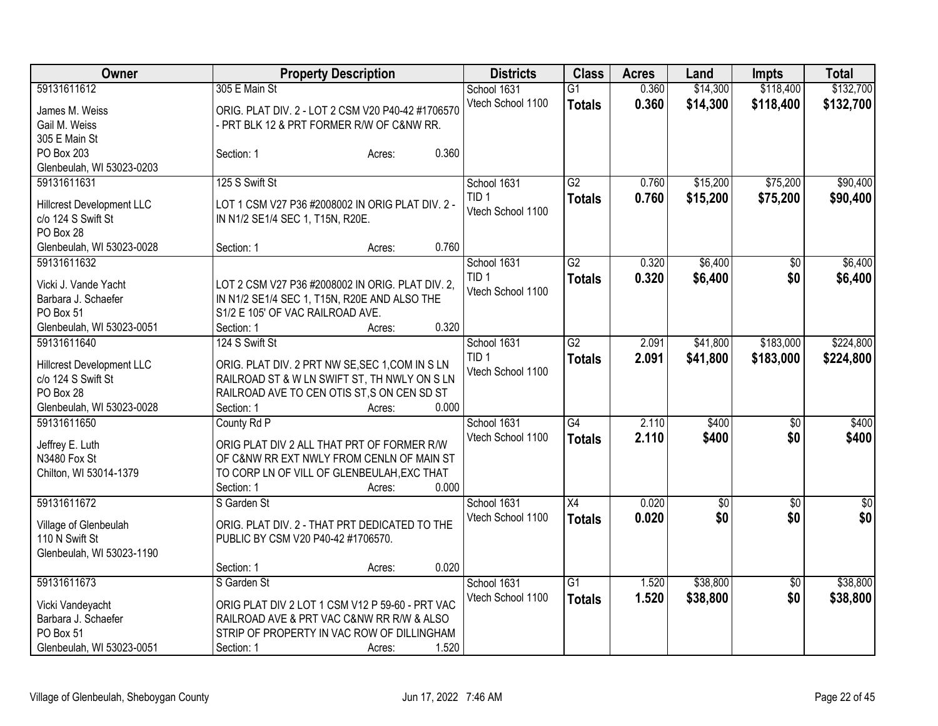| Owner                     |                                    | <b>Property Description</b>                                                                      |                                  | <b>Class</b><br><b>Acres</b><br>Land |                | <b>Impts</b>         | <b>Total</b>           |                        |
|---------------------------|------------------------------------|--------------------------------------------------------------------------------------------------|----------------------------------|--------------------------------------|----------------|----------------------|------------------------|------------------------|
| 59131611612               | 305 E Main St                      |                                                                                                  | School 1631<br>Vtech School 1100 | $\overline{G1}$<br><b>Totals</b>     | 0.360<br>0.360 | \$14,300<br>\$14,300 | \$118,400<br>\$118,400 | \$132,700<br>\$132,700 |
| James M. Weiss            |                                    | ORIG. PLAT DIV. 2 - LOT 2 CSM V20 P40-42 #1706570                                                |                                  |                                      |                |                      |                        |                        |
| Gail M. Weiss             |                                    | PRT BLK 12 & PRT FORMER R/W OF C&NW RR.                                                          |                                  |                                      |                |                      |                        |                        |
| 305 E Main St             |                                    |                                                                                                  |                                  |                                      |                |                      |                        |                        |
| PO Box 203                | Section: 1                         | 0.360<br>Acres:                                                                                  |                                  |                                      |                |                      |                        |                        |
| Glenbeulah, WI 53023-0203 |                                    |                                                                                                  |                                  |                                      |                |                      |                        |                        |
| 59131611631               | 125 S Swift St                     |                                                                                                  | School 1631                      | G2                                   | 0.760          | \$15,200             | \$75,200               | \$90,400               |
| Hillcrest Development LLC |                                    | LOT 1 CSM V27 P36 #2008002 IN ORIG PLAT DIV. 2 -                                                 | TID <sub>1</sub>                 | <b>Totals</b>                        | 0.760          | \$15,200             | \$75,200               | \$90,400               |
| c/o 124 S Swift St        | IN N1/2 SE1/4 SEC 1, T15N, R20E.   |                                                                                                  | Vtech School 1100                |                                      |                |                      |                        |                        |
| PO Box 28                 |                                    |                                                                                                  |                                  |                                      |                |                      |                        |                        |
| Glenbeulah, WI 53023-0028 | Section: 1                         | 0.760<br>Acres:                                                                                  |                                  |                                      |                |                      |                        |                        |
| 59131611632               |                                    |                                                                                                  | School 1631                      | $\overline{G2}$                      | 0.320          | \$6,400              | $\sqrt{6}$             | \$6,400                |
| Vicki J. Vande Yacht      |                                    |                                                                                                  | TID <sub>1</sub>                 | <b>Totals</b>                        | 0.320          | \$6,400              | \$0                    | \$6,400                |
| Barbara J. Schaefer       |                                    | LOT 2 CSM V27 P36 #2008002 IN ORIG. PLAT DIV. 2,<br>IN N1/2 SE1/4 SEC 1, T15N, R20E AND ALSO THE | Vtech School 1100                |                                      |                |                      |                        |                        |
| PO Box 51                 | S1/2 E 105' OF VAC RAILROAD AVE.   |                                                                                                  |                                  |                                      |                |                      |                        |                        |
| Glenbeulah, WI 53023-0051 | Section: 1                         | 0.320<br>Acres:                                                                                  |                                  |                                      |                |                      |                        |                        |
| 59131611640               | 124 S Swift St                     |                                                                                                  | School 1631                      | $\overline{G2}$                      | 2.091          | \$41,800             | \$183,000              | \$224,800              |
|                           |                                    |                                                                                                  | TID <sub>1</sub>                 | <b>Totals</b>                        | 2.091          | \$41,800             | \$183,000              | \$224,800              |
| Hillcrest Development LLC |                                    | ORIG. PLAT DIV. 2 PRT NW SE, SEC 1, COM IN S LN                                                  | Vtech School 1100                |                                      |                |                      |                        |                        |
| c/o 124 S Swift St        |                                    | RAILROAD ST & W LN SWIFT ST, TH NWLY ON S LN                                                     |                                  |                                      |                |                      |                        |                        |
| PO Box 28                 |                                    | RAILROAD AVE TO CEN OTIS ST, S ON CEN SD ST                                                      |                                  |                                      |                |                      |                        |                        |
| Glenbeulah, WI 53023-0028 | Section: 1                         | 0.000<br>Acres:                                                                                  |                                  |                                      |                |                      |                        |                        |
| 59131611650               | County Rd P                        |                                                                                                  | School 1631                      | $\overline{G4}$                      | 2.110          | \$400                | $\sqrt{6}$             | \$400                  |
| Jeffrey E. Luth           |                                    | ORIG PLAT DIV 2 ALL THAT PRT OF FORMER R/W                                                       | Vtech School 1100                | <b>Totals</b>                        | 2.110          | \$400                | \$0                    | \$400                  |
| N3480 Fox St              |                                    | OF C&NW RR EXT NWLY FROM CENLN OF MAIN ST                                                        |                                  |                                      |                |                      |                        |                        |
| Chilton, WI 53014-1379    |                                    | TO CORP LN OF VILL OF GLENBEULAH, EXC THAT                                                       |                                  |                                      |                |                      |                        |                        |
|                           | Section: 1                         | 0.000<br>Acres:                                                                                  |                                  |                                      |                |                      |                        |                        |
| 59131611672               | S Garden St                        |                                                                                                  | School 1631                      | $\overline{X4}$                      | 0.020          | $\overline{60}$      | $\overline{30}$        | $\overline{30}$        |
| Village of Glenbeulah     |                                    | ORIG. PLAT DIV. 2 - THAT PRT DEDICATED TO THE                                                    | Vtech School 1100                | <b>Totals</b>                        | 0.020          | \$0                  | \$0                    | \$0                    |
| 110 N Swift St            | PUBLIC BY CSM V20 P40-42 #1706570. |                                                                                                  |                                  |                                      |                |                      |                        |                        |
| Glenbeulah, WI 53023-1190 |                                    |                                                                                                  |                                  |                                      |                |                      |                        |                        |
|                           | Section: 1                         | 0.020<br>Acres:                                                                                  |                                  |                                      |                |                      |                        |                        |
| 59131611673               | S Garden St                        |                                                                                                  | School 1631                      | $\overline{G1}$                      | 1.520          | \$38,800             | $\overline{50}$        | \$38,800               |
|                           |                                    |                                                                                                  | Vtech School 1100                | <b>Totals</b>                        | 1.520          | \$38,800             | \$0                    | \$38,800               |
| Vicki Vandeyacht          |                                    | ORIG PLAT DIV 2 LOT 1 CSM V12 P 59-60 - PRT VAC                                                  |                                  |                                      |                |                      |                        |                        |
| Barbara J. Schaefer       |                                    | RAILROAD AVE & PRT VAC C&NW RR R/W & ALSO                                                        |                                  |                                      |                |                      |                        |                        |
| PO Box 51                 |                                    | STRIP OF PROPERTY IN VAC ROW OF DILLINGHAM                                                       |                                  |                                      |                |                      |                        |                        |
| Glenbeulah, WI 53023-0051 | Section: 1                         | 1.520<br>Acres:                                                                                  |                                  |                                      |                |                      |                        |                        |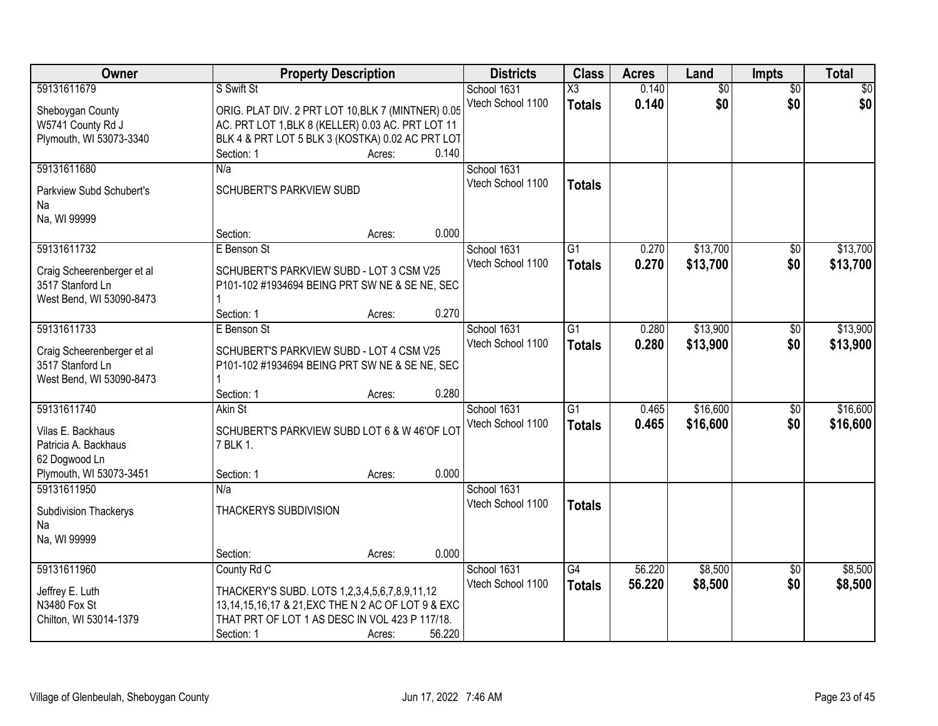| Owner                      |                                                    | <b>Property Description</b> |        | <b>Districts</b>  | <b>Class</b>           | <b>Acres</b> | Land            | Impts           | <b>Total</b> |
|----------------------------|----------------------------------------------------|-----------------------------|--------|-------------------|------------------------|--------------|-----------------|-----------------|--------------|
| 59131611679                | S Swift St                                         |                             |        | School 1631       | $\overline{\text{X3}}$ | 0.140        | $\overline{60}$ | $\overline{50}$ | \$0          |
| Sheboygan County           | ORIG. PLAT DIV. 2 PRT LOT 10, BLK 7 (MINTNER) 0.05 |                             |        | Vtech School 1100 | <b>Totals</b>          | 0.140        | \$0             | \$0             | \$0          |
| W5741 County Rd J          | AC. PRT LOT 1, BLK 8 (KELLER) 0.03 AC. PRT LOT 11  |                             |        |                   |                        |              |                 |                 |              |
| Plymouth, WI 53073-3340    | BLK 4 & PRT LOT 5 BLK 3 (KOSTKA) 0.02 AC PRT LOT   |                             |        |                   |                        |              |                 |                 |              |
|                            | Section: 1                                         | Acres:                      | 0.140  |                   |                        |              |                 |                 |              |
| 59131611680                | N/a                                                |                             |        | School 1631       |                        |              |                 |                 |              |
| Parkview Subd Schubert's   | SCHUBERT'S PARKVIEW SUBD                           |                             |        | Vtech School 1100 | <b>Totals</b>          |              |                 |                 |              |
| Na                         |                                                    |                             |        |                   |                        |              |                 |                 |              |
| Na, WI 99999               |                                                    |                             |        |                   |                        |              |                 |                 |              |
|                            | Section:                                           | Acres:                      | 0.000  |                   |                        |              |                 |                 |              |
| 59131611732                | E Benson St                                        |                             |        | School 1631       | $\overline{G1}$        | 0.270        | \$13,700        | $\overline{50}$ | \$13,700     |
| Craig Scheerenberger et al | SCHUBERT'S PARKVIEW SUBD - LOT 3 CSM V25           |                             |        | Vtech School 1100 | <b>Totals</b>          | 0.270        | \$13,700        | \$0             | \$13,700     |
| 3517 Stanford Ln           | P101-102 #1934694 BEING PRT SW NE & SE NE, SEC     |                             |        |                   |                        |              |                 |                 |              |
| West Bend, WI 53090-8473   |                                                    |                             |        |                   |                        |              |                 |                 |              |
|                            | Section: 1                                         | Acres:                      | 0.270  |                   |                        |              |                 |                 |              |
| 59131611733                | E Benson St                                        |                             |        | School 1631       | $\overline{G1}$        | 0.280        | \$13,900        | \$0             | \$13,900     |
| Craig Scheerenberger et al | SCHUBERT'S PARKVIEW SUBD - LOT 4 CSM V25           |                             |        | Vtech School 1100 | <b>Totals</b>          | 0.280        | \$13,900        | \$0             | \$13,900     |
| 3517 Stanford Ln           | P101-102 #1934694 BEING PRT SW NE & SE NE, SEC     |                             |        |                   |                        |              |                 |                 |              |
| West Bend, WI 53090-8473   |                                                    |                             |        |                   |                        |              |                 |                 |              |
|                            | Section: 1                                         | Acres:                      | 0.280  |                   |                        |              |                 |                 |              |
| 59131611740                | Akin St                                            |                             |        | School 1631       | $\overline{G1}$        | 0.465        | \$16,600        | $\overline{50}$ | \$16,600     |
| Vilas E. Backhaus          | SCHUBERT'S PARKVIEW SUBD LOT 6 & W 46'OF LOT       |                             |        | Vtech School 1100 | <b>Totals</b>          | 0.465        | \$16,600        | \$0             | \$16,600     |
| Patricia A. Backhaus       | 7 BLK 1.                                           |                             |        |                   |                        |              |                 |                 |              |
| 62 Dogwood Ln              |                                                    |                             |        |                   |                        |              |                 |                 |              |
| Plymouth, WI 53073-3451    | Section: 1                                         | Acres:                      | 0.000  |                   |                        |              |                 |                 |              |
| 59131611950                | N/a                                                |                             |        | School 1631       |                        |              |                 |                 |              |
| Subdivision Thackerys      | THACKERYS SUBDIVISION                              |                             |        | Vtech School 1100 | <b>Totals</b>          |              |                 |                 |              |
| Na                         |                                                    |                             |        |                   |                        |              |                 |                 |              |
| Na, WI 99999               |                                                    |                             |        |                   |                        |              |                 |                 |              |
|                            | Section:                                           | Acres:                      | 0.000  |                   |                        |              |                 |                 |              |
| 59131611960                | County Rd C                                        |                             |        | School 1631       | $\overline{G4}$        | 56.220       | \$8,500         | $\overline{30}$ | \$8,500      |
| Jeffrey E. Luth            | THACKERY'S SUBD. LOTS 1,2,3,4,5,6,7,8,9,11,12      |                             |        | Vtech School 1100 | <b>Totals</b>          | 56.220       | \$8,500         | \$0             | \$8,500      |
| N3480 Fox St               | 13,14,15,16,17 & 21, EXC THE N 2 AC OF LOT 9 & EXC |                             |        |                   |                        |              |                 |                 |              |
| Chilton, WI 53014-1379     | THAT PRT OF LOT 1 AS DESC IN VOL 423 P 117/18.     |                             |        |                   |                        |              |                 |                 |              |
|                            | Section: 1                                         | Acres:                      | 56.220 |                   |                        |              |                 |                 |              |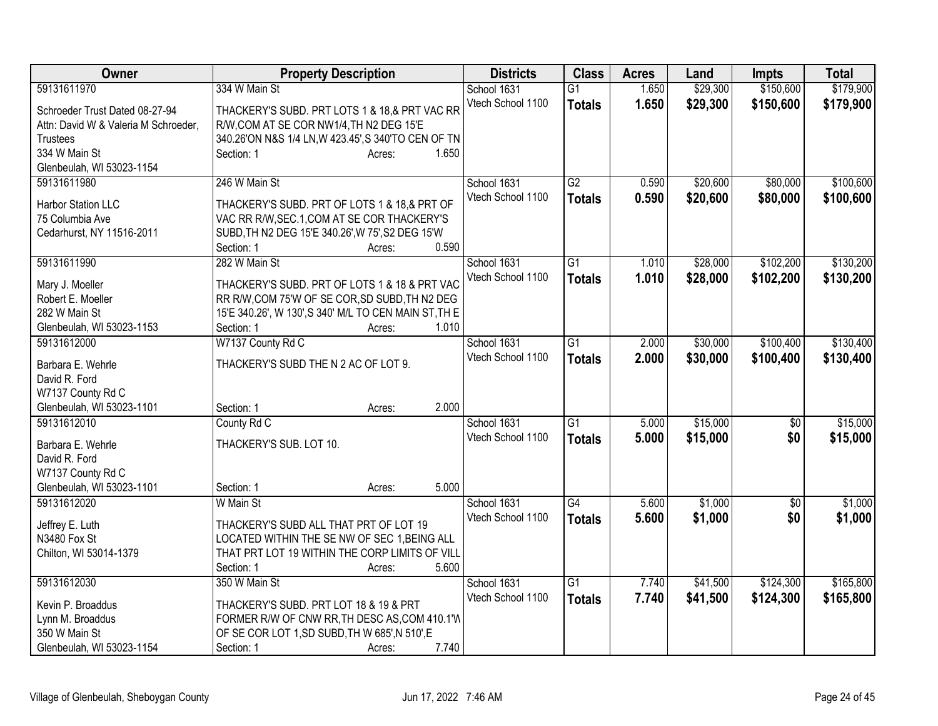| Owner                                | <b>Property Description</b>                           | <b>Districts</b>  | <b>Class</b>    | <b>Acres</b> | Land     | <b>Impts</b>    | <b>Total</b> |
|--------------------------------------|-------------------------------------------------------|-------------------|-----------------|--------------|----------|-----------------|--------------|
| 59131611970                          | 334 W Main St                                         | School 1631       | $\overline{G1}$ | 1.650        | \$29,300 | \$150,600       | \$179,900    |
| Schroeder Trust Dated 08-27-94       | THACKERY'S SUBD. PRT LOTS 1 & 18,& PRT VAC RR         | Vtech School 1100 | <b>Totals</b>   | 1.650        | \$29,300 | \$150,600       | \$179,900    |
| Attn: David W & Valeria M Schroeder, | R/W, COM AT SE COR NW1/4, TH N2 DEG 15'E              |                   |                 |              |          |                 |              |
| <b>Trustees</b>                      | 340.26'ON N&S 1/4 LN, W 423.45', S 340'TO CEN OF TN   |                   |                 |              |          |                 |              |
| 334 W Main St                        | Section: 1<br>1.650<br>Acres:                         |                   |                 |              |          |                 |              |
| Glenbeulah, WI 53023-1154            |                                                       |                   |                 |              |          |                 |              |
| 59131611980                          | 246 W Main St                                         | School 1631       | G2              | 0.590        | \$20,600 | \$80,000        | \$100,600    |
|                                      |                                                       | Vtech School 1100 | <b>Totals</b>   | 0.590        | \$20,600 | \$80,000        | \$100,600    |
| Harbor Station LLC                   | THACKERY'S SUBD. PRT OF LOTS 1 & 18,& PRT OF          |                   |                 |              |          |                 |              |
| 75 Columbia Ave                      | VAC RR R/W, SEC.1, COM AT SE COR THACKERY'S           |                   |                 |              |          |                 |              |
| Cedarhurst, NY 11516-2011            | SUBD, TH N2 DEG 15'E 340.26', W 75', S2 DEG 15'W      |                   |                 |              |          |                 |              |
|                                      | 0.590<br>Section: 1<br>Acres:                         |                   |                 |              |          |                 |              |
| 59131611990                          | 282 W Main St                                         | School 1631       | $\overline{G1}$ | 1.010        | \$28,000 | \$102,200       | \$130,200    |
| Mary J. Moeller                      | THACKERY'S SUBD. PRT OF LOTS 1 & 18 & PRT VAC         | Vtech School 1100 | <b>Totals</b>   | 1.010        | \$28,000 | \$102,200       | \$130,200    |
| Robert E. Moeller                    | RR R/W, COM 75'W OF SE COR, SD SUBD, TH N2 DEG        |                   |                 |              |          |                 |              |
| 282 W Main St                        | 15'E 340.26', W 130', S 340' M/L TO CEN MAIN ST, TH E |                   |                 |              |          |                 |              |
| Glenbeulah, WI 53023-1153            | 1.010<br>Section: 1<br>Acres:                         |                   |                 |              |          |                 |              |
| 59131612000                          | W7137 County Rd C                                     | School 1631       | G1              | 2.000        | \$30,000 | \$100,400       | \$130,400    |
|                                      |                                                       | Vtech School 1100 | <b>Totals</b>   | 2.000        | \$30,000 | \$100,400       | \$130,400    |
| Barbara E. Wehrle                    | THACKERY'S SUBD THE N 2 AC OF LOT 9.                  |                   |                 |              |          |                 |              |
| David R. Ford                        |                                                       |                   |                 |              |          |                 |              |
| W7137 County Rd C                    |                                                       |                   |                 |              |          |                 |              |
| Glenbeulah, WI 53023-1101            | 2.000<br>Section: 1<br>Acres:                         |                   |                 |              |          |                 |              |
| 59131612010                          | County Rd C                                           | School 1631       | G1              | 5.000        | \$15,000 | $\frac{1}{20}$  | \$15,000     |
| Barbara E. Wehrle                    | THACKERY'S SUB. LOT 10.                               | Vtech School 1100 | <b>Totals</b>   | 5.000        | \$15,000 | \$0             | \$15,000     |
| David R. Ford                        |                                                       |                   |                 |              |          |                 |              |
| W7137 County Rd C                    |                                                       |                   |                 |              |          |                 |              |
| Glenbeulah, WI 53023-1101            | 5.000<br>Section: 1<br>Acres:                         |                   |                 |              |          |                 |              |
| 59131612020                          | W Main St                                             | School 1631       | $\overline{G4}$ | 5.600        | \$1,000  | $\overline{50}$ | \$1,000      |
|                                      |                                                       | Vtech School 1100 | <b>Totals</b>   | 5.600        | \$1,000  | \$0             | \$1,000      |
| Jeffrey E. Luth                      | THACKERY'S SUBD ALL THAT PRT OF LOT 19                |                   |                 |              |          |                 |              |
| N3480 Fox St                         | LOCATED WITHIN THE SE NW OF SEC 1, BEING ALL          |                   |                 |              |          |                 |              |
| Chilton, WI 53014-1379               | THAT PRT LOT 19 WITHIN THE CORP LIMITS OF VILL        |                   |                 |              |          |                 |              |
|                                      | 5.600<br>Section: 1<br>Acres:                         |                   |                 |              |          |                 |              |
| 59131612030                          | 350 W Main St                                         | School 1631       | $\overline{G1}$ | 7.740        | \$41,500 | \$124,300       | \$165,800    |
| Kevin P. Broaddus                    | THACKERY'S SUBD. PRT LOT 18 & 19 & PRT                | Vtech School 1100 | <b>Totals</b>   | 7.740        | \$41,500 | \$124,300       | \$165,800    |
| Lynn M. Broaddus                     | FORMER R/W OF CNW RR, TH DESC AS, COM 410.1'W         |                   |                 |              |          |                 |              |
| 350 W Main St                        | OF SE COR LOT 1, SD SUBD, TH W 685', N 510', E        |                   |                 |              |          |                 |              |
| Glenbeulah, WI 53023-1154            | 7.740<br>Section: 1<br>Acres:                         |                   |                 |              |          |                 |              |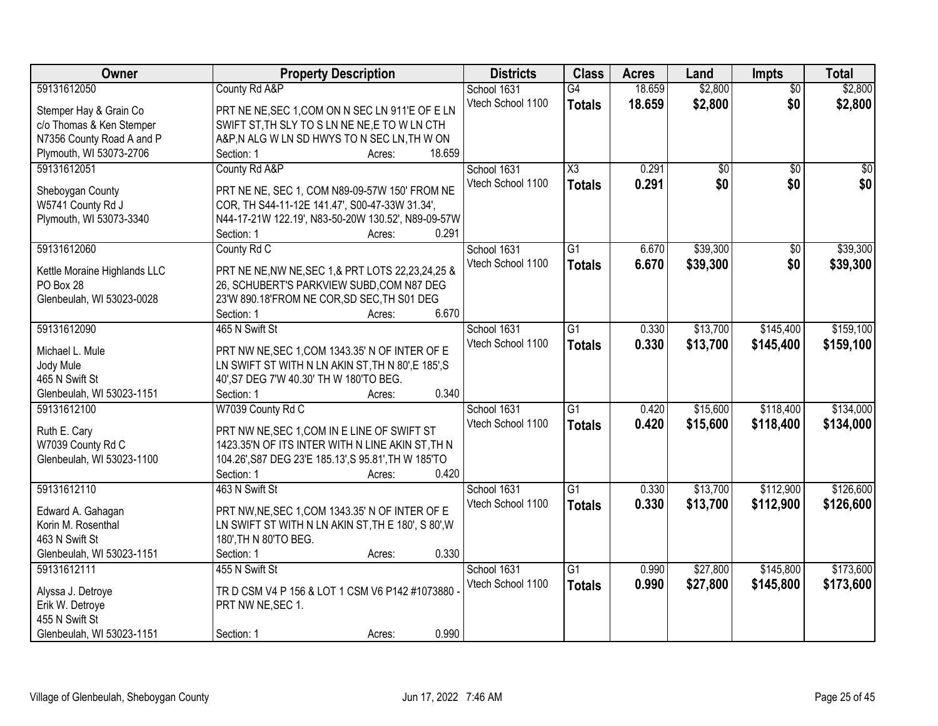| \$2,800<br>\$2,800<br>59131612050<br>County Rd A&P<br>School 1631<br>18.659<br>$\overline{G4}$<br>$\overline{50}$<br>\$0<br>Vtech School 1100<br>18.659<br>\$2,800<br>\$2,800<br><b>Totals</b><br>PRT NE NE, SEC 1, COM ON N SEC LN 911'E OF E LN<br>Stemper Hay & Grain Co<br>SWIFT ST, TH SLY TO S LN NE NE, E TO W LN CTH |                          |
|------------------------------------------------------------------------------------------------------------------------------------------------------------------------------------------------------------------------------------------------------------------------------------------------------------------------------|--------------------------|
|                                                                                                                                                                                                                                                                                                                              |                          |
|                                                                                                                                                                                                                                                                                                                              |                          |
|                                                                                                                                                                                                                                                                                                                              | c/o Thomas & Ken Stemper |
| N7356 County Road A and P<br>A&P,N ALG W LN SD HWYS TO N SEC LN,TH W ON                                                                                                                                                                                                                                                      |                          |
| Plymouth, WI 53073-2706<br>Section: 1<br>18.659<br>Acres:                                                                                                                                                                                                                                                                    |                          |
| 59131612051<br>X3<br>0.291<br>County Rd A&P<br>School 1631<br>$\overline{50}$<br>$\overline{30}$<br>$\overline{30}$                                                                                                                                                                                                          |                          |
| \$0 <br>0.291<br>\$0<br>Vtech School 1100<br>\$0<br><b>Totals</b>                                                                                                                                                                                                                                                            |                          |
| PRT NE NE, SEC 1, COM N89-09-57W 150' FROM NE<br>Sheboygan County                                                                                                                                                                                                                                                            |                          |
| W5741 County Rd J<br>COR, TH S44-11-12E 141.47', S00-47-33W 31.34',                                                                                                                                                                                                                                                          |                          |
| Plymouth, WI 53073-3340<br>N44-17-21W 122.19', N83-50-20W 130.52', N89-09-57W                                                                                                                                                                                                                                                |                          |
| 0.291<br>Section: 1<br>Acres:                                                                                                                                                                                                                                                                                                |                          |
| 59131612060<br>$\overline{G1}$<br>\$39,300<br>\$39,300<br>County Rd C<br>School 1631<br>6.670<br>\$0                                                                                                                                                                                                                         |                          |
| \$0<br>Vtech School 1100<br>\$39,300<br>6.670<br>\$39,300<br><b>Totals</b>                                                                                                                                                                                                                                                   |                          |
| PRT NE NE, NW NE, SEC 1, & PRT LOTS 22, 23, 24, 25 &<br>Kettle Moraine Highlands LLC                                                                                                                                                                                                                                         |                          |
| PO Box 28<br>26, SCHUBERT'S PARKVIEW SUBD, COM N87 DEG                                                                                                                                                                                                                                                                       |                          |
| Glenbeulah, WI 53023-0028<br>23'W 890.18'FROM NE COR, SD SEC, TH S01 DEG                                                                                                                                                                                                                                                     |                          |
| 6.670<br>Section: 1<br>Acres:                                                                                                                                                                                                                                                                                                |                          |
| \$159,100<br>59131612090<br>465 N Swift St<br>School 1631<br>$\overline{G1}$<br>\$13,700<br>\$145,400<br>0.330                                                                                                                                                                                                               |                          |
| Vtech School 1100<br>0.330<br>\$13,700<br>\$145,400<br>\$159,100<br><b>Totals</b><br>PRT NW NE, SEC 1, COM 1343.35' N OF INTER OF E<br>Michael L. Mule                                                                                                                                                                       |                          |
| Jody Mule<br>LN SWIFT ST WITH N LN AKIN ST, TH N 80', E 185', S                                                                                                                                                                                                                                                              |                          |
| 465 N Swift St<br>40', S7 DEG 7'W 40.30' TH W 180'TO BEG.                                                                                                                                                                                                                                                                    |                          |
| Glenbeulah, WI 53023-1151<br>0.340<br>Section: 1<br>Acres:                                                                                                                                                                                                                                                                   |                          |
| \$134,000<br>W7039 County Rd C<br>$\overline{G1}$<br>\$15,600<br>\$118,400<br>59131612100<br>0.420<br>School 1631                                                                                                                                                                                                            |                          |
| 0.420<br>Vtech School 1100                                                                                                                                                                                                                                                                                                   |                          |
| \$134,000<br>\$15,600<br>\$118,400<br><b>Totals</b><br>Ruth E. Cary<br>PRT NW NE, SEC 1, COM IN E LINE OF SWIFT ST                                                                                                                                                                                                           |                          |
| W7039 County Rd C<br>1423.35'N OF ITS INTER WITH N LINE AKIN ST, TH N                                                                                                                                                                                                                                                        |                          |
| Glenbeulah, WI 53023-1100<br>104.26', S87 DEG 23'E 185.13', S 95.81', TH W 185'TO                                                                                                                                                                                                                                            |                          |
| 0.420<br>Section: 1<br>Acres:                                                                                                                                                                                                                                                                                                |                          |
| 59131612110<br>$\overline{G1}$<br>\$13,700<br>\$112,900<br>\$126,600<br>463 N Swift St<br>School 1631<br>0.330                                                                                                                                                                                                               |                          |
| Vtech School 1100<br>\$13,700<br>\$112,900<br>0.330<br>\$126,600<br><b>Totals</b>                                                                                                                                                                                                                                            |                          |
| PRT NW, NE, SEC 1, COM 1343.35' N OF INTER OF E<br>Edward A. Gahagan                                                                                                                                                                                                                                                         |                          |
| Korin M. Rosenthal<br>LN SWIFT ST WITH N LN AKIN ST, TH E 180', S 80', W                                                                                                                                                                                                                                                     |                          |
| 180', TH N 80'TO BEG.<br>463 N Swift St                                                                                                                                                                                                                                                                                      |                          |
| Glenbeulah, WI 53023-1151<br>0.330<br>Section: 1<br>Acres:                                                                                                                                                                                                                                                                   |                          |
| \$145,800<br>\$173,600<br>59131612111<br>455 N Swift St<br>School 1631<br>$\overline{G1}$<br>\$27,800<br>0.990                                                                                                                                                                                                               |                          |
| Vtech School 1100<br>0.990<br>\$27,800<br>\$145,800<br>\$173,600<br><b>Totals</b><br>TR D CSM V4 P 156 & LOT 1 CSM V6 P142 #1073880<br>Alyssa J. Detroye                                                                                                                                                                     |                          |
| Erik W. Detroye<br>PRT NW NE, SEC 1.                                                                                                                                                                                                                                                                                         |                          |
| 455 N Swift St                                                                                                                                                                                                                                                                                                               |                          |
| 0.990<br>Glenbeulah, WI 53023-1151<br>Section: 1<br>Acres:                                                                                                                                                                                                                                                                   |                          |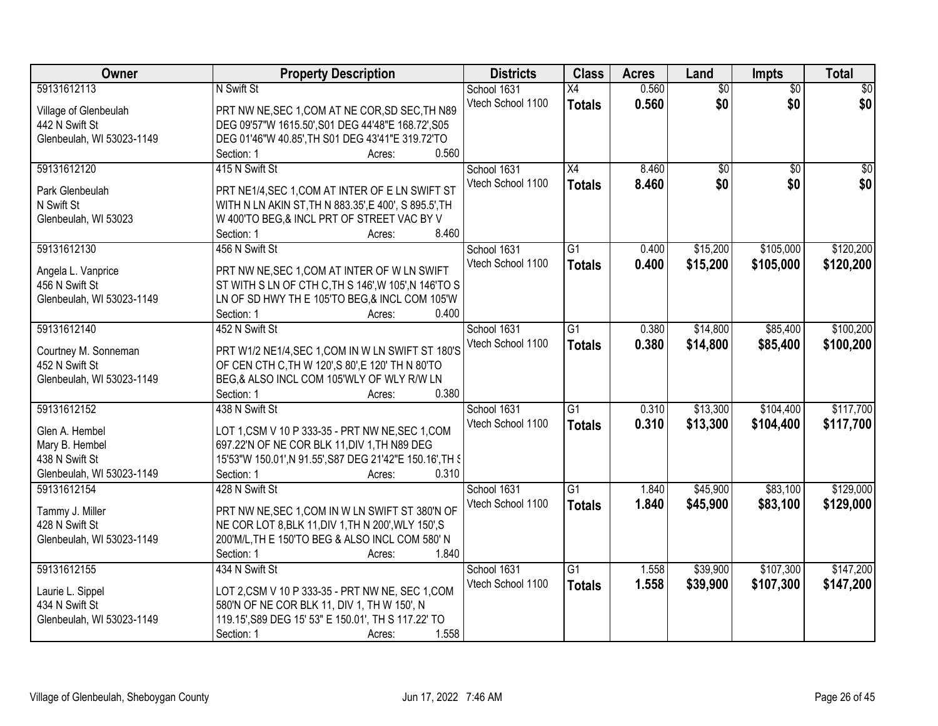| Owner                     | <b>Property Description</b>                              | <b>Districts</b>  | <b>Class</b>    | <b>Acres</b> | Land            | <b>Impts</b>    | <b>Total</b>    |
|---------------------------|----------------------------------------------------------|-------------------|-----------------|--------------|-----------------|-----------------|-----------------|
| 59131612113               | N Swift St                                               | School 1631       | $\overline{X4}$ | 0.560        | $\overline{60}$ | $\overline{50}$ | $\overline{50}$ |
| Village of Glenbeulah     | PRT NW NE, SEC 1, COM AT NE COR, SD SEC, TH N89          | Vtech School 1100 | <b>Totals</b>   | 0.560        | \$0             | \$0             | \$0             |
| 442 N Swift St            | DEG 09'57"W 1615.50', S01 DEG 44'48"E 168.72', S05       |                   |                 |              |                 |                 |                 |
| Glenbeulah, WI 53023-1149 | DEG 01'46"W 40.85', TH S01 DEG 43'41"E 319.72'TO         |                   |                 |              |                 |                 |                 |
|                           | 0.560<br>Section: 1<br>Acres:                            |                   |                 |              |                 |                 |                 |
| 59131612120               | 415 N Swift St                                           | School 1631       | $\overline{X4}$ | 8.460        | \$0             | $\overline{50}$ | $\overline{50}$ |
|                           |                                                          | Vtech School 1100 | <b>Totals</b>   | 8.460        | \$0             | \$0             | \$0             |
| Park Glenbeulah           | PRT NE1/4, SEC 1, COM AT INTER OF E LN SWIFT ST          |                   |                 |              |                 |                 |                 |
| N Swift St                | WITH N LN AKIN ST, TH N 883.35', E 400', S 895.5', TH    |                   |                 |              |                 |                 |                 |
| Glenbeulah, WI 53023      | W 400'TO BEG,& INCL PRT OF STREET VAC BY V<br>8.460      |                   |                 |              |                 |                 |                 |
| 59131612130               | Section: 1<br>Acres:<br>456 N Swift St                   | School 1631       | $\overline{G1}$ | 0.400        | \$15,200        | \$105,000       | \$120,200       |
|                           |                                                          | Vtech School 1100 |                 |              |                 |                 |                 |
| Angela L. Vanprice        | PRT NW NE, SEC 1, COM AT INTER OF W LN SWIFT             |                   | <b>Totals</b>   | 0.400        | \$15,200        | \$105,000       | \$120,200       |
| 456 N Swift St            | ST WITH S LN OF CTH C, TH S 146', W 105', N 146'TO S     |                   |                 |              |                 |                 |                 |
| Glenbeulah, WI 53023-1149 | LN OF SD HWY TH E 105'TO BEG,& INCL COM 105'W            |                   |                 |              |                 |                 |                 |
|                           | 0.400<br>Section: 1<br>Acres:                            |                   |                 |              |                 |                 |                 |
| 59131612140               | 452 N Swift St                                           | School 1631       | G1              | 0.380        | \$14,800        | \$85,400        | \$100,200       |
| Courtney M. Sonneman      | PRT W1/2 NE1/4, SEC 1, COM IN W LN SWIFT ST 180'S        | Vtech School 1100 | <b>Totals</b>   | 0.380        | \$14,800        | \$85,400        | \$100,200       |
| 452 N Swift St            | OF CEN CTH C, TH W 120', S 80', E 120' TH N 80'TO        |                   |                 |              |                 |                 |                 |
| Glenbeulah, WI 53023-1149 | BEG,& ALSO INCL COM 105'WLY OF WLY R/W LN                |                   |                 |              |                 |                 |                 |
|                           | 0.380<br>Section: 1<br>Acres:                            |                   |                 |              |                 |                 |                 |
| 59131612152               | 438 N Swift St                                           | School 1631       | $\overline{G1}$ | 0.310        | \$13,300        | \$104,400       | \$117,700       |
|                           |                                                          | Vtech School 1100 |                 | 0.310        | \$13,300        | \$104,400       | \$117,700       |
| Glen A. Hembel            | LOT 1, CSM V 10 P 333-35 - PRT NW NE, SEC 1, COM         |                   | <b>Totals</b>   |              |                 |                 |                 |
| Mary B. Hembel            | 697.22'N OF NE COR BLK 11, DIV 1, TH N89 DEG             |                   |                 |              |                 |                 |                 |
| 438 N Swift St            | 15'53"W 150.01', N 91.55', S87 DEG 21'42"E 150.16', TH § |                   |                 |              |                 |                 |                 |
| Glenbeulah, WI 53023-1149 | Section: 1<br>0.310<br>Acres:                            |                   |                 |              |                 |                 |                 |
| 59131612154               | 428 N Swift St                                           | School 1631       | $\overline{G1}$ | 1.840        | \$45,900        | \$83,100        | \$129,000       |
| Tammy J. Miller           | PRT NW NE, SEC 1, COM IN W LN SWIFT ST 380'N OF          | Vtech School 1100 | <b>Totals</b>   | 1.840        | \$45,900        | \$83,100        | \$129,000       |
| 428 N Swift St            | NE COR LOT 8, BLK 11, DIV 1, TH N 200', WLY 150', S      |                   |                 |              |                 |                 |                 |
| Glenbeulah, WI 53023-1149 | 200'M/L, TH E 150'TO BEG & ALSO INCL COM 580' N          |                   |                 |              |                 |                 |                 |
|                           | 1.840<br>Section: 1<br>Acres:                            |                   |                 |              |                 |                 |                 |
| 59131612155               | 434 N Swift St                                           | School 1631       | G1              | 1.558        | \$39,900        | \$107,300       | \$147,200       |
|                           |                                                          | Vtech School 1100 | <b>Totals</b>   | 1.558        | \$39,900        | \$107,300       | \$147,200       |
| Laurie L. Sippel          | LOT 2, CSM V 10 P 333-35 - PRT NW NE, SEC 1, COM         |                   |                 |              |                 |                 |                 |
| 434 N Swift St            | 580'N OF NE COR BLK 11, DIV 1, TH W 150', N              |                   |                 |              |                 |                 |                 |
| Glenbeulah, WI 53023-1149 | 119.15', S89 DEG 15' 53" E 150.01', TH S 117.22' TO      |                   |                 |              |                 |                 |                 |
|                           | 1.558<br>Section: 1<br>Acres:                            |                   |                 |              |                 |                 |                 |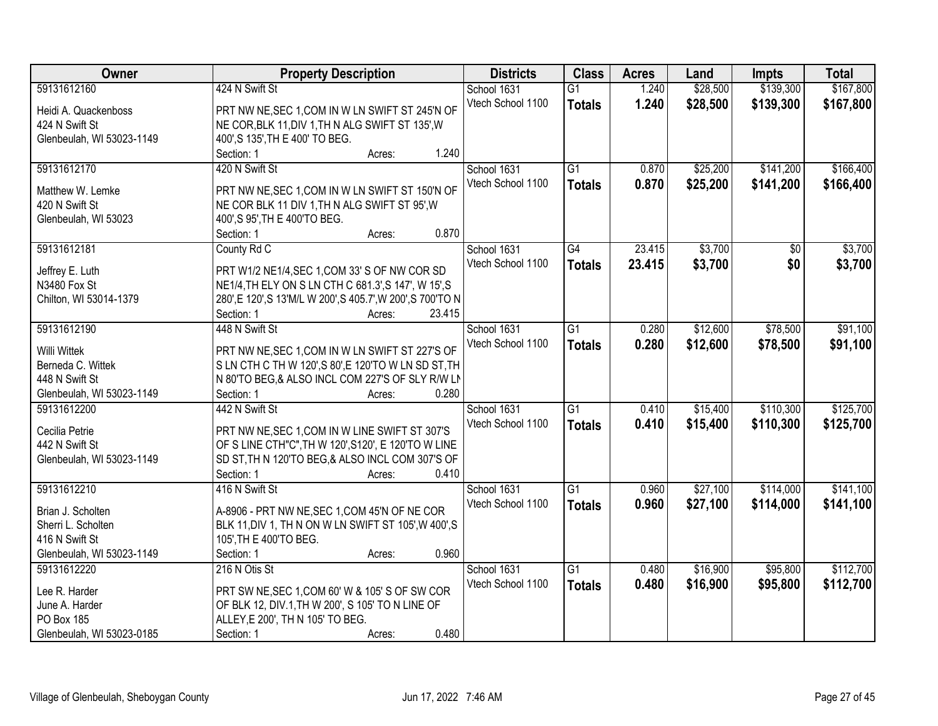| Owner                     | <b>Property Description</b>                                 | <b>Districts</b>  | <b>Class</b>    | <b>Acres</b> | Land     | <b>Impts</b> | <b>Total</b> |
|---------------------------|-------------------------------------------------------------|-------------------|-----------------|--------------|----------|--------------|--------------|
| 59131612160               | 424 N Swift St                                              | School 1631       | $\overline{G1}$ | 1.240        | \$28,500 | \$139,300    | \$167,800    |
| Heidi A. Quackenboss      | PRT NW NE, SEC 1, COM IN W LN SWIFT ST 245'N OF             | Vtech School 1100 | <b>Totals</b>   | 1.240        | \$28,500 | \$139,300    | \$167,800    |
| 424 N Swift St            | NE COR, BLK 11, DIV 1, TH N ALG SWIFT ST 135', W            |                   |                 |              |          |              |              |
| Glenbeulah, WI 53023-1149 | 400', S 135', TH E 400' TO BEG.                             |                   |                 |              |          |              |              |
|                           | 1.240<br>Section: 1<br>Acres:                               |                   |                 |              |          |              |              |
| 59131612170               | 420 N Swift St                                              | School 1631       | $\overline{G1}$ | 0.870        | \$25,200 | \$141,200    | \$166,400    |
|                           |                                                             | Vtech School 1100 | <b>Totals</b>   | 0.870        | \$25,200 | \$141,200    | \$166,400    |
| Matthew W. Lemke          | PRT NW NE, SEC 1, COM IN W LN SWIFT ST 150'N OF             |                   |                 |              |          |              |              |
| 420 N Swift St            | NE COR BLK 11 DIV 1, TH N ALG SWIFT ST 95', W               |                   |                 |              |          |              |              |
| Glenbeulah, WI 53023      | 400', S 95', TH E 400'TO BEG.                               |                   |                 |              |          |              |              |
|                           | 0.870<br>Section: 1<br>Acres:                               |                   |                 |              |          |              |              |
| 59131612181               | County Rd C                                                 | School 1631       | G4              | 23.415       | \$3,700  | \$0          | \$3,700      |
| Jeffrey E. Luth           | PRT W1/2 NE1/4, SEC 1, COM 33' S OF NW COR SD               | Vtech School 1100 | <b>Totals</b>   | 23.415       | \$3,700  | \$0          | \$3,700      |
| N3480 Fox St              | NE1/4, TH ELY ON S LN CTH C 681.3', S 147', W 15', S        |                   |                 |              |          |              |              |
| Chilton, WI 53014-1379    | 280', E 120', S 13'M/L W 200', S 405.7', W 200', S 700'TO N |                   |                 |              |          |              |              |
|                           | 23.415<br>Section: 1<br>Acres:                              |                   |                 |              |          |              |              |
| 59131612190               | 448 N Swift St                                              | School 1631       | $\overline{G1}$ | 0.280        | \$12,600 | \$78,500     | \$91,100     |
|                           |                                                             | Vtech School 1100 | <b>Totals</b>   | 0.280        | \$12,600 | \$78,500     | \$91,100     |
| Willi Wittek              | PRT NW NE, SEC 1, COM IN W LN SWIFT ST 227'S OF             |                   |                 |              |          |              |              |
| Berneda C. Wittek         | SLN CTH C TH W 120', S 80', E 120'TO WLN SD ST, TH          |                   |                 |              |          |              |              |
| 448 N Swift St            | N 80'TO BEG, & ALSO INCL COM 227'S OF SLY R/W LN            |                   |                 |              |          |              |              |
| Glenbeulah, WI 53023-1149 | 0.280<br>Section: 1<br>Acres:                               |                   |                 |              |          |              |              |
| 59131612200               | 442 N Swift St                                              | School 1631       | $\overline{G1}$ | 0.410        | \$15,400 | \$110,300    | \$125,700    |
| Cecilia Petrie            | PRT NW NE, SEC 1, COM IN W LINE SWIFT ST 307'S              | Vtech School 1100 | <b>Totals</b>   | 0.410        | \$15,400 | \$110,300    | \$125,700    |
| 442 N Swift St            | OF S LINE CTH"C", TH W 120', S120', E 120'TO W LINE         |                   |                 |              |          |              |              |
| Glenbeulah, WI 53023-1149 | SD ST, TH N 120'TO BEG, & ALSO INCL COM 307'S OF            |                   |                 |              |          |              |              |
|                           | 0.410<br>Section: 1<br>Acres:                               |                   |                 |              |          |              |              |
| 59131612210               | 416 N Swift St                                              | School 1631       | $\overline{G1}$ | 0.960        | \$27,100 | \$114,000    | \$141,100    |
|                           |                                                             | Vtech School 1100 | <b>Totals</b>   | 0.960        | \$27,100 | \$114,000    | \$141,100    |
| Brian J. Scholten         | A-8906 - PRT NW NE, SEC 1, COM 45'N OF NE COR               |                   |                 |              |          |              |              |
| Sherri L. Scholten        | BLK 11, DIV 1, TH N ON W LN SWIFT ST 105', W 400', S        |                   |                 |              |          |              |              |
| 416 N Swift St            | 105', TH E 400'TO BEG.                                      |                   |                 |              |          |              |              |
| Glenbeulah, WI 53023-1149 | 0.960<br>Section: 1<br>Acres:                               |                   |                 |              |          |              |              |
| 59131612220               | 216 N Otis St                                               | School 1631       | G1              | 0.480        | \$16,900 | \$95,800     | \$112,700    |
| Lee R. Harder             | PRT SW NE, SEC 1, COM 60' W & 105' S OF SW COR              | Vtech School 1100 | <b>Totals</b>   | 0.480        | \$16,900 | \$95,800     | \$112,700    |
| June A. Harder            | OF BLK 12, DIV.1, TH W 200', S 105' TO N LINE OF            |                   |                 |              |          |              |              |
| PO Box 185                | ALLEY, E 200', TH N 105' TO BEG.                            |                   |                 |              |          |              |              |
| Glenbeulah, WI 53023-0185 | 0.480<br>Section: 1<br>Acres:                               |                   |                 |              |          |              |              |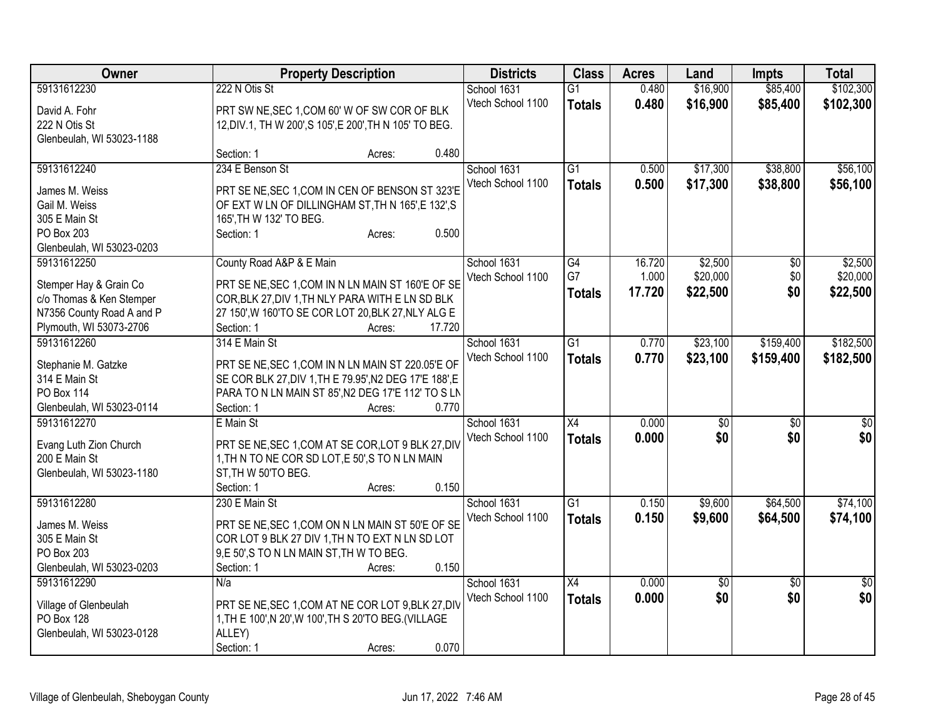| Owner                     | <b>Property Description</b>                             |                  | <b>Districts</b>  | <b>Class</b>    | <b>Acres</b> | Land            | <b>Impts</b>    | <b>Total</b> |
|---------------------------|---------------------------------------------------------|------------------|-------------------|-----------------|--------------|-----------------|-----------------|--------------|
| 59131612230               | 222 N Otis St                                           |                  | School 1631       | G1              | 0.480        | \$16,900        | \$85,400        | \$102,300    |
| David A. Fohr             | PRT SW NE, SEC 1, COM 60' W OF SW COR OF BLK            |                  | Vtech School 1100 | <b>Totals</b>   | 0.480        | \$16,900        | \$85,400        | \$102,300    |
| 222 N Otis St             | 12, DIV.1, TH W 200', S 105', E 200', TH N 105' TO BEG. |                  |                   |                 |              |                 |                 |              |
| Glenbeulah, WI 53023-1188 |                                                         |                  |                   |                 |              |                 |                 |              |
|                           | Section: 1                                              | 0.480<br>Acres:  |                   |                 |              |                 |                 |              |
| 59131612240               | 234 E Benson St                                         |                  | School 1631       | $\overline{G1}$ | 0.500        | \$17,300        | \$38,800        | \$56,100     |
| James M. Weiss            | PRT SE NE, SEC 1, COM IN CEN OF BENSON ST 323'E         |                  | Vtech School 1100 | <b>Totals</b>   | 0.500        | \$17,300        | \$38,800        | \$56,100     |
| Gail M. Weiss             | OF EXT W LN OF DILLINGHAM ST, TH N 165', E 132', S      |                  |                   |                 |              |                 |                 |              |
| 305 E Main St             | 165', TH W 132' TO BEG.                                 |                  |                   |                 |              |                 |                 |              |
| PO Box 203                | Section: 1                                              | 0.500<br>Acres:  |                   |                 |              |                 |                 |              |
| Glenbeulah, WI 53023-0203 |                                                         |                  |                   |                 |              |                 |                 |              |
| 59131612250               | County Road A&P & E Main                                |                  | School 1631       | G4              | 16.720       | \$2,500         | $\sqrt[6]{30}$  | \$2,500      |
|                           |                                                         |                  | Vtech School 1100 | G7              | 1.000        | \$20,000        | \$0             | \$20,000     |
| Stemper Hay & Grain Co    | PRT SE NE, SEC 1, COM IN N LN MAIN ST 160'E OF SE       |                  |                   | <b>Totals</b>   | 17.720       | \$22,500        | \$0             | \$22,500     |
| c/o Thomas & Ken Stemper  | COR, BLK 27, DIV 1, TH NLY PARA WITH E LN SD BLK        |                  |                   |                 |              |                 |                 |              |
| N7356 County Road A and P | 27 150', W 160'TO SE COR LOT 20, BLK 27, NLY ALG E      |                  |                   |                 |              |                 |                 |              |
| Plymouth, WI 53073-2706   | Section: 1                                              | 17.720<br>Acres: |                   |                 |              |                 |                 |              |
| 59131612260               | 314 E Main St                                           |                  | School 1631       | $\overline{G1}$ | 0.770        | \$23,100        | \$159,400       | \$182,500    |
| Stephanie M. Gatzke       | PRT SE NE, SEC 1, COM IN N LN MAIN ST 220.05'E OF       |                  | Vtech School 1100 | <b>Totals</b>   | 0.770        | \$23,100        | \$159,400       | \$182,500    |
| 314 E Main St             | SE COR BLK 27, DIV 1, TH E 79.95', N2 DEG 17'E 188', E  |                  |                   |                 |              |                 |                 |              |
| PO Box 114                | PARA TO N LN MAIN ST 85', N2 DEG 17'E 112' TO S LN      |                  |                   |                 |              |                 |                 |              |
| Glenbeulah, WI 53023-0114 | Section: 1                                              | 0.770<br>Acres:  |                   |                 |              |                 |                 |              |
| 59131612270               | E Main St                                               |                  | School 1631       | X4              | 0.000        | \$0             | $\sqrt{6}$      | \$0          |
|                           |                                                         |                  | Vtech School 1100 | <b>Totals</b>   | 0.000        | \$0             | \$0             | \$0          |
| Evang Luth Zion Church    | PRT SE NE, SEC 1, COM AT SE COR, LOT 9 BLK 27, DIV      |                  |                   |                 |              |                 |                 |              |
| 200 E Main St             | 1, TH N TO NE COR SD LOT, E 50', S TO N LN MAIN         |                  |                   |                 |              |                 |                 |              |
| Glenbeulah, WI 53023-1180 | ST, TH W 50'TO BEG.                                     |                  |                   |                 |              |                 |                 |              |
|                           | Section: 1                                              | 0.150<br>Acres:  |                   |                 |              |                 |                 |              |
| 59131612280               | 230 E Main St                                           |                  | School 1631       | $\overline{G1}$ | 0.150        | \$9,600         | \$64,500        | \$74,100     |
| James M. Weiss            | PRT SE NE, SEC 1, COM ON N LN MAIN ST 50'E OF SE        |                  | Vtech School 1100 | <b>Totals</b>   | 0.150        | \$9,600         | \$64,500        | \$74,100     |
| 305 E Main St             | COR LOT 9 BLK 27 DIV 1, TH N TO EXT N LN SD LOT         |                  |                   |                 |              |                 |                 |              |
| PO Box 203                | 9,E 50',S TO N LN MAIN ST, TH W TO BEG.                 |                  |                   |                 |              |                 |                 |              |
| Glenbeulah, WI 53023-0203 | Section: 1                                              | 0.150<br>Acres:  |                   |                 |              |                 |                 |              |
| 59131612290               | N/a                                                     |                  | School 1631       | X4              | 0.000        | $\overline{50}$ | $\overline{50}$ | $\sqrt{50}$  |
|                           |                                                         |                  | Vtech School 1100 | <b>Totals</b>   | 0.000        | \$0             | \$0             | \$0          |
| Village of Glenbeulah     | PRT SE NE, SEC 1, COM AT NE COR LOT 9, BLK 27, DIV      |                  |                   |                 |              |                 |                 |              |
| PO Box 128                | 1, TH E 100', N 20', W 100', TH S 20'TO BEG. (VILLAGE   |                  |                   |                 |              |                 |                 |              |
| Glenbeulah, WI 53023-0128 | ALLEY)                                                  |                  |                   |                 |              |                 |                 |              |
|                           | Section: 1                                              | 0.070<br>Acres:  |                   |                 |              |                 |                 |              |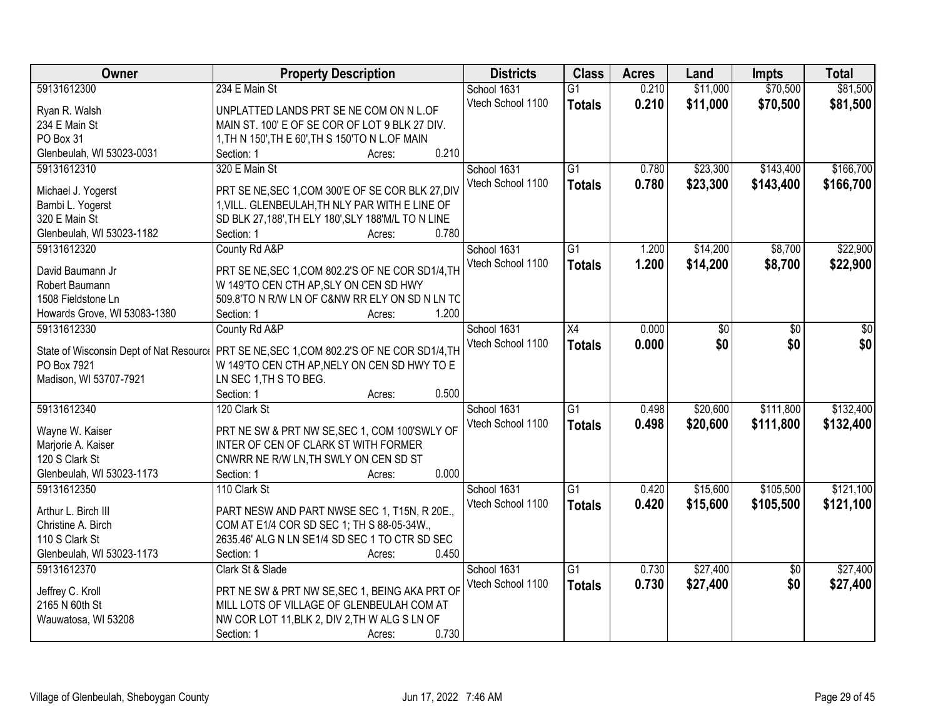| Owner                                   | <b>Property Description</b>                                                                 | <b>Districts</b>  | <b>Class</b>    | <b>Acres</b> | Land     | <b>Impts</b>    | <b>Total</b> |
|-----------------------------------------|---------------------------------------------------------------------------------------------|-------------------|-----------------|--------------|----------|-----------------|--------------|
| 59131612300                             | 234 E Main St                                                                               | School 1631       | $\overline{G1}$ | 0.210        | \$11,000 | \$70,500        | \$81,500     |
| Ryan R. Walsh                           | UNPLATTED LANDS PRT SE NE COM ON N L.OF                                                     | Vtech School 1100 | <b>Totals</b>   | 0.210        | \$11,000 | \$70,500        | \$81,500     |
| 234 E Main St                           | MAIN ST. 100' E OF SE COR OF LOT 9 BLK 27 DIV.                                              |                   |                 |              |          |                 |              |
| PO Box 31                               | 1, TH N 150', TH E 60', TH S 150'TO N L.OF MAIN                                             |                   |                 |              |          |                 |              |
| Glenbeulah, WI 53023-0031               | 0.210<br>Section: 1<br>Acres:                                                               |                   |                 |              |          |                 |              |
| 59131612310                             | 320 E Main St                                                                               | School 1631       | $\overline{G1}$ | 0.780        | \$23,300 | \$143,400       | \$166,700    |
|                                         |                                                                                             | Vtech School 1100 | <b>Totals</b>   | 0.780        | \$23,300 | \$143,400       | \$166,700    |
| Michael J. Yogerst                      | PRT SE NE, SEC 1, COM 300'E OF SE COR BLK 27, DIV                                           |                   |                 |              |          |                 |              |
| Bambi L. Yogerst                        | 1, VILL. GLENBEULAH, TH NLY PAR WITH E LINE OF                                              |                   |                 |              |          |                 |              |
| 320 E Main St                           | SD BLK 27,188', TH ELY 180', SLY 188'M/L TO N LINE                                          |                   |                 |              |          |                 |              |
| Glenbeulah, WI 53023-1182               | 0.780<br>Section: 1<br>Acres:                                                               |                   |                 |              |          |                 |              |
| 59131612320                             | County Rd A&P                                                                               | School 1631       | $\overline{G1}$ | 1.200        | \$14,200 | \$8,700         | \$22,900     |
| David Baumann Jr                        | PRT SE NE, SEC 1, COM 802.2'S OF NE COR SD1/4, TH                                           | Vtech School 1100 | <b>Totals</b>   | 1.200        | \$14,200 | \$8,700         | \$22,900     |
| Robert Baumann                          | W 149'TO CEN CTH AP, SLY ON CEN SD HWY                                                      |                   |                 |              |          |                 |              |
| 1508 Fieldstone Ln                      | 509.8'TO N R/W LN OF C&NW RR ELY ON SD N LN TC                                              |                   |                 |              |          |                 |              |
| Howards Grove, WI 53083-1380            | 1.200<br>Section: 1<br>Acres:                                                               |                   |                 |              |          |                 |              |
| 59131612330                             | County Rd A&P                                                                               | School 1631       | X4              | 0.000        | \$0      | \$0             | \$0          |
|                                         |                                                                                             | Vtech School 1100 |                 | 0.000        | \$0      | \$0             | \$0          |
| State of Wisconsin Dept of Nat Resource | PRT SE NE, SEC 1, COM 802.2'S OF NE COR SD1/4, TH                                           |                   | <b>Totals</b>   |              |          |                 |              |
| PO Box 7921                             | W 149'TO CEN CTH AP, NELY ON CEN SD HWY TO E                                                |                   |                 |              |          |                 |              |
| Madison, WI 53707-7921                  | LN SEC 1, TH S TO BEG.                                                                      |                   |                 |              |          |                 |              |
|                                         | 0.500<br>Section: 1<br>Acres:                                                               |                   |                 |              |          |                 |              |
| 59131612340                             | 120 Clark St                                                                                | School 1631       | $\overline{G1}$ | 0.498        | \$20,600 | \$111,800       | \$132,400    |
| Wayne W. Kaiser                         | PRT NE SW & PRT NW SE, SEC 1, COM 100'SWLY OF                                               | Vtech School 1100 | <b>Totals</b>   | 0.498        | \$20,600 | \$111,800       | \$132,400    |
| Marjorie A. Kaiser                      | INTER OF CEN OF CLARK ST WITH FORMER                                                        |                   |                 |              |          |                 |              |
| 120 S Clark St                          | CNWRR NE R/W LN, TH SWLY ON CEN SD ST                                                       |                   |                 |              |          |                 |              |
| Glenbeulah, WI 53023-1173               | 0.000<br>Section: 1<br>Acres:                                                               |                   |                 |              |          |                 |              |
| 59131612350                             | 110 Clark St                                                                                | School 1631       | G1              | 0.420        | \$15,600 | \$105,500       | \$121,100    |
|                                         |                                                                                             | Vtech School 1100 |                 |              |          |                 |              |
| Arthur L. Birch III                     | PART NESW AND PART NWSE SEC 1, T15N, R 20E.,                                                |                   | <b>Totals</b>   | 0.420        | \$15,600 | \$105,500       | \$121,100    |
| Christine A. Birch                      | COM AT E1/4 COR SD SEC 1; TH S 88-05-34W.,                                                  |                   |                 |              |          |                 |              |
| 110 S Clark St                          | 2635.46' ALG N LN SE1/4 SD SEC 1 TO CTR SD SEC                                              |                   |                 |              |          |                 |              |
| Glenbeulah, WI 53023-1173               | 0.450<br>Section: 1<br>Acres:                                                               |                   |                 |              |          |                 |              |
| 59131612370                             | Clark St & Slade                                                                            | School 1631       | $\overline{G1}$ | 0.730        | \$27,400 | $\overline{50}$ | \$27,400     |
|                                         |                                                                                             | Vtech School 1100 | <b>Totals</b>   | 0.730        | \$27,400 | \$0             | \$27,400     |
| Jeffrey C. Kroll<br>2165 N 60th St      | PRT NE SW & PRT NW SE, SEC 1, BEING AKA PRT OF<br>MILL LOTS OF VILLAGE OF GLENBEULAH COM AT |                   |                 |              |          |                 |              |
|                                         |                                                                                             |                   |                 |              |          |                 |              |
| Wauwatosa, WI 53208                     | NW COR LOT 11, BLK 2, DIV 2, TH W ALG S LN OF                                               |                   |                 |              |          |                 |              |
|                                         | 0.730<br>Section: 1<br>Acres:                                                               |                   |                 |              |          |                 |              |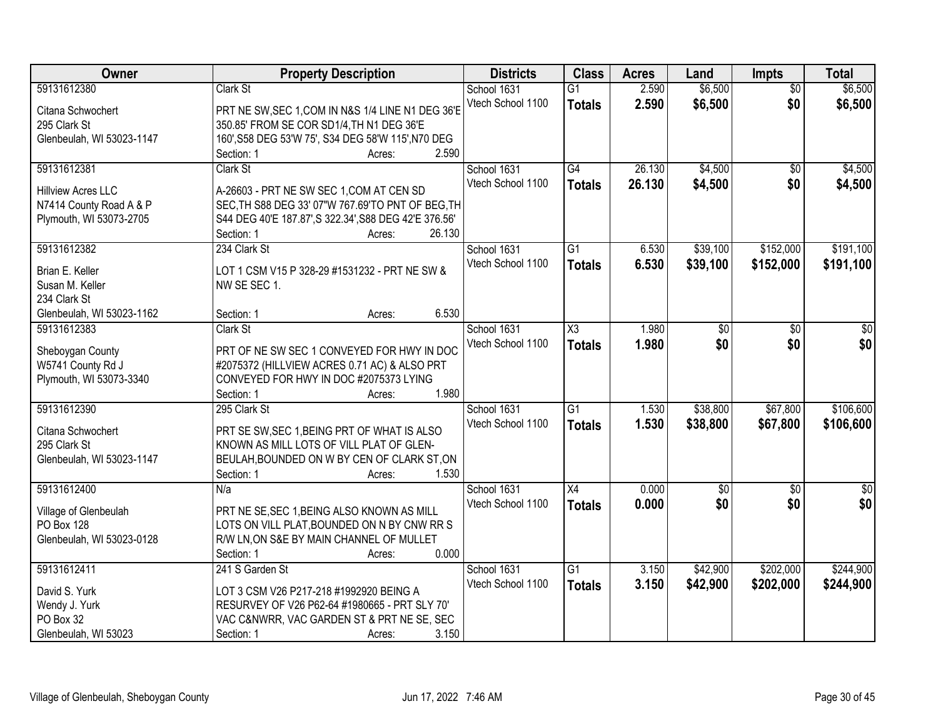| Owner                     | <b>Property Description</b>                           | <b>Districts</b>  | <b>Class</b>           | <b>Acres</b> | Land        | <b>Impts</b>    | <b>Total</b> |
|---------------------------|-------------------------------------------------------|-------------------|------------------------|--------------|-------------|-----------------|--------------|
| 59131612380               | Clark St                                              | School 1631       | $\overline{G1}$        | 2.590        | \$6,500     | $\overline{50}$ | \$6,500      |
| Citana Schwochert         | PRT NE SW, SEC 1, COM IN N&S 1/4 LINE N1 DEG 36'E     | Vtech School 1100 | <b>Totals</b>          | 2.590        | \$6,500     | \$0             | \$6,500      |
| 295 Clark St              | 350.85' FROM SE COR SD1/4, TH N1 DEG 36'E             |                   |                        |              |             |                 |              |
| Glenbeulah, WI 53023-1147 | 160', S58 DEG 53'W 75', S34 DEG 58'W 115', N70 DEG    |                   |                        |              |             |                 |              |
|                           | 2.590<br>Section: 1<br>Acres:                         |                   |                        |              |             |                 |              |
| 59131612381               | Clark St                                              | School 1631       | G4                     | 26.130       | \$4,500     | $\overline{50}$ | \$4,500      |
|                           |                                                       | Vtech School 1100 | <b>Totals</b>          | 26.130       | \$4,500     | \$0             | \$4,500      |
| <b>Hillview Acres LLC</b> | A-26603 - PRT NE SW SEC 1, COM AT CEN SD              |                   |                        |              |             |                 |              |
| N7414 County Road A & P   | SEC, TH S88 DEG 33' 07"W 767.69'TO PNT OF BEG, TH     |                   |                        |              |             |                 |              |
| Plymouth, WI 53073-2705   | S44 DEG 40'E 187.87', S 322.34', S88 DEG 42'E 376.56' |                   |                        |              |             |                 |              |
|                           | 26.130<br>Section: 1<br>Acres:                        |                   |                        |              |             |                 |              |
| 59131612382               | 234 Clark St                                          | School 1631       | $\overline{G1}$        | 6.530        | \$39,100    | \$152,000       | \$191,100    |
| Brian E. Keller           | LOT 1 CSM V15 P 328-29 #1531232 - PRT NE SW &         | Vtech School 1100 | <b>Totals</b>          | 6.530        | \$39,100    | \$152,000       | \$191,100    |
| Susan M. Keller           | NW SE SEC 1.                                          |                   |                        |              |             |                 |              |
| 234 Clark St              |                                                       |                   |                        |              |             |                 |              |
| Glenbeulah, WI 53023-1162 | 6.530<br>Section: 1<br>Acres:                         |                   |                        |              |             |                 |              |
| 59131612383               | Clark St                                              | School 1631       | $\overline{\text{X3}}$ | 1.980        | \$0         | \$0             | \$0          |
|                           |                                                       | Vtech School 1100 | <b>Totals</b>          | 1.980        | \$0         | \$0             | \$0          |
| Sheboygan County          | PRT OF NE SW SEC 1 CONVEYED FOR HWY IN DOC            |                   |                        |              |             |                 |              |
| W5741 County Rd J         | #2075372 (HILLVIEW ACRES 0.71 AC) & ALSO PRT          |                   |                        |              |             |                 |              |
| Plymouth, WI 53073-3340   | CONVEYED FOR HWY IN DOC #2075373 LYING                |                   |                        |              |             |                 |              |
|                           | 1.980<br>Section: 1<br>Acres:                         |                   |                        |              |             |                 |              |
| 59131612390               | 295 Clark St                                          | School 1631       | $\overline{G1}$        | 1.530        | \$38,800    | \$67,800        | \$106,600    |
| Citana Schwochert         | PRT SE SW, SEC 1, BEING PRT OF WHAT IS ALSO           | Vtech School 1100 | <b>Totals</b>          | 1.530        | \$38,800    | \$67,800        | \$106,600    |
| 295 Clark St              | KNOWN AS MILL LOTS OF VILL PLAT OF GLEN-              |                   |                        |              |             |                 |              |
| Glenbeulah, WI 53023-1147 | BEULAH, BOUNDED ON W BY CEN OF CLARK ST, ON           |                   |                        |              |             |                 |              |
|                           | 1.530<br>Section: 1<br>Acres:                         |                   |                        |              |             |                 |              |
| 59131612400               | N/a                                                   | School 1631       | X4                     | 0.000        | $\sqrt{$0}$ | $\sqrt{6}$      | $\sqrt{50}$  |
|                           |                                                       | Vtech School 1100 | <b>Totals</b>          | 0.000        | \$0         | \$0             | \$0          |
| Village of Glenbeulah     | PRT NE SE, SEC 1, BEING ALSO KNOWN AS MILL            |                   |                        |              |             |                 |              |
| PO Box 128                | LOTS ON VILL PLAT, BOUNDED ON N BY CNW RR S           |                   |                        |              |             |                 |              |
| Glenbeulah, WI 53023-0128 | R/W LN, ON S&E BY MAIN CHANNEL OF MULLET              |                   |                        |              |             |                 |              |
|                           | 0.000<br>Section: 1<br>Acres:                         |                   |                        |              |             |                 |              |
| 59131612411               | 241 S Garden St                                       | School 1631       | $\overline{G1}$        | 3.150        | \$42,900    | \$202,000       | \$244,900    |
| David S. Yurk             | LOT 3 CSM V26 P217-218 #1992920 BEING A               | Vtech School 1100 | <b>Totals</b>          | 3.150        | \$42,900    | \$202,000       | \$244,900    |
| Wendy J. Yurk             | RESURVEY OF V26 P62-64 #1980665 - PRT SLY 70'         |                   |                        |              |             |                 |              |
| PO Box 32                 | VAC C&NWRR, VAC GARDEN ST & PRT NE SE, SEC            |                   |                        |              |             |                 |              |
| Glenbeulah, WI 53023      | 3.150<br>Section: 1<br>Acres:                         |                   |                        |              |             |                 |              |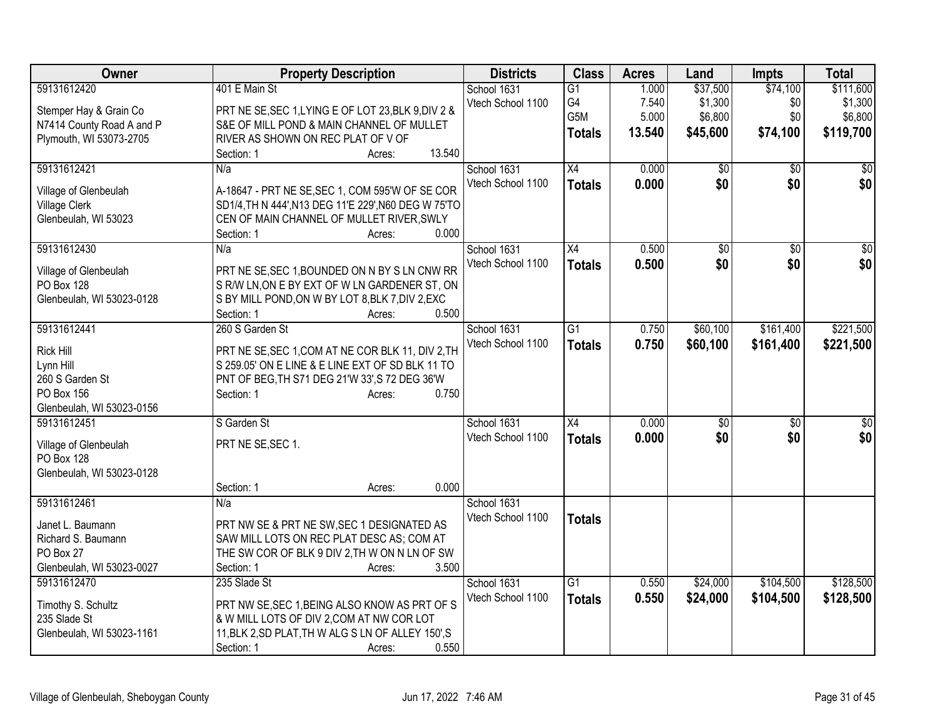| Owner                     | <b>Property Description</b>                          | <b>Districts</b>                 | <b>Class</b>    | <b>Acres</b> | Land     | <b>Impts</b>    | <b>Total</b> |
|---------------------------|------------------------------------------------------|----------------------------------|-----------------|--------------|----------|-----------------|--------------|
| 59131612420               | 401 E Main St                                        | School 1631                      | G1              | 1.000        | \$37,500 | \$74,100        | \$111,600    |
| Stemper Hay & Grain Co    | PRT NE SE, SEC 1, LYING E OF LOT 23, BLK 9, DIV 2 &  | Vtech School 1100                | G4              | 7.540        | \$1,300  | \$0             | \$1,300      |
| N7414 County Road A and P | S&E OF MILL POND & MAIN CHANNEL OF MULLET            |                                  | G5M             | 5.000        | \$6,800  | \$0             | \$6,800      |
| Plymouth, WI 53073-2705   | RIVER AS SHOWN ON REC PLAT OF V OF                   |                                  | <b>Totals</b>   | 13.540       | \$45,600 | \$74,100        | \$119,700    |
|                           | 13.540<br>Section: 1<br>Acres:                       |                                  |                 |              |          |                 |              |
| 59131612421               | N/a                                                  | School 1631                      | X4              | 0.000        | \$0      | $\overline{30}$ | \$0          |
|                           |                                                      | Vtech School 1100                | <b>Totals</b>   | 0.000        | \$0      | \$0             | \$0          |
| Village of Glenbeulah     | A-18647 - PRT NE SE, SEC 1, COM 595'W OF SE COR      |                                  |                 |              |          |                 |              |
| <b>Village Clerk</b>      | SD1/4, TH N 444', N13 DEG 11'E 229', N60 DEG W 75'TO |                                  |                 |              |          |                 |              |
| Glenbeulah, WI 53023      | CEN OF MAIN CHANNEL OF MULLET RIVER, SWLY<br>0.000   |                                  |                 |              |          |                 |              |
| 59131612430               | Section: 1<br>Acres:                                 |                                  |                 |              |          |                 |              |
|                           | N/a                                                  | School 1631<br>Vtech School 1100 | X4              | 0.500        | \$0      | $\overline{50}$ | \$0          |
| Village of Glenbeulah     | PRT NE SE, SEC 1, BOUNDED ON N BY S LN CNW RR        |                                  | <b>Totals</b>   | 0.500        | \$0      | \$0             | \$0          |
| PO Box 128                | S R/W LN, ON E BY EXT OF W LN GARDENER ST, ON        |                                  |                 |              |          |                 |              |
| Glenbeulah, WI 53023-0128 | S BY MILL POND, ON W BY LOT 8, BLK 7, DIV 2, EXC     |                                  |                 |              |          |                 |              |
|                           | 0.500<br>Section: 1<br>Acres:                        |                                  |                 |              |          |                 |              |
| 59131612441               | 260 S Garden St                                      | School 1631                      | $\overline{G1}$ | 0.750        | \$60,100 | \$161,400       | \$221,500    |
| <b>Rick Hill</b>          | PRT NE SE, SEC 1, COM AT NE COR BLK 11, DIV 2, TH    | Vtech School 1100                | <b>Totals</b>   | 0.750        | \$60,100 | \$161,400       | \$221,500    |
| Lynn Hill                 | S 259.05' ON E LINE & E LINE EXT OF SD BLK 11 TO     |                                  |                 |              |          |                 |              |
| 260 S Garden St           | PNT OF BEG, TH S71 DEG 21'W 33', S 72 DEG 36'W       |                                  |                 |              |          |                 |              |
| PO Box 156                | 0.750<br>Section: 1<br>Acres:                        |                                  |                 |              |          |                 |              |
| Glenbeulah, WI 53023-0156 |                                                      |                                  |                 |              |          |                 |              |
| 59131612451               | S Garden St                                          | School 1631                      | X4              | 0.000        | \$0      | $\sqrt{6}$      | \$0          |
|                           |                                                      | Vtech School 1100                | <b>Totals</b>   | 0.000        | \$0      | \$0             | \$0          |
| Village of Glenbeulah     | PRT NE SE, SEC 1.                                    |                                  |                 |              |          |                 |              |
| PO Box 128                |                                                      |                                  |                 |              |          |                 |              |
| Glenbeulah, WI 53023-0128 |                                                      |                                  |                 |              |          |                 |              |
|                           | 0.000<br>Section: 1<br>Acres:                        |                                  |                 |              |          |                 |              |
| 59131612461               | N/a                                                  | School 1631                      |                 |              |          |                 |              |
| Janet L. Baumann          | PRT NW SE & PRT NE SW, SEC 1 DESIGNATED AS           | Vtech School 1100                | <b>Totals</b>   |              |          |                 |              |
| Richard S. Baumann        | SAW MILL LOTS ON REC PLAT DESC AS; COM AT            |                                  |                 |              |          |                 |              |
| PO Box 27                 | THE SW COR OF BLK 9 DIV 2, TH W ON N LN OF SW        |                                  |                 |              |          |                 |              |
| Glenbeulah, WI 53023-0027 | 3.500<br>Section: 1<br>Acres:                        |                                  |                 |              |          |                 |              |
| 59131612470               | 235 Slade St                                         | School 1631                      | $\overline{G1}$ | 0.550        | \$24,000 | \$104,500       | \$128,500    |
| Timothy S. Schultz        | PRT NW SE, SEC 1, BEING ALSO KNOW AS PRT OF S        | Vtech School 1100                | <b>Totals</b>   | 0.550        | \$24,000 | \$104,500       | \$128,500    |
| 235 Slade St              | & W MILL LOTS OF DIV 2, COM AT NW COR LOT            |                                  |                 |              |          |                 |              |
| Glenbeulah, WI 53023-1161 | 11, BLK 2, SD PLAT, TH W ALG S LN OF ALLEY 150', S   |                                  |                 |              |          |                 |              |
|                           | 0.550<br>Section: 1<br>Acres:                        |                                  |                 |              |          |                 |              |
|                           |                                                      |                                  |                 |              |          |                 |              |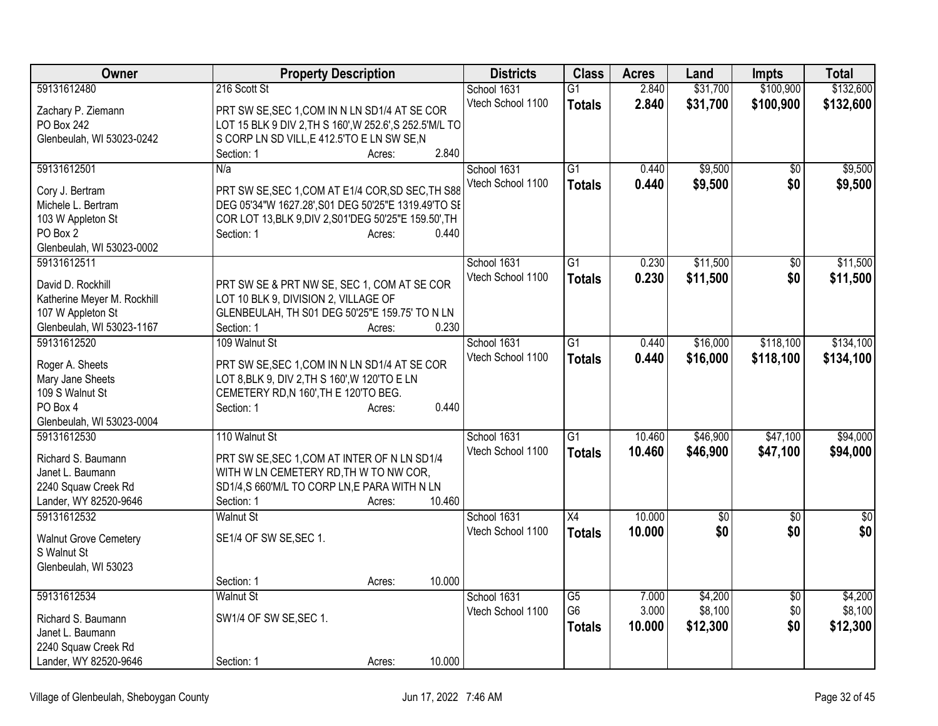| Owner                                        | <b>Property Description</b>                              | <b>Districts</b>  | <b>Class</b>    | <b>Acres</b> | Land     | <b>Impts</b>    | <b>Total</b>    |
|----------------------------------------------|----------------------------------------------------------|-------------------|-----------------|--------------|----------|-----------------|-----------------|
| 59131612480                                  | 216 Scott St                                             | School 1631       | $\overline{G1}$ | 2.840        | \$31,700 | \$100,900       | \$132,600       |
| Zachary P. Ziemann                           | PRT SW SE, SEC 1, COM IN N LN SD1/4 AT SE COR            | Vtech School 1100 | <b>Totals</b>   | 2.840        | \$31,700 | \$100,900       | \$132,600       |
| PO Box 242                                   | LOT 15 BLK 9 DIV 2, TH S 160', W 252.6', S 252.5' M/L TO |                   |                 |              |          |                 |                 |
| Glenbeulah, WI 53023-0242                    | S CORP LN SD VILL, E 412.5'TO E LN SW SE, N              |                   |                 |              |          |                 |                 |
|                                              | 2.840<br>Section: 1<br>Acres:                            |                   |                 |              |          |                 |                 |
| 59131612501                                  | N/a                                                      | School 1631       | $\overline{G1}$ | 0.440        | \$9,500  | $\overline{50}$ | \$9,500         |
| Cory J. Bertram                              | PRT SW SE, SEC 1, COM AT E1/4 COR, SD SEC, TH S88        | Vtech School 1100 | <b>Totals</b>   | 0.440        | \$9,500  | \$0             | \$9,500         |
| Michele L. Bertram                           | DEG 05'34"W 1627.28', S01 DEG 50'25"E 1319.49'TO SE      |                   |                 |              |          |                 |                 |
| 103 W Appleton St                            | COR LOT 13, BLK 9, DIV 2, S01'DEG 50'25"E 159.50', TH    |                   |                 |              |          |                 |                 |
| PO Box 2                                     | 0.440<br>Section: 1<br>Acres:                            |                   |                 |              |          |                 |                 |
| Glenbeulah, WI 53023-0002                    |                                                          |                   |                 |              |          |                 |                 |
| 59131612511                                  |                                                          | School 1631       | $\overline{G1}$ | 0.230        | \$11,500 | $\overline{50}$ | \$11,500        |
|                                              |                                                          | Vtech School 1100 | <b>Totals</b>   | 0.230        | \$11,500 | \$0             | \$11,500        |
| David D. Rockhill                            | PRT SW SE & PRT NW SE, SEC 1, COM AT SE COR              |                   |                 |              |          |                 |                 |
| Katherine Meyer M. Rockhill                  | LOT 10 BLK 9, DIVISION 2, VILLAGE OF                     |                   |                 |              |          |                 |                 |
| 107 W Appleton St                            | GLENBEULAH, TH S01 DEG 50'25"E 159.75' TO N LN           |                   |                 |              |          |                 |                 |
| Glenbeulah, WI 53023-1167                    | 0.230<br>Section: 1<br>Acres:                            |                   |                 |              |          |                 |                 |
| 59131612520                                  | 109 Walnut St                                            | School 1631       | $\overline{G1}$ | 0.440        | \$16,000 | \$118,100       | \$134,100       |
| Roger A. Sheets                              | PRT SW SE, SEC 1, COM IN N LN SD1/4 AT SE COR            | Vtech School 1100 | <b>Totals</b>   | 0.440        | \$16,000 | \$118,100       | \$134,100       |
| Mary Jane Sheets                             | LOT 8, BLK 9, DIV 2, TH S 160', W 120'TO E LN            |                   |                 |              |          |                 |                 |
| 109 S Walnut St                              | CEMETERY RD, N 160', TH E 120'TO BEG.                    |                   |                 |              |          |                 |                 |
| PO Box 4                                     | 0.440<br>Section: 1<br>Acres:                            |                   |                 |              |          |                 |                 |
| Glenbeulah, WI 53023-0004                    |                                                          |                   |                 |              |          |                 |                 |
| 59131612530                                  | 110 Walnut St                                            | School 1631       | G1              | 10.460       | \$46,900 | \$47,100        | \$94,000        |
|                                              |                                                          | Vtech School 1100 | <b>Totals</b>   | 10.460       | \$46,900 | \$47,100        | \$94,000        |
| Richard S. Baumann                           | PRT SW SE, SEC 1, COM AT INTER OF N LN SD1/4             |                   |                 |              |          |                 |                 |
| Janet L. Baumann                             | WITH W LN CEMETERY RD, TH W TO NW COR,                   |                   |                 |              |          |                 |                 |
| 2240 Squaw Creek Rd                          | SD1/4,S 660'M/L TO CORP LN,E PARA WITH N LN              |                   |                 |              |          |                 |                 |
| Lander, WY 82520-9646                        | 10.460<br>Section: 1<br>Acres:                           |                   |                 |              |          |                 |                 |
| 59131612532                                  | <b>Walnut St</b>                                         | School 1631       | $\overline{X4}$ | 10.000       | \$0      | $\overline{50}$ | $\overline{50}$ |
| <b>Walnut Grove Cemetery</b>                 | SE1/4 OF SW SE, SEC 1.                                   | Vtech School 1100 | <b>Totals</b>   | 10.000       | \$0      | \$0             | \$0             |
| S Walnut St                                  |                                                          |                   |                 |              |          |                 |                 |
| Glenbeulah, WI 53023                         |                                                          |                   |                 |              |          |                 |                 |
|                                              | 10.000<br>Section: 1<br>Acres:                           |                   |                 |              |          |                 |                 |
| 59131612534                                  | <b>Walnut St</b>                                         | School 1631       | $\overline{G5}$ | 7.000        | \$4,200  | $\overline{50}$ | \$4,200         |
| Richard S. Baumann                           | SW1/4 OF SW SE, SEC 1.                                   | Vtech School 1100 | G <sub>6</sub>  | 3.000        | \$8,100  | \$0             | \$8,100         |
| Janet L. Baumann                             |                                                          |                   | <b>Totals</b>   | 10.000       | \$12,300 | \$0             | \$12,300        |
|                                              |                                                          |                   |                 |              |          |                 |                 |
| 2240 Squaw Creek Rd<br>Lander, WY 82520-9646 | 10.000                                                   |                   |                 |              |          |                 |                 |
|                                              | Section: 1<br>Acres:                                     |                   |                 |              |          |                 |                 |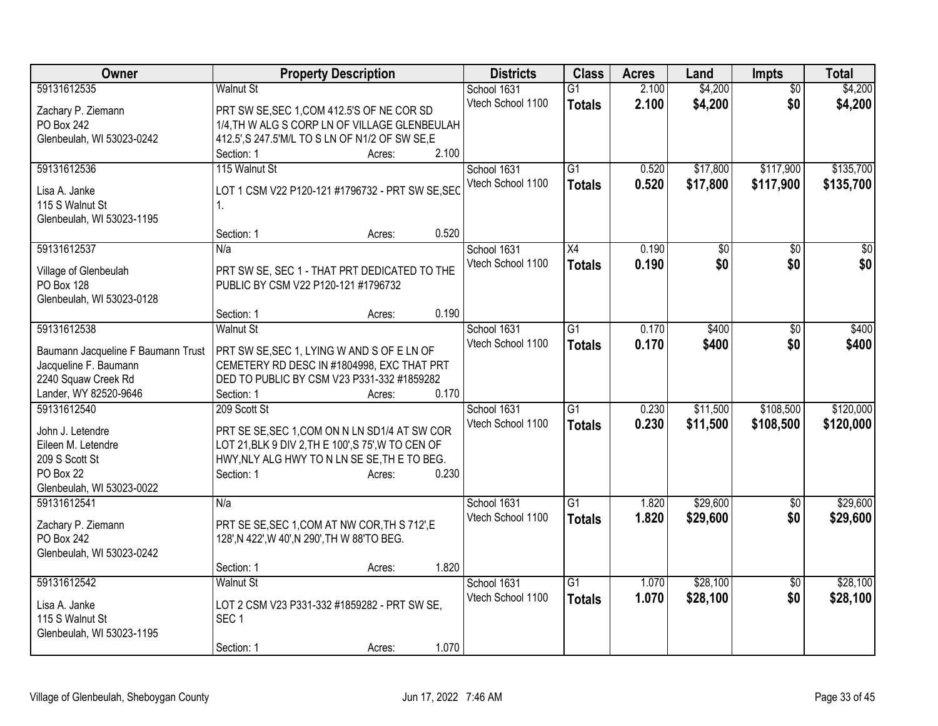| <b>Class</b><br>Owner<br><b>Property Description</b><br><b>Districts</b><br><b>Acres</b>                                   | Land<br><b>Impts</b>        | <b>Total</b> |
|----------------------------------------------------------------------------------------------------------------------------|-----------------------------|--------------|
| 59131612535<br>Walnut St<br>School 1631<br>2.100<br>G1                                                                     | \$4,200<br>$\overline{50}$  | \$4,200      |
| Vtech School 1100<br>2.100<br><b>Totals</b><br>Zachary P. Ziemann<br>PRT SW SE, SEC 1, COM 412.5'S OF NE COR SD            | \$4,200<br>\$0              | \$4,200      |
| 1/4, TH W ALG S CORP LN OF VILLAGE GLENBEULAH<br>PO Box 242                                                                |                             |              |
| Glenbeulah, WI 53023-0242<br>412.5', S 247.5'M/L TO S LN OF N1/2 OF SW SE, E                                               |                             |              |
| 2.100<br>Section: 1<br>Acres:                                                                                              |                             |              |
| 59131612536<br>115 Walnut St<br>$\overline{G1}$<br>School 1631<br>0.520                                                    | \$17,800<br>\$117,900       | \$135,700    |
| Vtech School 1100<br>0.520<br><b>Totals</b><br>LOT 1 CSM V22 P120-121 #1796732 - PRT SW SE, SEC<br>Lisa A. Janke           | \$17,800<br>\$117,900       | \$135,700    |
| 115 S Walnut St<br>1.                                                                                                      |                             |              |
| Glenbeulah, WI 53023-1195                                                                                                  |                             |              |
| 0.520<br>Section: 1<br>Acres:                                                                                              |                             |              |
| 59131612537<br>School 1631<br>X4<br>0.190<br>N/a                                                                           | \$0<br>\$0                  | $\sqrt{50}$  |
| Vtech School 1100<br>0.190<br><b>Totals</b>                                                                                | \$0<br>\$0                  | \$0          |
| PRT SW SE, SEC 1 - THAT PRT DEDICATED TO THE<br>Village of Glenbeulah<br>PO Box 128<br>PUBLIC BY CSM V22 P120-121 #1796732 |                             |              |
| Glenbeulah, WI 53023-0128                                                                                                  |                             |              |
| 0.190<br>Section: 1<br>Acres:                                                                                              |                             |              |
| 59131612538<br>$\overline{G1}$<br>0.170<br><b>Walnut St</b><br>School 1631                                                 | \$400<br>\$0                | \$400        |
| Vtech School 1100<br>0.170<br><b>Totals</b>                                                                                | \$0<br>\$400                | \$400        |
| Baumann Jacqueline F Baumann Trust<br>PRT SW SE, SEC 1, LYING W AND S OF E LN OF                                           |                             |              |
| Jacqueline F. Baumann<br>CEMETERY RD DESC IN #1804998, EXC THAT PRT                                                        |                             |              |
| 2240 Squaw Creek Rd<br>DED TO PUBLIC BY CSM V23 P331-332 #1859282                                                          |                             |              |
| Lander, WY 82520-9646<br>0.170<br>Section: 1<br>Acres:                                                                     |                             |              |
| 59131612540<br>$\overline{G1}$<br>209 Scott St<br>0.230<br>School 1631                                                     | \$11,500<br>\$108,500       | \$120,000    |
| 0.230<br>Vtech School 1100<br><b>Totals</b><br>PRT SE SE, SEC 1, COM ON N LN SD1/4 AT SW COR<br>John J. Letendre           | \$11,500<br>\$108,500       | \$120,000    |
| LOT 21, BLK 9 DIV 2, TH E 100', S 75', W TO CEN OF<br>Eileen M. Letendre                                                   |                             |              |
| 209 S Scott St<br>HWY, NLY ALG HWY TO N LN SE SE, TH E TO BEG.                                                             |                             |              |
| 0.230<br>PO Box 22<br>Section: 1<br>Acres:                                                                                 |                             |              |
| Glenbeulah, WI 53023-0022                                                                                                  |                             |              |
| 59131612541<br>School 1631<br>$\overline{G1}$<br>1.820<br>N/a                                                              | \$29,600<br>$\overline{30}$ | \$29,600     |
| 1.820<br>Vtech School 1100<br><b>Totals</b><br>Zachary P. Ziemann<br>PRT SE SE, SEC 1, COM AT NW COR, TH S 712', E         | \$0<br>\$29,600             | \$29,600     |
| PO Box 242<br>128', N 422', W 40', N 290', TH W 88'TO BEG.                                                                 |                             |              |
| Glenbeulah, WI 53023-0242                                                                                                  |                             |              |
| 1.820<br>Section: 1<br>Acres:                                                                                              |                             |              |
| 59131612542<br>$\overline{G1}$<br><b>Walnut St</b><br>School 1631<br>1.070                                                 | \$28,100<br>$\overline{50}$ | \$28,100     |
| 1.070<br>Vtech School 1100<br><b>Totals</b><br>LOT 2 CSM V23 P331-332 #1859282 - PRT SW SE,<br>Lisa A. Janke               | \$0<br>\$28,100             | \$28,100     |
| 115 S Walnut St<br>SEC <sub>1</sub>                                                                                        |                             |              |
| Glenbeulah, WI 53023-1195                                                                                                  |                             |              |
| 1.070<br>Section: 1<br>Acres:                                                                                              |                             |              |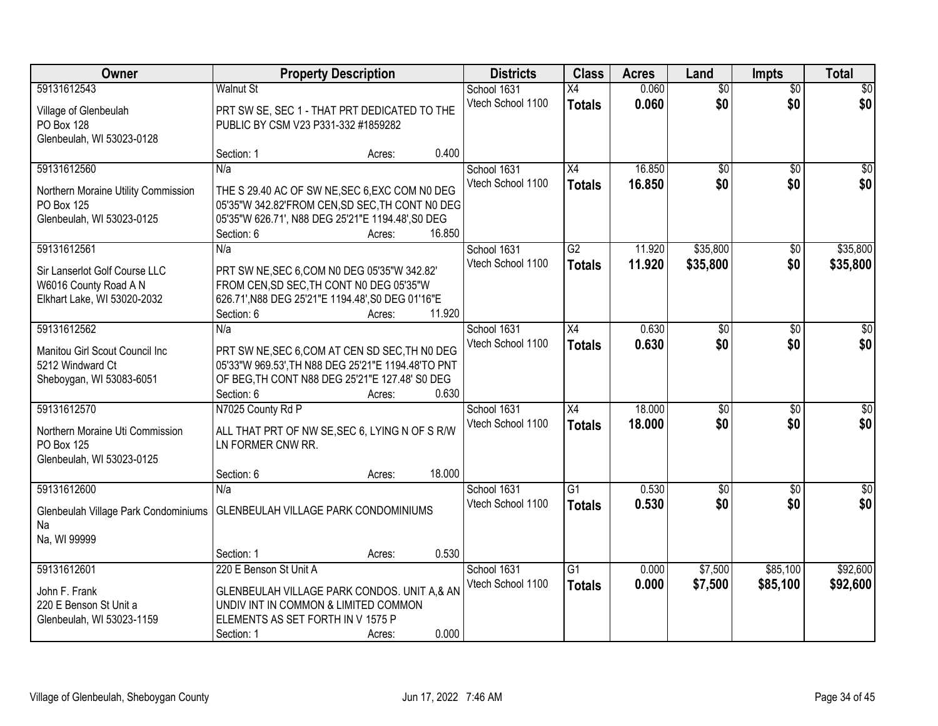| Owner                                              | <b>Property Description</b>                                                                          |                  | <b>Districts</b>  | <b>Class</b>    | <b>Acres</b> | Land            | <b>Impts</b>    | <b>Total</b>    |
|----------------------------------------------------|------------------------------------------------------------------------------------------------------|------------------|-------------------|-----------------|--------------|-----------------|-----------------|-----------------|
| 59131612543                                        | <b>Walnut St</b>                                                                                     |                  | School 1631       | X4              | 0.060        | $\overline{50}$ | $\overline{50}$ | \$0             |
| Village of Glenbeulah                              | PRT SW SE, SEC 1 - THAT PRT DEDICATED TO THE                                                         |                  | Vtech School 1100 | <b>Totals</b>   | 0.060        | \$0             | \$0             | \$0             |
| <b>PO Box 128</b>                                  | PUBLIC BY CSM V23 P331-332 #1859282                                                                  |                  |                   |                 |              |                 |                 |                 |
| Glenbeulah, WI 53023-0128                          |                                                                                                      |                  |                   |                 |              |                 |                 |                 |
|                                                    | Section: 1                                                                                           | 0.400<br>Acres:  |                   |                 |              |                 |                 |                 |
| 59131612560                                        | N/a                                                                                                  |                  | School 1631       | $\overline{X4}$ | 16.850       | $\overline{50}$ | \$0             | \$0             |
| Northern Moraine Utility Commission                | THE S 29.40 AC OF SW NE, SEC 6, EXC COM NO DEG                                                       |                  | Vtech School 1100 | <b>Totals</b>   | 16.850       | \$0             | \$0             | \$0             |
| PO Box 125                                         | 05'35"W 342.82'FROM CEN, SD SEC, TH CONT N0 DEG                                                      |                  |                   |                 |              |                 |                 |                 |
| Glenbeulah, WI 53023-0125                          | 05'35"W 626.71', N88 DEG 25'21"E 1194.48', S0 DEG                                                    |                  |                   |                 |              |                 |                 |                 |
|                                                    | Section: 6                                                                                           | 16.850<br>Acres: |                   |                 |              |                 |                 |                 |
| 59131612561                                        | N/a                                                                                                  |                  | School 1631       | $\overline{G2}$ | 11.920       | \$35,800        | \$0             | \$35,800        |
| Sir Lanserlot Golf Course LLC                      | PRT SW NE, SEC 6, COM N0 DEG 05'35"W 342.82'                                                         |                  | Vtech School 1100 | <b>Totals</b>   | 11.920       | \$35,800        | \$0             | \$35,800        |
| W6016 County Road A N                              | FROM CEN, SD SEC, TH CONT NO DEG 05'35"W                                                             |                  |                   |                 |              |                 |                 |                 |
| Elkhart Lake, WI 53020-2032                        | 626.71', N88 DEG 25'21"E 1194.48', S0 DEG 01'16"E                                                    |                  |                   |                 |              |                 |                 |                 |
|                                                    | Section: 6                                                                                           | 11.920<br>Acres: |                   |                 |              |                 |                 |                 |
| 59131612562                                        | N/a                                                                                                  |                  | School 1631       | X4              | 0.630        | \$0             | $\sqrt[6]{3}$   | $\sqrt{50}$     |
|                                                    |                                                                                                      |                  | Vtech School 1100 | <b>Totals</b>   | 0.630        | \$0             | \$0             | \$0             |
| Manitou Girl Scout Council Inc<br>5212 Windward Ct | PRT SW NE, SEC 6, COM AT CEN SD SEC, TH NO DEG<br>05'33"W 969.53', TH N88 DEG 25'21"E 1194.48'TO PNT |                  |                   |                 |              |                 |                 |                 |
| Sheboygan, WI 53083-6051                           | OF BEG, TH CONT N88 DEG 25'21"E 127.48' S0 DEG                                                       |                  |                   |                 |              |                 |                 |                 |
|                                                    | Section: 6                                                                                           | 0.630<br>Acres:  |                   |                 |              |                 |                 |                 |
| 59131612570                                        | N7025 County Rd P                                                                                    |                  | School 1631       | X4              | 18.000       | $\overline{50}$ | $\overline{50}$ | $\overline{50}$ |
|                                                    |                                                                                                      |                  | Vtech School 1100 | <b>Totals</b>   | 18,000       | \$0             | \$0             | \$0             |
| Northern Moraine Uti Commission                    | ALL THAT PRT OF NW SE, SEC 6, LYING N OF S R/W                                                       |                  |                   |                 |              |                 |                 |                 |
| PO Box 125<br>Glenbeulah, WI 53023-0125            | LN FORMER CNW RR.                                                                                    |                  |                   |                 |              |                 |                 |                 |
|                                                    | Section: 6                                                                                           | 18.000<br>Acres: |                   |                 |              |                 |                 |                 |
| 59131612600                                        | N/a                                                                                                  |                  | School 1631       | $\overline{G1}$ | 0.530        | $\sqrt{6}$      | \$0             | \$0             |
|                                                    |                                                                                                      |                  | Vtech School 1100 | <b>Totals</b>   | 0.530        | \$0             | \$0             | \$0             |
| Glenbeulah Village Park Condominiums               | GLENBEULAH VILLAGE PARK CONDOMINIUMS                                                                 |                  |                   |                 |              |                 |                 |                 |
| Na                                                 |                                                                                                      |                  |                   |                 |              |                 |                 |                 |
| Na, WI 99999                                       |                                                                                                      | 0.530            |                   |                 |              |                 |                 |                 |
| 59131612601                                        | Section: 1<br>220 E Benson St Unit A                                                                 | Acres:           | School 1631       | G1              | 0.000        | \$7,500         | \$85,100        | \$92,600        |
|                                                    |                                                                                                      |                  | Vtech School 1100 |                 | 0.000        | \$7,500         | \$85,100        | \$92,600        |
| John F. Frank                                      | GLENBEULAH VILLAGE PARK CONDOS. UNIT A,& AN                                                          |                  |                   | <b>Totals</b>   |              |                 |                 |                 |
| 220 E Benson St Unit a                             | UNDIV INT IN COMMON & LIMITED COMMON                                                                 |                  |                   |                 |              |                 |                 |                 |
| Glenbeulah, WI 53023-1159                          | ELEMENTS AS SET FORTH IN V 1575 P                                                                    |                  |                   |                 |              |                 |                 |                 |
|                                                    | Section: 1                                                                                           | 0.000<br>Acres:  |                   |                 |              |                 |                 |                 |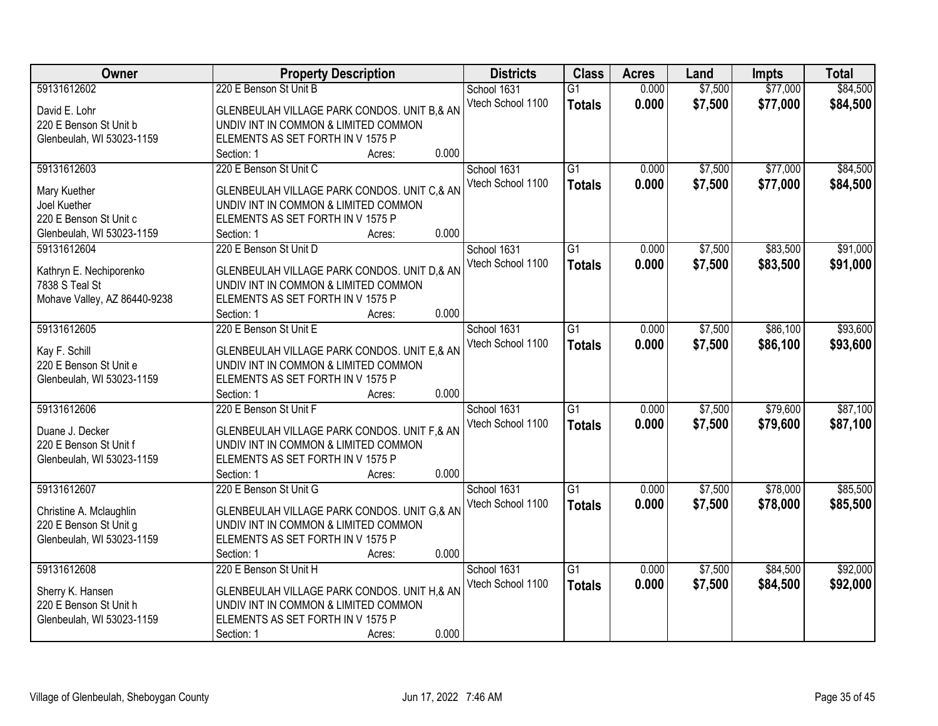| Owner                        | <b>Property Description</b>                    | <b>Districts</b>  | <b>Class</b>    | <b>Acres</b> | Land    | <b>Impts</b> | <b>Total</b> |
|------------------------------|------------------------------------------------|-------------------|-----------------|--------------|---------|--------------|--------------|
| 59131612602                  | 220 E Benson St Unit B                         | School 1631       | $\overline{G1}$ | 0.000        | \$7,500 | \$77,000     | \$84,500     |
| David E. Lohr                | GLENBEULAH VILLAGE PARK CONDOS. UNIT B,& AN    | Vtech School 1100 | <b>Totals</b>   | 0.000        | \$7,500 | \$77,000     | \$84,500     |
| 220 E Benson St Unit b       | UNDIV INT IN COMMON & LIMITED COMMON           |                   |                 |              |         |              |              |
| Glenbeulah, WI 53023-1159    | ELEMENTS AS SET FORTH IN V 1575 P              |                   |                 |              |         |              |              |
|                              | 0.000<br>Section: 1<br>Acres:                  |                   |                 |              |         |              |              |
| 59131612603                  | 220 E Benson St Unit C                         | School 1631       | $\overline{G1}$ | 0.000        | \$7,500 | \$77,000     | \$84,500     |
|                              |                                                | Vtech School 1100 | <b>Totals</b>   | 0.000        | \$7,500 | \$77,000     | \$84,500     |
| Mary Kuether                 | GLENBEULAH VILLAGE PARK CONDOS. UNIT C,& AN    |                   |                 |              |         |              |              |
| Joel Kuether                 | UNDIV INT IN COMMON & LIMITED COMMON           |                   |                 |              |         |              |              |
| 220 E Benson St Unit c       | ELEMENTS AS SET FORTH IN V 1575 P              |                   |                 |              |         |              |              |
| Glenbeulah, WI 53023-1159    | 0.000<br>Section: 1<br>Acres:                  |                   |                 |              |         |              |              |
| 59131612604                  | 220 E Benson St Unit D                         | School 1631       | G1              | 0.000        | \$7,500 | \$83,500     | \$91,000     |
| Kathryn E. Nechiporenko      | GLENBEULAH VILLAGE PARK CONDOS. UNIT D,& AN    | Vtech School 1100 | <b>Totals</b>   | 0.000        | \$7,500 | \$83,500     | \$91,000     |
| 7838 S Teal St               | UNDIV INT IN COMMON & LIMITED COMMON           |                   |                 |              |         |              |              |
| Mohave Valley, AZ 86440-9238 | ELEMENTS AS SET FORTH IN V 1575 P              |                   |                 |              |         |              |              |
|                              | 0.000<br>Section: 1<br>Acres:                  |                   |                 |              |         |              |              |
| 59131612605                  | 220 E Benson St Unit E                         | School 1631       | G1              | 0.000        | \$7,500 | \$86,100     | \$93,600     |
|                              |                                                | Vtech School 1100 | <b>Totals</b>   | 0.000        | \$7,500 | \$86,100     | \$93,600     |
| Kay F. Schill                | GLENBEULAH VILLAGE PARK CONDOS. UNIT E,& AN    |                   |                 |              |         |              |              |
| 220 E Benson St Unit e       | UNDIV INT IN COMMON & LIMITED COMMON           |                   |                 |              |         |              |              |
| Glenbeulah, WI 53023-1159    | ELEMENTS AS SET FORTH IN V 1575 P              |                   |                 |              |         |              |              |
|                              | 0.000<br>Section: 1<br>Acres:                  |                   |                 |              |         |              |              |
| 59131612606                  | 220 E Benson St Unit F                         | School 1631       | $\overline{G1}$ | 0.000        | \$7,500 | \$79,600     | \$87,100     |
| Duane J. Decker              | GLENBEULAH VILLAGE PARK CONDOS. UNIT F,& AN    | Vtech School 1100 | <b>Totals</b>   | 0.000        | \$7,500 | \$79,600     | \$87,100     |
| 220 E Benson St Unit f       | UNDIV INT IN COMMON & LIMITED COMMON           |                   |                 |              |         |              |              |
| Glenbeulah, WI 53023-1159    | ELEMENTS AS SET FORTH IN V 1575 P              |                   |                 |              |         |              |              |
|                              | 0.000<br>Section: 1<br>Acres:                  |                   |                 |              |         |              |              |
| 59131612607                  | 220 E Benson St Unit G                         | School 1631       | $\overline{G1}$ | 0.000        | \$7,500 | \$78,000     | \$85,500     |
|                              |                                                | Vtech School 1100 | <b>Totals</b>   | 0.000        | \$7,500 | \$78,000     | \$85,500     |
| Christine A. Mclaughlin      | GLENBEULAH VILLAGE PARK CONDOS. UNIT G,& AN    |                   |                 |              |         |              |              |
| 220 E Benson St Unit g       | UNDIV INT IN COMMON & LIMITED COMMON           |                   |                 |              |         |              |              |
| Glenbeulah, WI 53023-1159    | ELEMENTS AS SET FORTH IN V 1575 P<br>0.000     |                   |                 |              |         |              |              |
|                              | Section: 1<br>Acres:<br>220 E Benson St Unit H |                   |                 |              |         |              |              |
| 59131612608                  |                                                | School 1631       | $\overline{G1}$ | 0.000        | \$7,500 | \$84,500     | \$92,000     |
| Sherry K. Hansen             | GLENBEULAH VILLAGE PARK CONDOS. UNIT H,& AN    | Vtech School 1100 | <b>Totals</b>   | 0.000        | \$7,500 | \$84,500     | \$92,000     |
| 220 E Benson St Unit h       | UNDIV INT IN COMMON & LIMITED COMMON           |                   |                 |              |         |              |              |
| Glenbeulah, WI 53023-1159    | ELEMENTS AS SET FORTH IN V 1575 P              |                   |                 |              |         |              |              |
|                              | 0.000<br>Section: 1<br>Acres:                  |                   |                 |              |         |              |              |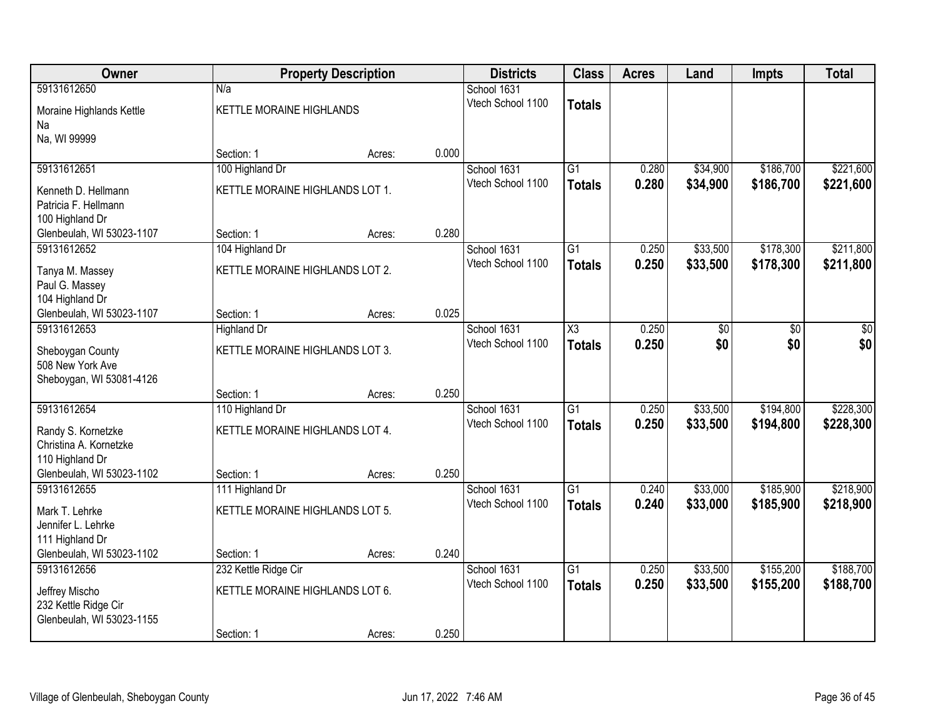| <b>Owner</b>              |                                 | <b>Property Description</b> |       | <b>Districts</b>  | <b>Class</b>    | <b>Acres</b> | Land     | <b>Impts</b> | <b>Total</b> |
|---------------------------|---------------------------------|-----------------------------|-------|-------------------|-----------------|--------------|----------|--------------|--------------|
| 59131612650               | N/a                             |                             |       | School 1631       |                 |              |          |              |              |
| Moraine Highlands Kettle  | KETTLE MORAINE HIGHLANDS        |                             |       | Vtech School 1100 | <b>Totals</b>   |              |          |              |              |
| Na                        |                                 |                             |       |                   |                 |              |          |              |              |
| Na, WI 99999              |                                 |                             |       |                   |                 |              |          |              |              |
|                           | Section: 1                      | Acres:                      | 0.000 |                   |                 |              |          |              |              |
| 59131612651               | 100 Highland Dr                 |                             |       | School 1631       | $\overline{G1}$ | 0.280        | \$34,900 | \$186,700    | \$221,600    |
| Kenneth D. Hellmann       | KETTLE MORAINE HIGHLANDS LOT 1. |                             |       | Vtech School 1100 | <b>Totals</b>   | 0.280        | \$34,900 | \$186,700    | \$221,600    |
| Patricia F. Hellmann      |                                 |                             |       |                   |                 |              |          |              |              |
| 100 Highland Dr           |                                 |                             |       |                   |                 |              |          |              |              |
| Glenbeulah, WI 53023-1107 | Section: 1                      | Acres:                      | 0.280 |                   |                 |              |          |              |              |
| 59131612652               | 104 Highland Dr                 |                             |       | School 1631       | G1              | 0.250        | \$33,500 | \$178,300    | \$211,800    |
| Tanya M. Massey           | KETTLE MORAINE HIGHLANDS LOT 2. |                             |       | Vtech School 1100 | <b>Totals</b>   | 0.250        | \$33,500 | \$178,300    | \$211,800    |
| Paul G. Massey            |                                 |                             |       |                   |                 |              |          |              |              |
| 104 Highland Dr           |                                 |                             |       |                   |                 |              |          |              |              |
| Glenbeulah, WI 53023-1107 | Section: 1                      | Acres:                      | 0.025 |                   |                 |              |          |              |              |
| 59131612653               | <b>Highland Dr</b>              |                             |       | School 1631       | X3              | 0.250        | \$0      | \$0          | \$0          |
| Sheboygan County          | KETTLE MORAINE HIGHLANDS LOT 3. |                             |       | Vtech School 1100 | <b>Totals</b>   | 0.250        | \$0      | \$0          | \$0          |
| 508 New York Ave          |                                 |                             |       |                   |                 |              |          |              |              |
| Sheboygan, WI 53081-4126  |                                 |                             |       |                   |                 |              |          |              |              |
|                           | Section: 1                      | Acres:                      | 0.250 |                   |                 |              |          |              |              |
| 59131612654               | 110 Highland Dr                 |                             |       | School 1631       | $\overline{G1}$ | 0.250        | \$33,500 | \$194,800    | \$228,300    |
| Randy S. Kornetzke        | KETTLE MORAINE HIGHLANDS LOT 4. |                             |       | Vtech School 1100 | <b>Totals</b>   | 0.250        | \$33,500 | \$194,800    | \$228,300    |
| Christina A. Kornetzke    |                                 |                             |       |                   |                 |              |          |              |              |
| 110 Highland Dr           |                                 |                             |       |                   |                 |              |          |              |              |
| Glenbeulah, WI 53023-1102 | Section: 1                      | Acres:                      | 0.250 |                   |                 |              |          |              |              |
| 59131612655               | 111 Highland Dr                 |                             |       | School 1631       | $\overline{G1}$ | 0.240        | \$33,000 | \$185,900    | \$218,900    |
| Mark T. Lehrke            | KETTLE MORAINE HIGHLANDS LOT 5. |                             |       | Vtech School 1100 | <b>Totals</b>   | 0.240        | \$33,000 | \$185,900    | \$218,900    |
| Jennifer L. Lehrke        |                                 |                             |       |                   |                 |              |          |              |              |
| 111 Highland Dr           |                                 |                             |       |                   |                 |              |          |              |              |
| Glenbeulah, WI 53023-1102 | Section: 1                      | Acres:                      | 0.240 |                   |                 |              |          |              |              |
| 59131612656               | 232 Kettle Ridge Cir            |                             |       | School 1631       | $\overline{G1}$ | 0.250        | \$33,500 | \$155,200    | \$188,700    |
| Jeffrey Mischo            | KETTLE MORAINE HIGHLANDS LOT 6. |                             |       | Vtech School 1100 | <b>Totals</b>   | 0.250        | \$33,500 | \$155,200    | \$188,700    |
| 232 Kettle Ridge Cir      |                                 |                             |       |                   |                 |              |          |              |              |
| Glenbeulah, WI 53023-1155 |                                 |                             |       |                   |                 |              |          |              |              |
|                           | Section: 1                      | Acres:                      | 0.250 |                   |                 |              |          |              |              |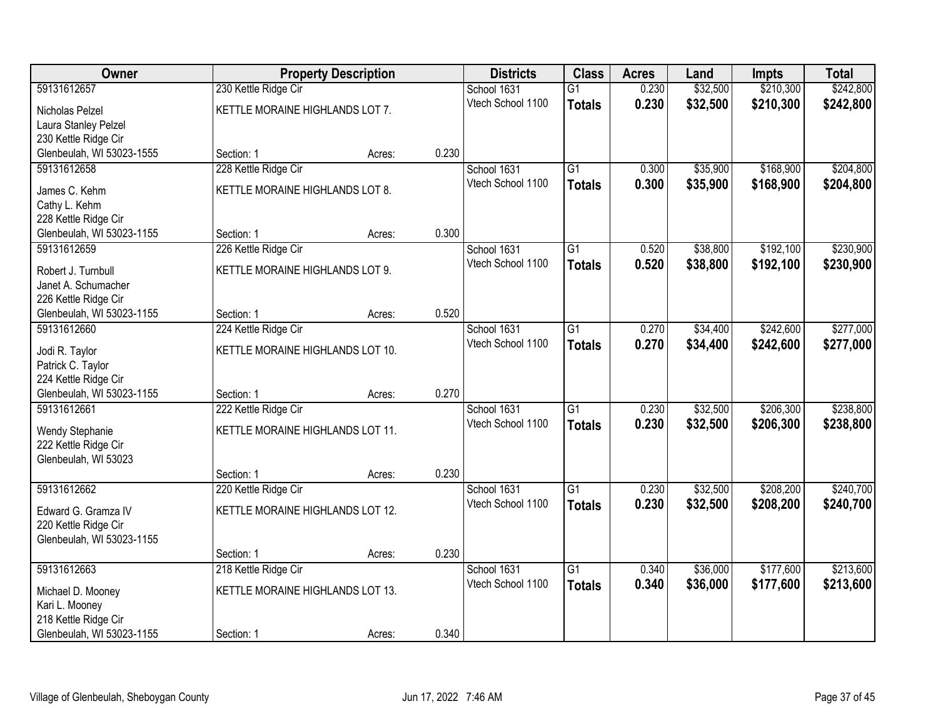| Owner                     |                                  | <b>Property Description</b> |       | <b>Districts</b>  | <b>Class</b>    | <b>Acres</b> | Land     | <b>Impts</b> | <b>Total</b> |
|---------------------------|----------------------------------|-----------------------------|-------|-------------------|-----------------|--------------|----------|--------------|--------------|
| 59131612657               | 230 Kettle Ridge Cir             |                             |       | School 1631       | $\overline{G1}$ | 0.230        | \$32,500 | \$210,300    | \$242,800    |
| Nicholas Pelzel           | KETTLE MORAINE HIGHLANDS LOT 7.  |                             |       | Vtech School 1100 | <b>Totals</b>   | 0.230        | \$32,500 | \$210,300    | \$242,800    |
| Laura Stanley Pelzel      |                                  |                             |       |                   |                 |              |          |              |              |
| 230 Kettle Ridge Cir      |                                  |                             |       |                   |                 |              |          |              |              |
| Glenbeulah, WI 53023-1555 | Section: 1                       | Acres:                      | 0.230 |                   |                 |              |          |              |              |
| 59131612658               | 228 Kettle Ridge Cir             |                             |       | School 1631       | $\overline{G1}$ | 0.300        | \$35,900 | \$168,900    | \$204,800    |
| James C. Kehm             | KETTLE MORAINE HIGHLANDS LOT 8.  |                             |       | Vtech School 1100 | <b>Totals</b>   | 0.300        | \$35,900 | \$168,900    | \$204,800    |
| Cathy L. Kehm             |                                  |                             |       |                   |                 |              |          |              |              |
| 228 Kettle Ridge Cir      |                                  |                             |       |                   |                 |              |          |              |              |
| Glenbeulah, WI 53023-1155 | Section: 1                       | Acres:                      | 0.300 |                   |                 |              |          |              |              |
| 59131612659               | 226 Kettle Ridge Cir             |                             |       | School 1631       | $\overline{G1}$ | 0.520        | \$38,800 | \$192,100    | \$230,900    |
| Robert J. Turnbull        | KETTLE MORAINE HIGHLANDS LOT 9.  |                             |       | Vtech School 1100 | <b>Totals</b>   | 0.520        | \$38,800 | \$192,100    | \$230,900    |
| Janet A. Schumacher       |                                  |                             |       |                   |                 |              |          |              |              |
| 226 Kettle Ridge Cir      |                                  |                             |       |                   |                 |              |          |              |              |
| Glenbeulah, WI 53023-1155 | Section: 1                       | Acres:                      | 0.520 |                   |                 |              |          |              |              |
| 59131612660               | 224 Kettle Ridge Cir             |                             |       | School 1631       | $\overline{G1}$ | 0.270        | \$34,400 | \$242,600    | \$277,000    |
| Jodi R. Taylor            | KETTLE MORAINE HIGHLANDS LOT 10. |                             |       | Vtech School 1100 | <b>Totals</b>   | 0.270        | \$34,400 | \$242,600    | \$277,000    |
| Patrick C. Taylor         |                                  |                             |       |                   |                 |              |          |              |              |
| 224 Kettle Ridge Cir      |                                  |                             |       |                   |                 |              |          |              |              |
| Glenbeulah, WI 53023-1155 | Section: 1                       | Acres:                      | 0.270 |                   |                 |              |          |              |              |
| 59131612661               | 222 Kettle Ridge Cir             |                             |       | School 1631       | $\overline{G1}$ | 0.230        | \$32,500 | \$206,300    | \$238,800    |
| Wendy Stephanie           | KETTLE MORAINE HIGHLANDS LOT 11. |                             |       | Vtech School 1100 | <b>Totals</b>   | 0.230        | \$32,500 | \$206,300    | \$238,800    |
| 222 Kettle Ridge Cir      |                                  |                             |       |                   |                 |              |          |              |              |
| Glenbeulah, WI 53023      |                                  |                             |       |                   |                 |              |          |              |              |
|                           | Section: 1                       | Acres:                      | 0.230 |                   |                 |              |          |              |              |
| 59131612662               | 220 Kettle Ridge Cir             |                             |       | School 1631       | $\overline{G1}$ | 0.230        | \$32,500 | \$208,200    | \$240,700    |
| Edward G. Gramza IV       | KETTLE MORAINE HIGHLANDS LOT 12. |                             |       | Vtech School 1100 | <b>Totals</b>   | 0.230        | \$32,500 | \$208,200    | \$240,700    |
| 220 Kettle Ridge Cir      |                                  |                             |       |                   |                 |              |          |              |              |
| Glenbeulah, WI 53023-1155 |                                  |                             |       |                   |                 |              |          |              |              |
|                           | Section: 1                       | Acres:                      | 0.230 |                   |                 |              |          |              |              |
| 59131612663               | 218 Kettle Ridge Cir             |                             |       | School 1631       | $\overline{G1}$ | 0.340        | \$36,000 | \$177,600    | \$213,600    |
| Michael D. Mooney         | KETTLE MORAINE HIGHLANDS LOT 13. |                             |       | Vtech School 1100 | <b>Totals</b>   | 0.340        | \$36,000 | \$177,600    | \$213,600    |
| Kari L. Mooney            |                                  |                             |       |                   |                 |              |          |              |              |
| 218 Kettle Ridge Cir      |                                  |                             |       |                   |                 |              |          |              |              |
| Glenbeulah, WI 53023-1155 | Section: 1                       | Acres:                      | 0.340 |                   |                 |              |          |              |              |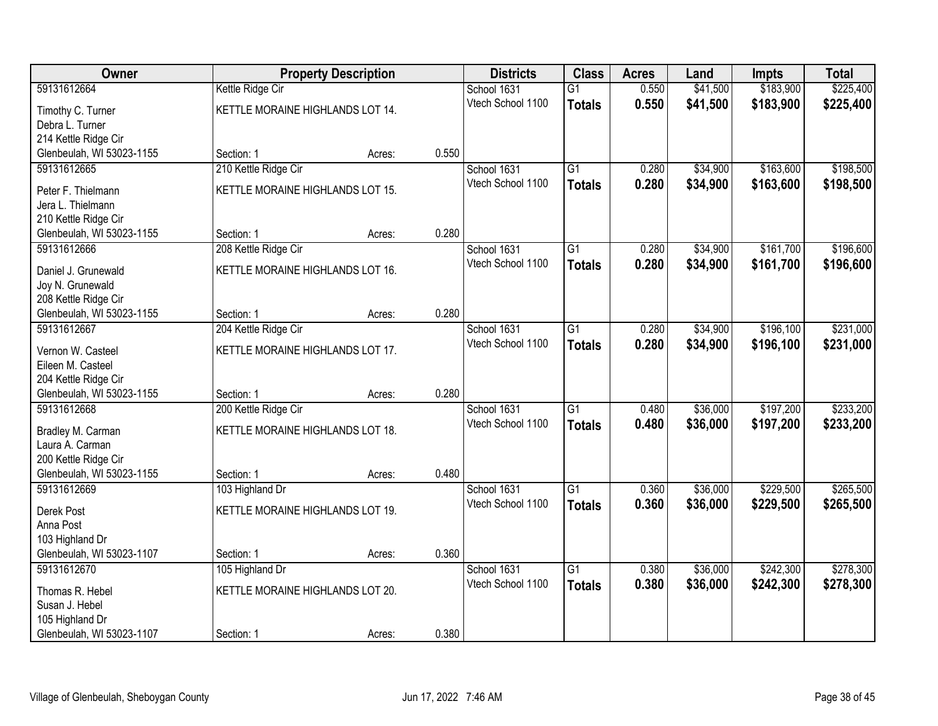| Owner                     | <b>Property Description</b>      |        |       | <b>Districts</b>  | <b>Class</b>    | <b>Acres</b> | Land     | Impts     | <b>Total</b> |
|---------------------------|----------------------------------|--------|-------|-------------------|-----------------|--------------|----------|-----------|--------------|
| 59131612664               | Kettle Ridge Cir                 |        |       | School 1631       | $\overline{G1}$ | 0.550        | \$41,500 | \$183,900 | \$225,400    |
| Timothy C. Turner         | KETTLE MORAINE HIGHLANDS LOT 14. |        |       | Vtech School 1100 | <b>Totals</b>   | 0.550        | \$41,500 | \$183,900 | \$225,400    |
| Debra L. Turner           |                                  |        |       |                   |                 |              |          |           |              |
| 214 Kettle Ridge Cir      |                                  |        |       |                   |                 |              |          |           |              |
| Glenbeulah, WI 53023-1155 | Section: 1                       | Acres: | 0.550 |                   |                 |              |          |           |              |
| 59131612665               | 210 Kettle Ridge Cir             |        |       | School 1631       | $\overline{G1}$ | 0.280        | \$34,900 | \$163,600 | \$198,500    |
| Peter F. Thielmann        | KETTLE MORAINE HIGHLANDS LOT 15. |        |       | Vtech School 1100 | <b>Totals</b>   | 0.280        | \$34,900 | \$163,600 | \$198,500    |
| Jera L. Thielmann         |                                  |        |       |                   |                 |              |          |           |              |
| 210 Kettle Ridge Cir      |                                  |        |       |                   |                 |              |          |           |              |
| Glenbeulah, WI 53023-1155 | Section: 1                       | Acres: | 0.280 |                   |                 |              |          |           |              |
| 59131612666               | 208 Kettle Ridge Cir             |        |       | School 1631       | $\overline{G1}$ | 0.280        | \$34,900 | \$161,700 | \$196,600    |
| Daniel J. Grunewald       | KETTLE MORAINE HIGHLANDS LOT 16. |        |       | Vtech School 1100 | <b>Totals</b>   | 0.280        | \$34,900 | \$161,700 | \$196,600    |
| Joy N. Grunewald          |                                  |        |       |                   |                 |              |          |           |              |
| 208 Kettle Ridge Cir      |                                  |        |       |                   |                 |              |          |           |              |
| Glenbeulah, WI 53023-1155 | Section: 1                       | Acres: | 0.280 |                   |                 |              |          |           |              |
| 59131612667               | 204 Kettle Ridge Cir             |        |       | School 1631       | $\overline{G1}$ | 0.280        | \$34,900 | \$196,100 | \$231,000    |
| Vernon W. Casteel         | KETTLE MORAINE HIGHLANDS LOT 17. |        |       | Vtech School 1100 | <b>Totals</b>   | 0.280        | \$34,900 | \$196,100 | \$231,000    |
| Eileen M. Casteel         |                                  |        |       |                   |                 |              |          |           |              |
| 204 Kettle Ridge Cir      |                                  |        |       |                   |                 |              |          |           |              |
| Glenbeulah, WI 53023-1155 | Section: 1                       | Acres: | 0.280 |                   |                 |              |          |           |              |
| 59131612668               | 200 Kettle Ridge Cir             |        |       | School 1631       | $\overline{G1}$ | 0.480        | \$36,000 | \$197,200 | \$233,200    |
| Bradley M. Carman         | KETTLE MORAINE HIGHLANDS LOT 18. |        |       | Vtech School 1100 | <b>Totals</b>   | 0.480        | \$36,000 | \$197,200 | \$233,200    |
| Laura A. Carman           |                                  |        |       |                   |                 |              |          |           |              |
| 200 Kettle Ridge Cir      |                                  |        |       |                   |                 |              |          |           |              |
| Glenbeulah, WI 53023-1155 | Section: 1                       | Acres: | 0.480 |                   |                 |              |          |           |              |
| 59131612669               | 103 Highland Dr                  |        |       | School 1631       | $\overline{G1}$ | 0.360        | \$36,000 | \$229,500 | \$265,500    |
| Derek Post                | KETTLE MORAINE HIGHLANDS LOT 19. |        |       | Vtech School 1100 | <b>Totals</b>   | 0.360        | \$36,000 | \$229,500 | \$265,500    |
| Anna Post                 |                                  |        |       |                   |                 |              |          |           |              |
| 103 Highland Dr           |                                  |        |       |                   |                 |              |          |           |              |
| Glenbeulah, WI 53023-1107 | Section: 1                       | Acres: | 0.360 |                   |                 |              |          |           |              |
| 59131612670               | 105 Highland Dr                  |        |       | School 1631       | $\overline{G1}$ | 0.380        | \$36,000 | \$242,300 | \$278,300    |
| Thomas R. Hebel           | KETTLE MORAINE HIGHLANDS LOT 20. |        |       | Vtech School 1100 | <b>Totals</b>   | 0.380        | \$36,000 | \$242,300 | \$278,300    |
| Susan J. Hebel            |                                  |        |       |                   |                 |              |          |           |              |
| 105 Highland Dr           |                                  |        |       |                   |                 |              |          |           |              |
| Glenbeulah, WI 53023-1107 | Section: 1                       | Acres: | 0.380 |                   |                 |              |          |           |              |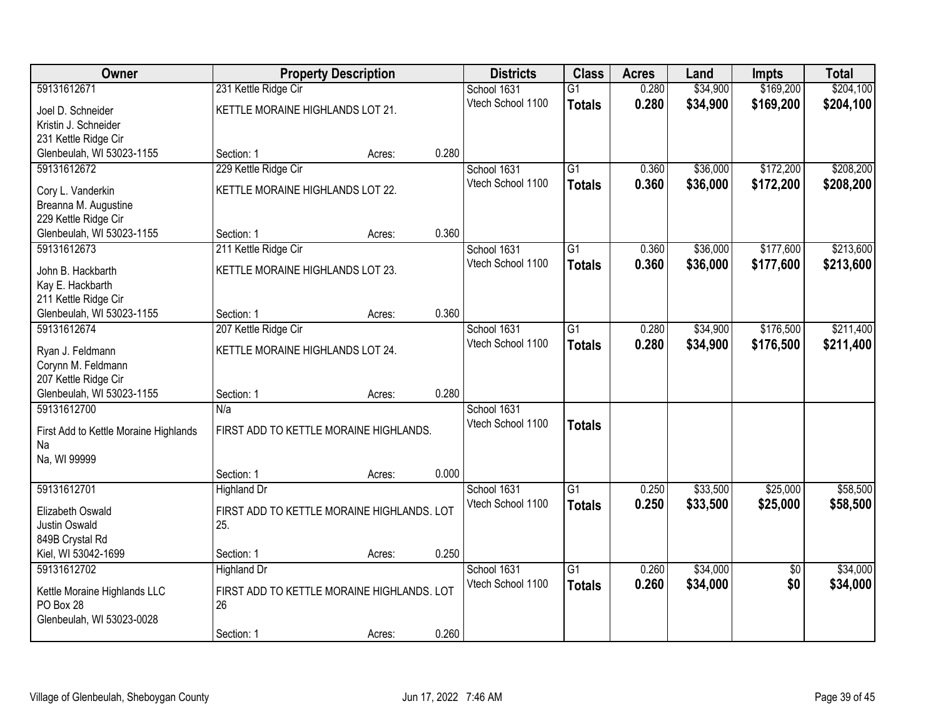| Owner                                 |                                            | <b>Property Description</b> |       | <b>Districts</b>  | <b>Class</b>    | <b>Acres</b> | Land     | Impts           | <b>Total</b> |
|---------------------------------------|--------------------------------------------|-----------------------------|-------|-------------------|-----------------|--------------|----------|-----------------|--------------|
| 59131612671                           | 231 Kettle Ridge Cir                       |                             |       | School 1631       | G1              | 0.280        | \$34,900 | \$169,200       | \$204,100    |
| Joel D. Schneider                     | KETTLE MORAINE HIGHLANDS LOT 21.           |                             |       | Vtech School 1100 | <b>Totals</b>   | 0.280        | \$34,900 | \$169,200       | \$204,100    |
| Kristin J. Schneider                  |                                            |                             |       |                   |                 |              |          |                 |              |
| 231 Kettle Ridge Cir                  |                                            |                             |       |                   |                 |              |          |                 |              |
| Glenbeulah, WI 53023-1155             | Section: 1                                 | Acres:                      | 0.280 |                   |                 |              |          |                 |              |
| 59131612672                           | 229 Kettle Ridge Cir                       |                             |       | School 1631       | $\overline{G1}$ | 0.360        | \$36,000 | \$172,200       | \$208,200    |
| Cory L. Vanderkin                     | KETTLE MORAINE HIGHLANDS LOT 22.           |                             |       | Vtech School 1100 | <b>Totals</b>   | 0.360        | \$36,000 | \$172,200       | \$208,200    |
| Breanna M. Augustine                  |                                            |                             |       |                   |                 |              |          |                 |              |
| 229 Kettle Ridge Cir                  |                                            |                             |       |                   |                 |              |          |                 |              |
| Glenbeulah, WI 53023-1155             | Section: 1                                 | Acres:                      | 0.360 |                   |                 |              |          |                 |              |
| 59131612673                           | 211 Kettle Ridge Cir                       |                             |       | School 1631       | $\overline{G1}$ | 0.360        | \$36,000 | \$177,600       | \$213,600    |
| John B. Hackbarth                     | KETTLE MORAINE HIGHLANDS LOT 23.           |                             |       | Vtech School 1100 | <b>Totals</b>   | 0.360        | \$36,000 | \$177,600       | \$213,600    |
| Kay E. Hackbarth                      |                                            |                             |       |                   |                 |              |          |                 |              |
| 211 Kettle Ridge Cir                  |                                            |                             |       |                   |                 |              |          |                 |              |
| Glenbeulah, WI 53023-1155             | Section: 1                                 | Acres:                      | 0.360 |                   |                 |              |          |                 |              |
| 59131612674                           | 207 Kettle Ridge Cir                       |                             |       | School 1631       | $\overline{G1}$ | 0.280        | \$34,900 | \$176,500       | \$211,400    |
| Ryan J. Feldmann                      | KETTLE MORAINE HIGHLANDS LOT 24.           |                             |       | Vtech School 1100 | <b>Totals</b>   | 0.280        | \$34,900 | \$176,500       | \$211,400    |
| Corynn M. Feldmann                    |                                            |                             |       |                   |                 |              |          |                 |              |
| 207 Kettle Ridge Cir                  |                                            |                             |       |                   |                 |              |          |                 |              |
| Glenbeulah, WI 53023-1155             | Section: 1                                 | Acres:                      | 0.280 |                   |                 |              |          |                 |              |
| 59131612700                           | N/a                                        |                             |       | School 1631       |                 |              |          |                 |              |
| First Add to Kettle Moraine Highlands | FIRST ADD TO KETTLE MORAINE HIGHLANDS.     |                             |       | Vtech School 1100 | <b>Totals</b>   |              |          |                 |              |
| Na                                    |                                            |                             |       |                   |                 |              |          |                 |              |
| Na, WI 99999                          |                                            |                             |       |                   |                 |              |          |                 |              |
|                                       | Section: 1                                 | Acres:                      | 0.000 |                   |                 |              |          |                 |              |
| 59131612701                           | Highland Dr                                |                             |       | School 1631       | $\overline{G1}$ | 0.250        | \$33,500 | \$25,000        | \$58,500     |
| Elizabeth Oswald                      | FIRST ADD TO KETTLE MORAINE HIGHLANDS. LOT |                             |       | Vtech School 1100 | <b>Totals</b>   | 0.250        | \$33,500 | \$25,000        | \$58,500     |
| Justin Oswald                         | 25.                                        |                             |       |                   |                 |              |          |                 |              |
| 849B Crystal Rd                       |                                            |                             |       |                   |                 |              |          |                 |              |
| Kiel, WI 53042-1699                   | Section: 1                                 | Acres:                      | 0.250 |                   |                 |              |          |                 |              |
| 59131612702                           | <b>Highland Dr</b>                         |                             |       | School 1631       | $\overline{G1}$ | 0.260        | \$34,000 | $\overline{50}$ | \$34,000     |
| Kettle Moraine Highlands LLC          | FIRST ADD TO KETTLE MORAINE HIGHLANDS. LOT |                             |       | Vtech School 1100 | <b>Totals</b>   | 0.260        | \$34,000 | \$0             | \$34,000     |
| PO Box 28                             | 26                                         |                             |       |                   |                 |              |          |                 |              |
| Glenbeulah, WI 53023-0028             |                                            |                             |       |                   |                 |              |          |                 |              |
|                                       | Section: 1                                 | Acres:                      | 0.260 |                   |                 |              |          |                 |              |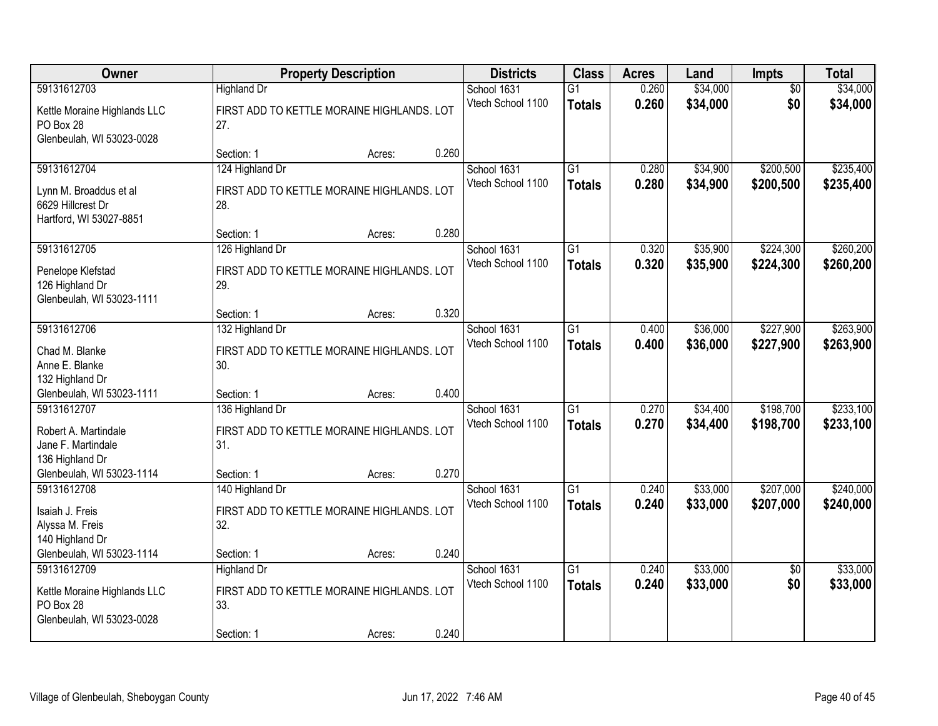| 59131612703<br>Kettle Moraine Highlands LLC<br>PO Box 28<br>27.<br>Glenbeulah, WI 53023-0028<br>59131612704 | <b>Highland Dr</b><br>FIRST ADD TO KETTLE MORAINE HIGHLANDS. LOT<br>Section: 1<br>124 Highland Dr<br>FIRST ADD TO KETTLE MORAINE HIGHLANDS. LOT | 0.260<br>Acres: | School 1631<br>Vtech School 1100<br>School 1631 | $\overline{G1}$<br><b>Totals</b> | 0.260<br>0.260 | \$34,000<br>\$34,000 | $\overline{50}$<br>\$0 | \$34,000<br>\$34,000   |
|-------------------------------------------------------------------------------------------------------------|-------------------------------------------------------------------------------------------------------------------------------------------------|-----------------|-------------------------------------------------|----------------------------------|----------------|----------------------|------------------------|------------------------|
|                                                                                                             |                                                                                                                                                 |                 |                                                 |                                  |                |                      |                        |                        |
|                                                                                                             |                                                                                                                                                 |                 |                                                 |                                  |                |                      |                        |                        |
|                                                                                                             |                                                                                                                                                 |                 |                                                 |                                  |                |                      |                        |                        |
|                                                                                                             |                                                                                                                                                 |                 |                                                 | $\overline{G1}$                  | 0.280          | \$34,900             | \$200,500              | \$235,400              |
| Lynn M. Broaddus et al<br>6629 Hillcrest Dr<br>28.<br>Hartford, WI 53027-8851                               |                                                                                                                                                 |                 | Vtech School 1100                               | <b>Totals</b>                    | 0.280          | \$34,900             | \$200,500              | \$235,400              |
|                                                                                                             | Section: 1                                                                                                                                      | 0.280<br>Acres: |                                                 |                                  |                |                      |                        |                        |
| 59131612705                                                                                                 | 126 Highland Dr                                                                                                                                 |                 | School 1631                                     | G1                               | 0.320          | \$35,900             | \$224,300              | \$260,200              |
| Penelope Klefstad<br>29.<br>126 Highland Dr<br>Glenbeulah, WI 53023-1111                                    | FIRST ADD TO KETTLE MORAINE HIGHLANDS. LOT                                                                                                      |                 | Vtech School 1100                               | <b>Totals</b>                    | 0.320          | \$35,900             | \$224,300              | \$260,200              |
|                                                                                                             | Section: 1                                                                                                                                      | 0.320<br>Acres: |                                                 |                                  |                |                      |                        |                        |
| 59131612706                                                                                                 | 132 Highland Dr                                                                                                                                 |                 | School 1631                                     | $\overline{G1}$                  | 0.400          | \$36,000             | \$227,900              | \$263,900              |
| Chad M. Blanke<br>Anne E. Blanke<br>30.<br>132 Highland Dr                                                  | FIRST ADD TO KETTLE MORAINE HIGHLANDS. LOT                                                                                                      |                 | Vtech School 1100                               | <b>Totals</b>                    | 0.400          | \$36,000             | \$227,900              | \$263,900              |
| Glenbeulah, WI 53023-1111                                                                                   | Section: 1                                                                                                                                      | 0.400<br>Acres: |                                                 |                                  |                |                      |                        |                        |
| 59131612707<br>Robert A. Martindale<br>31.<br>Jane F. Martindale<br>136 Highland Dr                         | 136 Highland Dr<br>FIRST ADD TO KETTLE MORAINE HIGHLANDS. LOT                                                                                   |                 | School 1631<br>Vtech School 1100                | $\overline{G1}$<br><b>Totals</b> | 0.270<br>0.270 | \$34,400<br>\$34,400 | \$198,700<br>\$198,700 | \$233,100<br>\$233,100 |
| Glenbeulah, WI 53023-1114                                                                                   | Section: 1                                                                                                                                      | 0.270<br>Acres: |                                                 |                                  |                |                      |                        |                        |
| 59131612708<br>Isaiah J. Freis<br>32.<br>Alyssa M. Freis                                                    | 140 Highland Dr<br>FIRST ADD TO KETTLE MORAINE HIGHLANDS. LOT                                                                                   |                 | School 1631<br>Vtech School 1100                | $\overline{G1}$<br><b>Totals</b> | 0.240<br>0.240 | \$33,000<br>\$33,000 | \$207,000<br>\$207,000 | \$240,000<br>\$240,000 |
| 140 Highland Dr                                                                                             |                                                                                                                                                 |                 |                                                 |                                  |                |                      |                        |                        |
| Glenbeulah, WI 53023-1114                                                                                   | Section: 1                                                                                                                                      | 0.240<br>Acres: |                                                 |                                  |                |                      |                        |                        |
| 59131612709<br>Kettle Moraine Highlands LLC<br>PO Box 28<br>33.<br>Glenbeulah, WI 53023-0028                | <b>Highland Dr</b><br>FIRST ADD TO KETTLE MORAINE HIGHLANDS. LOT<br>Section: 1                                                                  | 0.240<br>Acres: | School 1631<br>Vtech School 1100                | $\overline{G1}$<br><b>Totals</b> | 0.240<br>0.240 | \$33,000<br>\$33,000 | $\overline{30}$<br>\$0 | \$33,000<br>\$33,000   |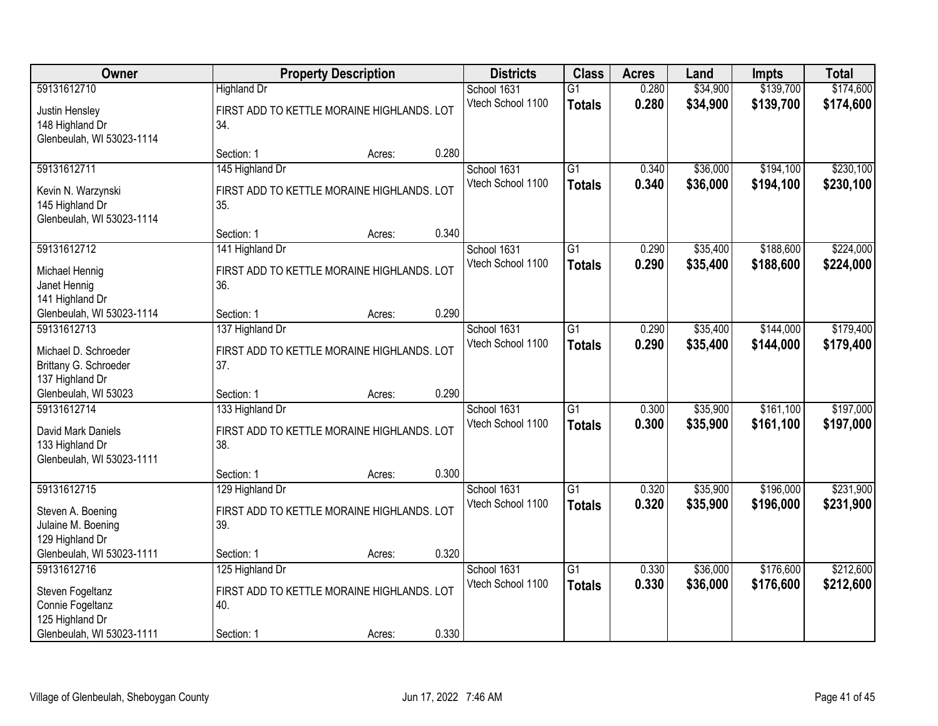| Owner                     |                                            | <b>Property Description</b> |       | <b>Districts</b>  | <b>Class</b>    | <b>Acres</b> | Land     | Impts     | <b>Total</b> |
|---------------------------|--------------------------------------------|-----------------------------|-------|-------------------|-----------------|--------------|----------|-----------|--------------|
| 59131612710               | <b>Highland Dr</b>                         |                             |       | School 1631       | $\overline{G1}$ | 0.280        | \$34,900 | \$139,700 | \$174,600    |
| Justin Hensley            | FIRST ADD TO KETTLE MORAINE HIGHLANDS. LOT |                             |       | Vtech School 1100 | <b>Totals</b>   | 0.280        | \$34,900 | \$139,700 | \$174,600    |
| 148 Highland Dr           | 34.                                        |                             |       |                   |                 |              |          |           |              |
| Glenbeulah, WI 53023-1114 |                                            |                             |       |                   |                 |              |          |           |              |
|                           | Section: 1                                 | Acres:                      | 0.280 |                   |                 |              |          |           |              |
| 59131612711               | 145 Highland Dr                            |                             |       | School 1631       | $\overline{G1}$ | 0.340        | \$36,000 | \$194,100 | \$230,100    |
| Kevin N. Warzynski        | FIRST ADD TO KETTLE MORAINE HIGHLANDS. LOT |                             |       | Vtech School 1100 | <b>Totals</b>   | 0.340        | \$36,000 | \$194,100 | \$230,100    |
| 145 Highland Dr           | 35.                                        |                             |       |                   |                 |              |          |           |              |
| Glenbeulah, WI 53023-1114 |                                            |                             |       |                   |                 |              |          |           |              |
|                           | Section: 1                                 | Acres:                      | 0.340 |                   |                 |              |          |           |              |
| 59131612712               | 141 Highland Dr                            |                             |       | School 1631       | G1              | 0.290        | \$35,400 | \$188,600 | \$224,000    |
| Michael Hennig            | FIRST ADD TO KETTLE MORAINE HIGHLANDS. LOT |                             |       | Vtech School 1100 | <b>Totals</b>   | 0.290        | \$35,400 | \$188,600 | \$224,000    |
| Janet Hennig              | 36.                                        |                             |       |                   |                 |              |          |           |              |
| 141 Highland Dr           |                                            |                             |       |                   |                 |              |          |           |              |
| Glenbeulah, WI 53023-1114 | Section: 1                                 | Acres:                      | 0.290 |                   |                 |              |          |           |              |
| 59131612713               | 137 Highland Dr                            |                             |       | School 1631       | $\overline{G1}$ | 0.290        | \$35,400 | \$144,000 | \$179,400    |
| Michael D. Schroeder      | FIRST ADD TO KETTLE MORAINE HIGHLANDS. LOT |                             |       | Vtech School 1100 | <b>Totals</b>   | 0.290        | \$35,400 | \$144,000 | \$179,400    |
| Brittany G. Schroeder     | 37.                                        |                             |       |                   |                 |              |          |           |              |
| 137 Highland Dr           |                                            |                             |       |                   |                 |              |          |           |              |
| Glenbeulah, WI 53023      | Section: 1                                 | Acres:                      | 0.290 |                   |                 |              |          |           |              |
| 59131612714               | 133 Highland Dr                            |                             |       | School 1631       | $\overline{G1}$ | 0.300        | \$35,900 | \$161,100 | \$197,000    |
| David Mark Daniels        | FIRST ADD TO KETTLE MORAINE HIGHLANDS. LOT |                             |       | Vtech School 1100 | <b>Totals</b>   | 0.300        | \$35,900 | \$161,100 | \$197,000    |
| 133 Highland Dr           | 38.                                        |                             |       |                   |                 |              |          |           |              |
| Glenbeulah, WI 53023-1111 |                                            |                             |       |                   |                 |              |          |           |              |
|                           | Section: 1                                 | Acres:                      | 0.300 |                   |                 |              |          |           |              |
| 59131612715               | 129 Highland Dr                            |                             |       | School 1631       | $\overline{G1}$ | 0.320        | \$35,900 | \$196,000 | \$231,900    |
| Steven A. Boening         | FIRST ADD TO KETTLE MORAINE HIGHLANDS. LOT |                             |       | Vtech School 1100 | <b>Totals</b>   | 0.320        | \$35,900 | \$196,000 | \$231,900    |
| Julaine M. Boening        | 39.                                        |                             |       |                   |                 |              |          |           |              |
| 129 Highland Dr           |                                            |                             |       |                   |                 |              |          |           |              |
| Glenbeulah, WI 53023-1111 | Section: 1                                 | Acres:                      | 0.320 |                   |                 |              |          |           |              |
| 59131612716               | 125 Highland Dr                            |                             |       | School 1631       | $\overline{G1}$ | 0.330        | \$36,000 | \$176,600 | \$212,600    |
| Steven Fogeltanz          | FIRST ADD TO KETTLE MORAINE HIGHLANDS. LOT |                             |       | Vtech School 1100 | <b>Totals</b>   | 0.330        | \$36,000 | \$176,600 | \$212,600    |
| Connie Fogeltanz          | 40.                                        |                             |       |                   |                 |              |          |           |              |
| 125 Highland Dr           |                                            |                             |       |                   |                 |              |          |           |              |
| Glenbeulah, WI 53023-1111 | Section: 1                                 | Acres:                      | 0.330 |                   |                 |              |          |           |              |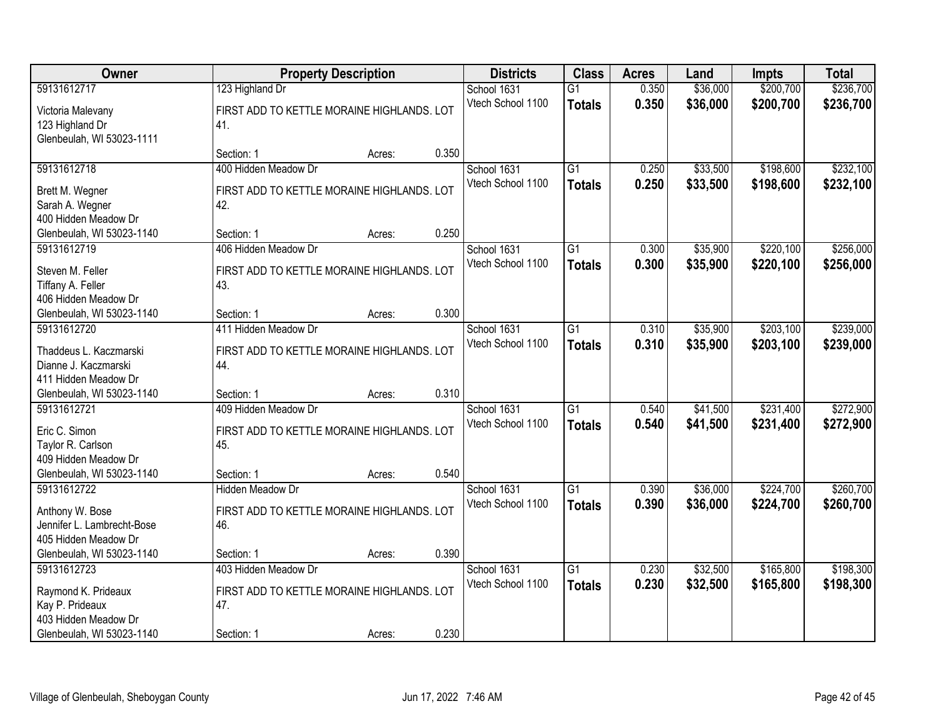| Owner                      | <b>Property Description</b>                |        |       | <b>Districts</b>  | <b>Class</b>    | <b>Acres</b> | Land     | <b>Impts</b> | <b>Total</b> |
|----------------------------|--------------------------------------------|--------|-------|-------------------|-----------------|--------------|----------|--------------|--------------|
| 59131612717                | 123 Highland Dr                            |        |       | School 1631       | $\overline{G1}$ | 0.350        | \$36,000 | \$200,700    | \$236,700    |
| Victoria Malevany          | FIRST ADD TO KETTLE MORAINE HIGHLANDS. LOT |        |       | Vtech School 1100 | <b>Totals</b>   | 0.350        | \$36,000 | \$200,700    | \$236,700    |
| 123 Highland Dr            | 41.                                        |        |       |                   |                 |              |          |              |              |
| Glenbeulah, WI 53023-1111  |                                            |        |       |                   |                 |              |          |              |              |
|                            | Section: 1                                 | Acres: | 0.350 |                   |                 |              |          |              |              |
| 59131612718                | 400 Hidden Meadow Dr                       |        |       | School 1631       | $\overline{G1}$ | 0.250        | \$33,500 | \$198,600    | \$232,100    |
| Brett M. Wegner            | FIRST ADD TO KETTLE MORAINE HIGHLANDS. LOT |        |       | Vtech School 1100 | <b>Totals</b>   | 0.250        | \$33,500 | \$198,600    | \$232,100    |
| Sarah A. Wegner            | 42.                                        |        |       |                   |                 |              |          |              |              |
| 400 Hidden Meadow Dr       |                                            |        |       |                   |                 |              |          |              |              |
| Glenbeulah, WI 53023-1140  | Section: 1                                 | Acres: | 0.250 |                   |                 |              |          |              |              |
| 59131612719                | 406 Hidden Meadow Dr                       |        |       | School 1631       | $\overline{G1}$ | 0.300        | \$35,900 | \$220,100    | \$256,000    |
| Steven M. Feller           | FIRST ADD TO KETTLE MORAINE HIGHLANDS. LOT |        |       | Vtech School 1100 | <b>Totals</b>   | 0.300        | \$35,900 | \$220,100    | \$256,000    |
| Tiffany A. Feller          | 43.                                        |        |       |                   |                 |              |          |              |              |
| 406 Hidden Meadow Dr       |                                            |        |       |                   |                 |              |          |              |              |
| Glenbeulah, WI 53023-1140  | Section: 1                                 | Acres: | 0.300 |                   |                 |              |          |              |              |
| 59131612720                | 411 Hidden Meadow Dr                       |        |       | School 1631       | G1              | 0.310        | \$35,900 | \$203,100    | \$239,000    |
| Thaddeus L. Kaczmarski     | FIRST ADD TO KETTLE MORAINE HIGHLANDS. LOT |        |       | Vtech School 1100 | <b>Totals</b>   | 0.310        | \$35,900 | \$203,100    | \$239,000    |
| Dianne J. Kaczmarski       | 44.                                        |        |       |                   |                 |              |          |              |              |
| 411 Hidden Meadow Dr       |                                            |        |       |                   |                 |              |          |              |              |
| Glenbeulah, WI 53023-1140  | Section: 1                                 | Acres: | 0.310 |                   |                 |              |          |              |              |
| 59131612721                | 409 Hidden Meadow Dr                       |        |       | School 1631       | $\overline{G1}$ | 0.540        | \$41,500 | \$231,400    | \$272,900    |
| Eric C. Simon              | FIRST ADD TO KETTLE MORAINE HIGHLANDS. LOT |        |       | Vtech School 1100 | <b>Totals</b>   | 0.540        | \$41,500 | \$231,400    | \$272,900    |
| Taylor R. Carlson          | 45.                                        |        |       |                   |                 |              |          |              |              |
| 409 Hidden Meadow Dr       |                                            |        |       |                   |                 |              |          |              |              |
| Glenbeulah, WI 53023-1140  | Section: 1                                 | Acres: | 0.540 |                   |                 |              |          |              |              |
| 59131612722                | <b>Hidden Meadow Dr</b>                    |        |       | School 1631       | $\overline{G1}$ | 0.390        | \$36,000 | \$224,700    | \$260,700    |
| Anthony W. Bose            | FIRST ADD TO KETTLE MORAINE HIGHLANDS. LOT |        |       | Vtech School 1100 | <b>Totals</b>   | 0.390        | \$36,000 | \$224,700    | \$260,700    |
| Jennifer L. Lambrecht-Bose | 46.                                        |        |       |                   |                 |              |          |              |              |
| 405 Hidden Meadow Dr       |                                            |        |       |                   |                 |              |          |              |              |
| Glenbeulah, WI 53023-1140  | Section: 1                                 | Acres: | 0.390 |                   |                 |              |          |              |              |
| 59131612723                | 403 Hidden Meadow Dr                       |        |       | School 1631       | $\overline{G1}$ | 0.230        | \$32,500 | \$165,800    | \$198,300    |
| Raymond K. Prideaux        | FIRST ADD TO KETTLE MORAINE HIGHLANDS. LOT |        |       | Vtech School 1100 | <b>Totals</b>   | 0.230        | \$32,500 | \$165,800    | \$198,300    |
| Kay P. Prideaux            | 47.                                        |        |       |                   |                 |              |          |              |              |
| 403 Hidden Meadow Dr       |                                            |        |       |                   |                 |              |          |              |              |
| Glenbeulah, WI 53023-1140  | Section: 1                                 | Acres: | 0.230 |                   |                 |              |          |              |              |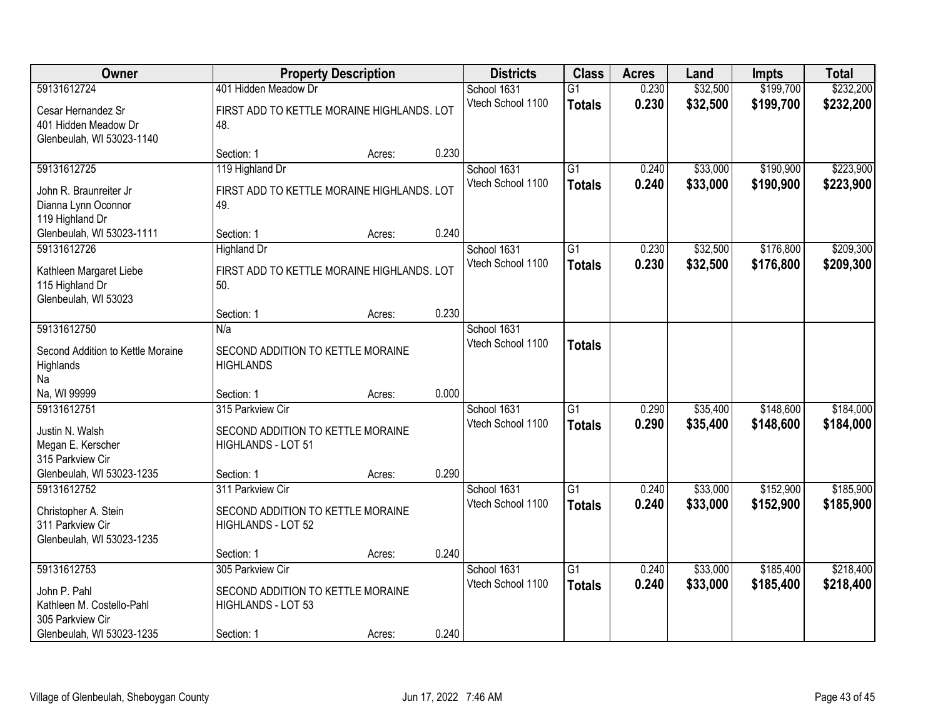| Owner                                                                                |                                                                             | <b>Property Description</b> |       | <b>Districts</b>                 | <b>Class</b>                     | <b>Acres</b>   | Land                 | <b>Impts</b>           | <b>Total</b>           |
|--------------------------------------------------------------------------------------|-----------------------------------------------------------------------------|-----------------------------|-------|----------------------------------|----------------------------------|----------------|----------------------|------------------------|------------------------|
| 59131612724                                                                          | 401 Hidden Meadow Dr                                                        |                             |       | School 1631                      | $\overline{G1}$                  | 0.230          | \$32,500             | \$199,700              | \$232,200              |
| Cesar Hernandez Sr<br>401 Hidden Meadow Dr<br>Glenbeulah, WI 53023-1140              | FIRST ADD TO KETTLE MORAINE HIGHLANDS. LOT<br>48.                           |                             |       | Vtech School 1100                | <b>Totals</b>                    | 0.230          | \$32,500             | \$199,700              | \$232,200              |
|                                                                                      | Section: 1                                                                  | Acres:                      | 0.230 |                                  |                                  |                |                      |                        |                        |
| 59131612725                                                                          | 119 Highland Dr                                                             |                             |       | School 1631                      | $\overline{G1}$                  | 0.240          | \$33,000             | \$190,900              | \$223,900              |
| John R. Braunreiter Jr<br>Dianna Lynn Oconnor<br>119 Highland Dr                     | FIRST ADD TO KETTLE MORAINE HIGHLANDS. LOT<br>49.                           |                             |       | Vtech School 1100                | <b>Totals</b>                    | 0.240          | \$33,000             | \$190,900              | \$223,900              |
| Glenbeulah, WI 53023-1111                                                            | Section: 1                                                                  | Acres:                      | 0.240 |                                  |                                  |                |                      |                        |                        |
| 59131612726                                                                          | <b>Highland Dr</b>                                                          |                             |       | School 1631                      | G1                               | 0.230          | \$32,500             | \$176,800              | \$209,300              |
| Kathleen Margaret Liebe<br>115 Highland Dr<br>Glenbeulah, WI 53023                   | FIRST ADD TO KETTLE MORAINE HIGHLANDS. LOT<br>50.                           |                             |       | Vtech School 1100                | <b>Totals</b>                    | 0.230          | \$32,500             | \$176,800              | \$209,300              |
|                                                                                      | Section: 1                                                                  | Acres:                      | 0.230 |                                  |                                  |                |                      |                        |                        |
| 59131612750                                                                          | N/a                                                                         |                             |       | School 1631                      |                                  |                |                      |                        |                        |
| Second Addition to Kettle Moraine<br>Highlands<br>Na                                 | SECOND ADDITION TO KETTLE MORAINE<br><b>HIGHLANDS</b>                       |                             |       | Vtech School 1100                | <b>Totals</b>                    |                |                      |                        |                        |
| Na, WI 99999                                                                         | Section: 1                                                                  | Acres:                      | 0.000 |                                  |                                  |                |                      |                        |                        |
| 59131612751<br>Justin N. Walsh<br>Megan E. Kerscher<br>315 Parkview Cir              | 315 Parkview Cir<br>SECOND ADDITION TO KETTLE MORAINE<br>HIGHLANDS - LOT 51 |                             |       | School 1631<br>Vtech School 1100 | $\overline{G1}$<br><b>Totals</b> | 0.290<br>0.290 | \$35,400<br>\$35,400 | \$148,600<br>\$148,600 | \$184,000<br>\$184,000 |
| Glenbeulah, WI 53023-1235                                                            | Section: 1                                                                  | Acres:                      | 0.290 |                                  |                                  |                |                      |                        |                        |
| 59131612752<br>Christopher A. Stein<br>311 Parkview Cir<br>Glenbeulah, WI 53023-1235 | 311 Parkview Cir<br>SECOND ADDITION TO KETTLE MORAINE<br>HIGHLANDS - LOT 52 |                             |       | School 1631<br>Vtech School 1100 | $\overline{G1}$<br><b>Totals</b> | 0.240<br>0.240 | \$33,000<br>\$33,000 | \$152,900<br>\$152,900 | \$185,900<br>\$185,900 |
|                                                                                      | Section: 1                                                                  | Acres:                      | 0.240 |                                  |                                  |                |                      |                        |                        |
| 59131612753                                                                          | 305 Parkview Cir                                                            |                             |       | School 1631                      | $\overline{G1}$                  | 0.240          | \$33,000             | \$185,400              | \$218,400              |
| John P. Pahl<br>Kathleen M. Costello-Pahl<br>305 Parkview Cir                        | SECOND ADDITION TO KETTLE MORAINE<br>HIGHLANDS - LOT 53                     |                             |       | Vtech School 1100                | <b>Totals</b>                    | 0.240          | \$33,000             | \$185,400              | \$218,400              |
| Glenbeulah, WI 53023-1235                                                            | Section: 1                                                                  | Acres:                      | 0.240 |                                  |                                  |                |                      |                        |                        |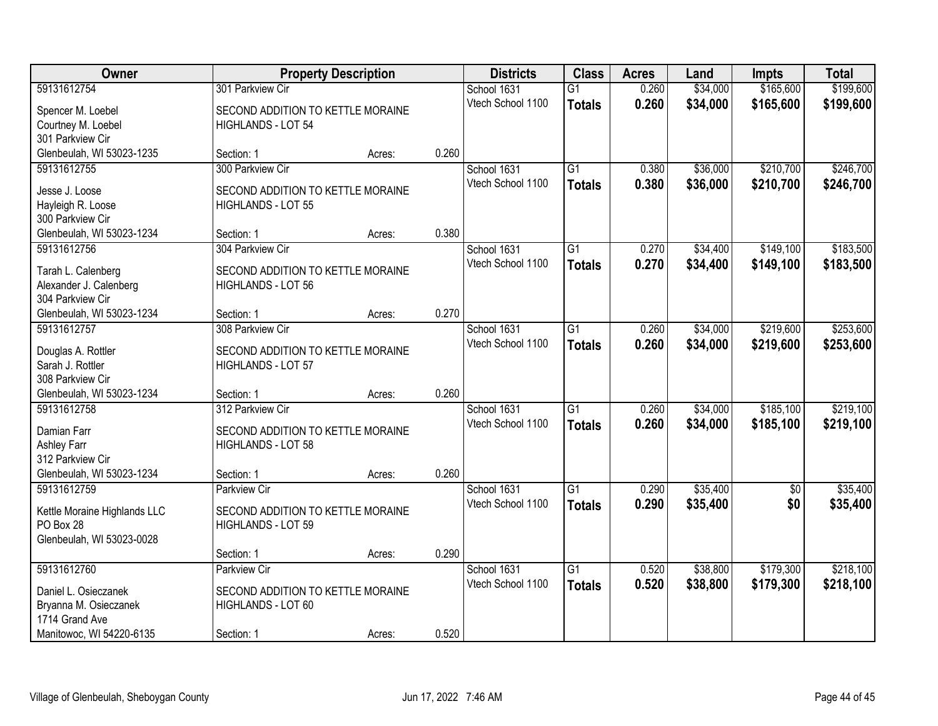| Owner                                     | <b>Property Description</b>       |        |       | <b>Districts</b>  | <b>Class</b>    | <b>Acres</b> | Land     | <b>Impts</b>    | <b>Total</b> |
|-------------------------------------------|-----------------------------------|--------|-------|-------------------|-----------------|--------------|----------|-----------------|--------------|
| 59131612754                               | 301 Parkview Cir                  |        |       | School 1631       | $\overline{G1}$ | 0.260        | \$34,000 | \$165,600       | \$199,600    |
| Spencer M. Loebel                         | SECOND ADDITION TO KETTLE MORAINE |        |       | Vtech School 1100 | <b>Totals</b>   | 0.260        | \$34,000 | \$165,600       | \$199,600    |
| Courtney M. Loebel                        | HIGHLANDS - LOT 54                |        |       |                   |                 |              |          |                 |              |
| 301 Parkview Cir                          |                                   |        |       |                   |                 |              |          |                 |              |
| Glenbeulah, WI 53023-1235                 | Section: 1                        | Acres: | 0.260 |                   |                 |              |          |                 |              |
| 59131612755                               | 300 Parkview Cir                  |        |       | School 1631       | $\overline{G1}$ | 0.380        | \$36,000 | \$210,700       | \$246,700    |
| Jesse J. Loose                            | SECOND ADDITION TO KETTLE MORAINE |        |       | Vtech School 1100 | <b>Totals</b>   | 0.380        | \$36,000 | \$210,700       | \$246,700    |
| Hayleigh R. Loose                         | HIGHLANDS - LOT 55                |        |       |                   |                 |              |          |                 |              |
| 300 Parkview Cir                          |                                   |        |       |                   |                 |              |          |                 |              |
| Glenbeulah, WI 53023-1234                 | Section: 1                        | Acres: | 0.380 |                   |                 |              |          |                 |              |
| 59131612756                               | 304 Parkview Cir                  |        |       | School 1631       | G1              | 0.270        | \$34,400 | \$149,100       | \$183,500    |
|                                           |                                   |        |       | Vtech School 1100 | <b>Totals</b>   | 0.270        | \$34,400 | \$149,100       | \$183,500    |
| Tarah L. Calenberg                        | SECOND ADDITION TO KETTLE MORAINE |        |       |                   |                 |              |          |                 |              |
| Alexander J. Calenberg                    | HIGHLANDS - LOT 56                |        |       |                   |                 |              |          |                 |              |
| 304 Parkview Cir                          |                                   |        |       |                   |                 |              |          |                 |              |
| Glenbeulah, WI 53023-1234                 | Section: 1                        | Acres: | 0.270 |                   |                 |              |          |                 |              |
| 59131612757                               | 308 Parkview Cir                  |        |       | School 1631       | G1              | 0.260        | \$34,000 | \$219,600       | \$253,600    |
| Douglas A. Rottler                        | SECOND ADDITION TO KETTLE MORAINE |        |       | Vtech School 1100 | <b>Totals</b>   | 0.260        | \$34,000 | \$219,600       | \$253,600    |
| Sarah J. Rottler                          | HIGHLANDS - LOT 57                |        |       |                   |                 |              |          |                 |              |
| 308 Parkview Cir                          |                                   |        |       |                   |                 |              |          |                 |              |
| Glenbeulah, WI 53023-1234                 | Section: 1                        | Acres: | 0.260 |                   |                 |              |          |                 |              |
| 59131612758                               | 312 Parkview Cir                  |        |       | School 1631       | $\overline{G1}$ | 0.260        | \$34,000 | \$185,100       | \$219,100    |
| Damian Farr                               | SECOND ADDITION TO KETTLE MORAINE |        |       | Vtech School 1100 | <b>Totals</b>   | 0.260        | \$34,000 | \$185,100       | \$219,100    |
| Ashley Farr                               | HIGHLANDS - LOT 58                |        |       |                   |                 |              |          |                 |              |
| 312 Parkview Cir                          |                                   |        |       |                   |                 |              |          |                 |              |
| Glenbeulah, WI 53023-1234                 | Section: 1                        | Acres: | 0.260 |                   |                 |              |          |                 |              |
| 59131612759                               | <b>Parkview Cir</b>               |        |       | School 1631       | $\overline{G1}$ | 0.290        | \$35,400 | $\overline{50}$ | \$35,400     |
|                                           | SECOND ADDITION TO KETTLE MORAINE |        |       | Vtech School 1100 | <b>Totals</b>   | 0.290        | \$35,400 | \$0             | \$35,400     |
| Kettle Moraine Highlands LLC<br>PO Box 28 | HIGHLANDS - LOT 59                |        |       |                   |                 |              |          |                 |              |
| Glenbeulah, WI 53023-0028                 |                                   |        |       |                   |                 |              |          |                 |              |
|                                           | Section: 1                        | Acres: | 0.290 |                   |                 |              |          |                 |              |
| 59131612760                               | <b>Parkview Cir</b>               |        |       | School 1631       | $\overline{G1}$ | 0.520        | \$38,800 | \$179,300       | \$218,100    |
|                                           |                                   |        |       | Vtech School 1100 | <b>Totals</b>   | 0.520        | \$38,800 | \$179,300       | \$218,100    |
| Daniel L. Osieczanek                      | SECOND ADDITION TO KETTLE MORAINE |        |       |                   |                 |              |          |                 |              |
| Bryanna M. Osieczanek                     | HIGHLANDS - LOT 60                |        |       |                   |                 |              |          |                 |              |
| 1714 Grand Ave                            |                                   |        |       |                   |                 |              |          |                 |              |
| Manitowoc, WI 54220-6135                  | Section: 1                        | Acres: | 0.520 |                   |                 |              |          |                 |              |